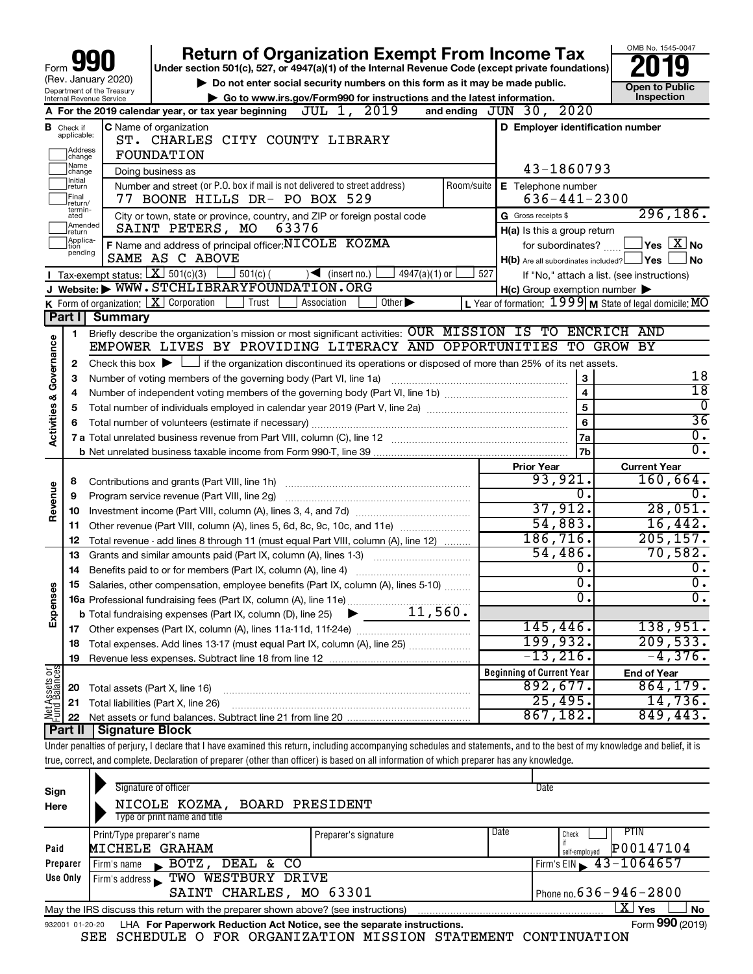|                         | Form $\Box$                                                                                                                                                                                                    |                                                        | <b>Return of Organization Exempt From Income Tax</b><br>Under section 501(c), 527, or 4947(a)(1) of the Internal Revenue Code (except private foundations)                 |     |                                                     | OMB No. 1545-0047                                                 |  |
|-------------------------|----------------------------------------------------------------------------------------------------------------------------------------------------------------------------------------------------------------|--------------------------------------------------------|----------------------------------------------------------------------------------------------------------------------------------------------------------------------------|-----|-----------------------------------------------------|-------------------------------------------------------------------|--|
|                         |                                                                                                                                                                                                                | (Rev. January 2020)                                    | Do not enter social security numbers on this form as it may be made public.                                                                                                |     |                                                     |                                                                   |  |
|                         |                                                                                                                                                                                                                | Department of the Treasury<br>Internal Revenue Service | Go to www.irs.gov/Form990 for instructions and the latest information.                                                                                                     |     |                                                     | <b>Open to Public</b><br>Inspection                               |  |
|                         |                                                                                                                                                                                                                |                                                        | JUL 1, 2019<br>A For the 2019 calendar year, or tax year beginning                                                                                                         |     | and ending JUN 30, 2020                             |                                                                   |  |
|                         | <b>B</b> Check if applicable:<br>Address<br>change                                                                                                                                                             |                                                        | C Name of organization<br>ST. CHARLES CITY COUNTY LIBRARY<br>FOUNDATION                                                                                                    |     | D Employer identification number                    |                                                                   |  |
|                         | Name<br>change                                                                                                                                                                                                 |                                                        | Doing business as                                                                                                                                                          |     | 43-1860793                                          |                                                                   |  |
|                         | Initial<br>Number and street (or P.O. box if mail is not delivered to street address)<br>Room/suite<br>E Telephone number<br>return<br>Final<br>$636 - 441 - 2300$<br>77 BOONE HILLS DR- PO BOX 529<br>return/ |                                                        |                                                                                                                                                                            |     |                                                     |                                                                   |  |
|                         | termin-<br>ated<br>Amended<br>return                                                                                                                                                                           |                                                        | City or town, state or province, country, and ZIP or foreign postal code<br>SAINT PETERS, MO<br>63376                                                                      |     | G Gross receipts \$<br>H(a) Is this a group return  | 296, 186.                                                         |  |
|                         | Applica-<br>tion                                                                                                                                                                                               |                                                        | F Name and address of principal officer: NICOLE KOZMA                                                                                                                      |     | for subordinates?                                   | $ {\mathsf Y}\mathsf{es}\ \overline{{\mathsf X}}$ No              |  |
|                         | pending                                                                                                                                                                                                        |                                                        | SAME AS C ABOVE                                                                                                                                                            |     | $H(b)$ Are all subordinates included?               | ⊥Yes<br><b>No</b>                                                 |  |
|                         |                                                                                                                                                                                                                | <b>I</b> Tax-exempt status: $X \mid 501(c)(3)$         | $501(c)$ (<br>$4947(a)(1)$ or<br>$\sqrt{\frac{1}{1}}$ (insert no.)                                                                                                         | 527 |                                                     | If "No," attach a list. (see instructions)                        |  |
|                         |                                                                                                                                                                                                                |                                                        | J Website: WWW.STCHLIBRARYFOUNDATION.ORG                                                                                                                                   |     | $H(c)$ Group exemption number $\blacktriangleright$ |                                                                   |  |
|                         |                                                                                                                                                                                                                |                                                        | K Form of organization: X Corporation<br>Trust<br>Other $\blacktriangleright$<br>Association                                                                               |     |                                                     | L Year of formation: $1999 \text{ M}$ State of legal domicile: MO |  |
|                         | Part I                                                                                                                                                                                                         | <b>Summary</b>                                         |                                                                                                                                                                            |     |                                                     |                                                                   |  |
|                         | $\mathbf{1}$                                                                                                                                                                                                   |                                                        | Briefly describe the organization's mission or most significant activities: OUR MISSION IS TO ENCRICH AND                                                                  |     |                                                     |                                                                   |  |
|                         |                                                                                                                                                                                                                |                                                        | EMPOWER LIVES BY PROVIDING LITERACY AND OPPORTUNITIES TO GROW BY                                                                                                           |     |                                                     |                                                                   |  |
| Governance              | 2                                                                                                                                                                                                              |                                                        | Check this box $\blacktriangleright$ $\Box$ if the organization discontinued its operations or disposed of more than 25% of its net assets.                                |     |                                                     |                                                                   |  |
|                         | з                                                                                                                                                                                                              |                                                        | Number of voting members of the governing body (Part VI, line 1a)                                                                                                          |     | 3                                                   | 18                                                                |  |
|                         | 4                                                                                                                                                                                                              |                                                        |                                                                                                                                                                            |     | $\overline{\mathbf{4}}$                             | $\overline{18}$<br>$\overline{0}$                                 |  |
| <b>Activities &amp;</b> | 5                                                                                                                                                                                                              |                                                        |                                                                                                                                                                            |     | $\overline{5}$                                      | $\overline{36}$                                                   |  |
|                         | 6                                                                                                                                                                                                              |                                                        |                                                                                                                                                                            |     | 6                                                   | $\overline{0}$ .                                                  |  |
|                         |                                                                                                                                                                                                                |                                                        |                                                                                                                                                                            |     | 7a                                                  | $\overline{0}$ .                                                  |  |
|                         |                                                                                                                                                                                                                |                                                        |                                                                                                                                                                            |     | 7b                                                  |                                                                   |  |
|                         |                                                                                                                                                                                                                |                                                        |                                                                                                                                                                            |     | <b>Prior Year</b><br>93,921.                        | <b>Current Year</b>                                               |  |
|                         | 8                                                                                                                                                                                                              |                                                        | Contributions and grants (Part VIII, line 1h)                                                                                                                              |     | $\overline{0}$ .                                    | 160,664.<br>$\overline{0}$ .                                      |  |
| Revenue                 | 9                                                                                                                                                                                                              |                                                        | Program service revenue (Part VIII, line 2g)                                                                                                                               |     | 37,912.                                             | 28,051.                                                           |  |
|                         | 10                                                                                                                                                                                                             |                                                        |                                                                                                                                                                            |     | 54,883.                                             | 16,442.                                                           |  |
|                         | 11                                                                                                                                                                                                             |                                                        | Other revenue (Part VIII, column (A), lines 5, 6d, 8c, 9c, 10c, and 11e)                                                                                                   |     | 186, 716.                                           | 205, 157.                                                         |  |
|                         | 12                                                                                                                                                                                                             |                                                        | Total revenue - add lines 8 through 11 (must equal Part VIII, column (A), line 12)                                                                                         |     | 54,486.                                             | 70,582.                                                           |  |
|                         | 13                                                                                                                                                                                                             |                                                        | Grants and similar amounts paid (Part IX, column (A), lines 1-3)                                                                                                           |     | Ο.                                                  | $\overline{0}$ .                                                  |  |
|                         | 14                                                                                                                                                                                                             |                                                        |                                                                                                                                                                            |     | $\overline{0}$ .                                    | 0.                                                                |  |
| w                       | 15                                                                                                                                                                                                             |                                                        | Salaries, other compensation, employee benefits (Part IX, column (A), lines 5-10)                                                                                          |     | σ.                                                  | $\overline{0}$ .                                                  |  |
| Expense                 |                                                                                                                                                                                                                |                                                        | 16a Professional fundraising fees (Part IX, column (A), line 11e)<br>11,560.                                                                                               |     |                                                     |                                                                   |  |
|                         |                                                                                                                                                                                                                |                                                        | <b>b</b> Total fundraising expenses (Part IX, column (D), line 25)<br>▶                                                                                                    |     | 145, 446.                                           | 138,951.                                                          |  |
|                         |                                                                                                                                                                                                                |                                                        |                                                                                                                                                                            |     | 199,932.                                            | 209,533.                                                          |  |
|                         | 18                                                                                                                                                                                                             |                                                        | Total expenses. Add lines 13-17 (must equal Part IX, column (A), line 25)                                                                                                  |     | $-13,216$ .                                         | $-4,376.$                                                         |  |
|                         | 19                                                                                                                                                                                                             |                                                        |                                                                                                                                                                            |     | <b>Beginning of Current Year</b>                    |                                                                   |  |
| Net Assets or           |                                                                                                                                                                                                                |                                                        |                                                                                                                                                                            |     | 892,677.                                            | <b>End of Year</b><br>864, 179.                                   |  |
|                         | 20                                                                                                                                                                                                             |                                                        | Total assets (Part X, line 16)                                                                                                                                             |     | 25,495.                                             | 14,736.                                                           |  |
|                         | 21                                                                                                                                                                                                             |                                                        | Total liabilities (Part X, line 26)                                                                                                                                        |     | 867,182.                                            | 849, 443.                                                         |  |
|                         | 22<br>Part II                                                                                                                                                                                                  | <b>Signature Block</b>                                 |                                                                                                                                                                            |     |                                                     |                                                                   |  |
|                         |                                                                                                                                                                                                                |                                                        | Under penalties of perjury, I declare that I have examined this return, including accompanying schedules and statements, and to the best of my knowledge and belief, it is |     |                                                     |                                                                   |  |
|                         |                                                                                                                                                                                                                |                                                        | true, correct, and complete. Declaration of preparer (other than officer) is based on all information of which preparer has any knowledge.                                 |     |                                                     |                                                                   |  |
|                         |                                                                                                                                                                                                                |                                                        |                                                                                                                                                                            |     |                                                     |                                                                   |  |

| Sign<br>Here | Signature of officer<br>Date<br>NICOLE KOZMA, BOARD PRESIDENT<br>Type or print name and title                |                      |      |                                |  |  |  |  |  |  |
|--------------|--------------------------------------------------------------------------------------------------------------|----------------------|------|--------------------------------|--|--|--|--|--|--|
| Paid         | Print/Type preparer's name<br>MICHELE GRAHAM                                                                 | Preparer's signature | Date | PTIN<br>Check<br>P00147104     |  |  |  |  |  |  |
|              |                                                                                                              |                      |      | self-employed                  |  |  |  |  |  |  |
| Preparer     | DEAL & CO<br>BOTZ,<br>Firm's name<br>$\mathbf{K}$                                                            |                      |      | Firm's EIN $\sqrt{43-1064657}$ |  |  |  |  |  |  |
| Use Only     | Firm's address TWO WESTBURY DRIVE                                                                            |                      |      |                                |  |  |  |  |  |  |
|              | Phone no. $636 - 946 - 2800$<br>SAINT CHARLES, MO 63301                                                      |                      |      |                                |  |  |  |  |  |  |
|              | ΧI<br>Yes<br>No<br>May the IRS discuss this return with the preparer shown above? (see instructions)         |                      |      |                                |  |  |  |  |  |  |
|              | Form 990 (2019)<br>LHA For Paperwork Reduction Act Notice, see the separate instructions.<br>932001 01-20-20 |                      |      |                                |  |  |  |  |  |  |

SEE SCHEDULE O FOR ORGANIZATION MISSION STATEMENT CONTINUATION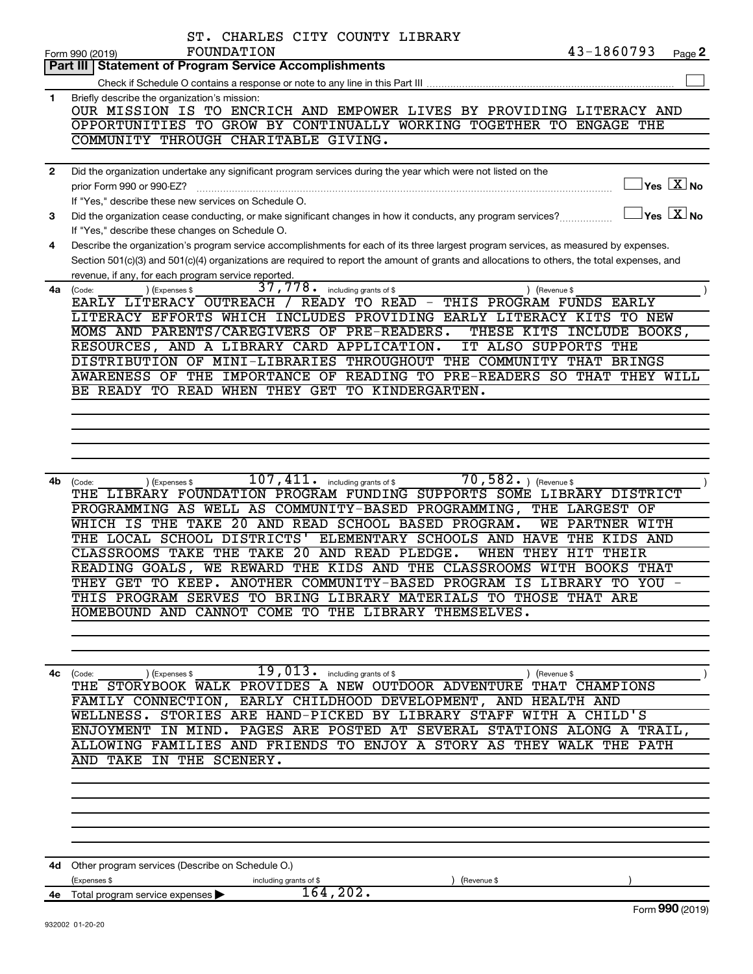|              | ST. CHARLES CITY COUNTY LIBRARY                                                                                                                               |
|--------------|---------------------------------------------------------------------------------------------------------------------------------------------------------------|
|              | 43-1860793<br>FOUNDATION<br>Page 2<br>Form 990 (2019)                                                                                                         |
|              | Part III Statement of Program Service Accomplishments                                                                                                         |
|              |                                                                                                                                                               |
| 1            | Briefly describe the organization's mission:                                                                                                                  |
|              | OUR MISSION IS TO ENCRICH AND EMPOWER LIVES BY PROVIDING LITERACY AND                                                                                         |
|              | OPPORTUNITIES TO GROW BY CONTINUALLY WORKING TOGETHER TO ENGAGE THE                                                                                           |
|              | COMMUNITY THROUGH CHARITABLE GIVING.                                                                                                                          |
|              |                                                                                                                                                               |
| $\mathbf{2}$ | Did the organization undertake any significant program services during the year which were not listed on the<br>$\sqrt{}$ Yes $\sqrt{ \ \overline{\rm X}}$ No |
|              | prior Form 990 or 990-EZ?                                                                                                                                     |
|              | If "Yes," describe these new services on Schedule O.<br>$\exists$ Yes $\Box X$ No                                                                             |
| 3            | Did the organization cease conducting, or make significant changes in how it conducts, any program services?                                                  |
|              | If "Yes," describe these changes on Schedule O.                                                                                                               |
| 4            | Describe the organization's program service accomplishments for each of its three largest program services, as measured by expenses.                          |
|              | Section 501(c)(3) and 501(c)(4) organizations are required to report the amount of grants and allocations to others, the total expenses, and                  |
|              | revenue, if any, for each program service reported.<br>37, 778. including grants of \$<br>) (Expenses \$                                                      |
| 4a           | ) (Revenue \$<br>(Code:<br>EARLY LITERACY OUTREACH / READY TO READ - THIS PROGRAM FUNDS EARLY                                                                 |
|              | LITERACY EFFORTS WHICH INCLUDES PROVIDING EARLY LITERACY KITS TO NEW                                                                                          |
|              | MOMS AND PARENTS/CAREGIVERS OF PRE-READERS.<br>THESE KITS INCLUDE BOOKS,                                                                                      |
|              | RESOURCES, AND A LIBRARY CARD APPLICATION.<br>IT ALSO SUPPORTS THE                                                                                            |
|              | DISTRIBUTION OF MINI-LIBRARIES THROUGHOUT THE COMMUNITY THAT BRINGS                                                                                           |
|              | AWARENESS OF THE IMPORTANCE OF READING TO PRE-READERS SO THAT THEY WILL                                                                                       |
|              | BE READY TO READ WHEN THEY GET TO KINDERGARTEN.                                                                                                               |
|              |                                                                                                                                                               |
|              |                                                                                                                                                               |
|              |                                                                                                                                                               |
|              |                                                                                                                                                               |
|              |                                                                                                                                                               |
| 4b.          | $\overline{70, 582.}$ (Revenue \$<br>$\overline{107}$ , $411$ . including grants of \$<br>) (Expenses \$<br>(Code:                                            |
|              | THE LIBRARY FOUNDATION PROGRAM FUNDING SUPPORTS SOME LIBRARY DISTRICT                                                                                         |
|              | PROGRAMMING AS WELL AS COMMUNITY-BASED PROGRAMMING, THE LARGEST OF                                                                                            |
|              | WHICH IS THE TAKE 20 AND READ SCHOOL BASED PROGRAM.<br>WE PARTNER WITH                                                                                        |
|              | THE LOCAL SCHOOL DISTRICTS'<br>ELEMENTARY SCHOOLS AND HAVE<br>THE KIDS AND                                                                                    |
|              | CLASSROOMS TAKE THE TAKE 20 AND READ PLEDGE.<br>WHEN THEY HIT THEIR                                                                                           |
|              | READING GOALS, WE REWARD THE KIDS AND THE CLASSROOMS WITH BOOKS THAT                                                                                          |
|              | THEY GET TO KEEP. ANOTHER COMMUNITY-BASED PROGRAM IS LIBRARY TO YOU -                                                                                         |
|              | THIS PROGRAM SERVES TO BRING LIBRARY MATERIALS TO THOSE THAT ARE                                                                                              |
|              | HOMEBOUND AND CANNOT COME TO THE LIBRARY THEMSELVES.                                                                                                          |
|              |                                                                                                                                                               |
|              |                                                                                                                                                               |
|              |                                                                                                                                                               |
| 4с           | $\overline{19}$ , $013$ onling grants of \$<br>(Code:<br>(Expenses \$<br>) (Revenue \$<br>THE STORYBOOK WALK PROVIDES A NEW OUTDOOR ADVENTURE THAT CHAMPIONS  |
|              | FAMILY CONNECTION, EARLY CHILDHOOD DEVELOPMENT, AND HEALTH AND                                                                                                |
|              | WELLNESS. STORIES ARE HAND-PICKED BY LIBRARY STAFF WITH A CHILD'S                                                                                             |
|              | ENJOYMENT IN MIND. PAGES ARE POSTED AT SEVERAL STATIONS ALONG A TRAIL,                                                                                        |
|              | ALLOWING FAMILIES AND FRIENDS TO ENJOY A STORY AS THEY WALK THE PATH                                                                                          |
|              | AND TAKE IN THE SCENERY.                                                                                                                                      |
|              |                                                                                                                                                               |
|              |                                                                                                                                                               |
|              |                                                                                                                                                               |
|              |                                                                                                                                                               |
|              |                                                                                                                                                               |
|              |                                                                                                                                                               |
|              |                                                                                                                                                               |
|              | 4d Other program services (Describe on Schedule O.)                                                                                                           |
| 4е           | (Expenses \$<br>including grants of \$<br>(Revenue \$<br>164, 202.<br>Total program service expenses                                                          |
|              | Form 990 (2019)                                                                                                                                               |
|              | ne ne ra cancen                                                                                                                                               |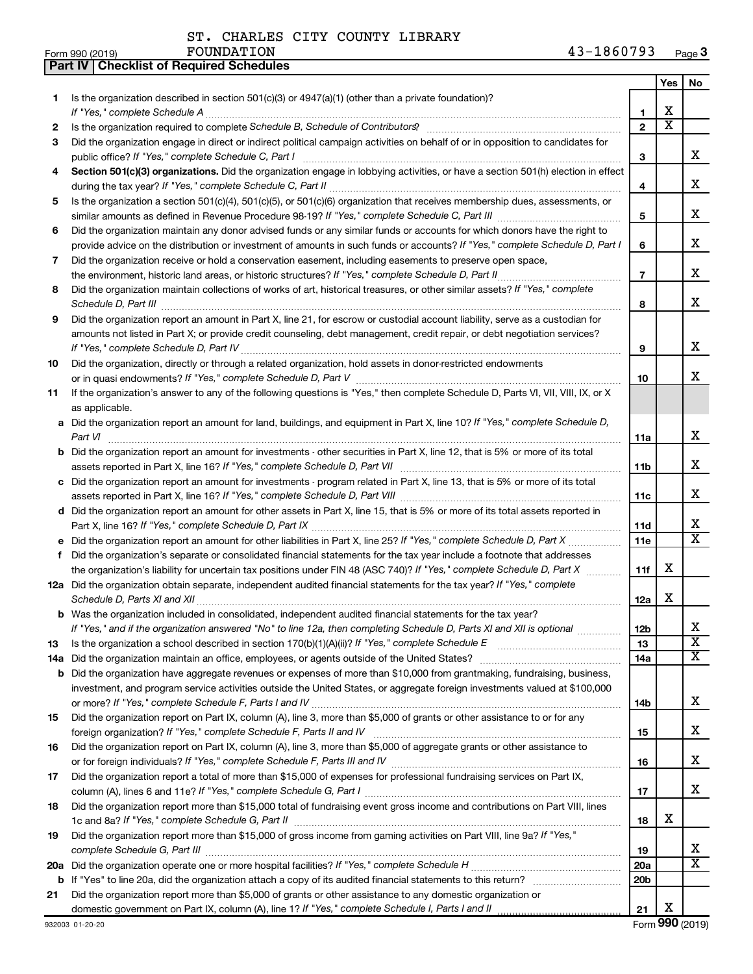**Part IV Checklist of Required Schedules**

|     |                                                                                                                                                                                                                                                   |                 | Yes                     | No                           |
|-----|---------------------------------------------------------------------------------------------------------------------------------------------------------------------------------------------------------------------------------------------------|-----------------|-------------------------|------------------------------|
| 1.  | Is the organization described in section $501(c)(3)$ or $4947(a)(1)$ (other than a private foundation)?                                                                                                                                           |                 |                         |                              |
|     |                                                                                                                                                                                                                                                   | 1               | х                       |                              |
| 2   | Is the organization required to complete Schedule B, Schedule of Contributors? [11] The organization required to complete Schedule B, Schedule of Contributors?                                                                                   | $\overline{2}$  | $\overline{\textbf{x}}$ |                              |
| 3   | Did the organization engage in direct or indirect political campaign activities on behalf of or in opposition to candidates for                                                                                                                   |                 |                         |                              |
|     |                                                                                                                                                                                                                                                   | 3               |                         | х                            |
| 4   | Section 501(c)(3) organizations. Did the organization engage in lobbying activities, or have a section 501(h) election in effect                                                                                                                  |                 |                         |                              |
|     |                                                                                                                                                                                                                                                   | 4               |                         | х                            |
| 5   | Is the organization a section 501(c)(4), 501(c)(5), or 501(c)(6) organization that receives membership dues, assessments, or                                                                                                                      |                 |                         |                              |
|     |                                                                                                                                                                                                                                                   | 5               |                         | х                            |
| 6   | Did the organization maintain any donor advised funds or any similar funds or accounts for which donors have the right to                                                                                                                         |                 |                         |                              |
|     | provide advice on the distribution or investment of amounts in such funds or accounts? If "Yes," complete Schedule D, Part I                                                                                                                      | 6               |                         | х                            |
| 7   | Did the organization receive or hold a conservation easement, including easements to preserve open space,                                                                                                                                         |                 |                         |                              |
|     |                                                                                                                                                                                                                                                   | $\overline{7}$  |                         | х                            |
| 8   | Did the organization maintain collections of works of art, historical treasures, or other similar assets? If "Yes," complete                                                                                                                      |                 |                         |                              |
|     | Schedule D, Part III <b>Marting Communities</b> and the contract of the contract of the contract of the contract of the contract of the contract of the contract of the contract of the contract of the contract of the contract of               | 8               |                         | х                            |
| 9   | Did the organization report an amount in Part X, line 21, for escrow or custodial account liability, serve as a custodian for                                                                                                                     |                 |                         |                              |
|     | amounts not listed in Part X; or provide credit counseling, debt management, credit repair, or debt negotiation services?                                                                                                                         |                 |                         |                              |
|     |                                                                                                                                                                                                                                                   | 9               |                         | х                            |
| 10  | Did the organization, directly or through a related organization, hold assets in donor-restricted endowments                                                                                                                                      |                 |                         |                              |
|     |                                                                                                                                                                                                                                                   | 10              |                         | x                            |
| 11  | If the organization's answer to any of the following questions is "Yes," then complete Schedule D, Parts VI, VII, VIII, IX, or X                                                                                                                  |                 |                         |                              |
|     | as applicable.                                                                                                                                                                                                                                    |                 |                         |                              |
|     | a Did the organization report an amount for land, buildings, and equipment in Part X, line 10? If "Yes," complete Schedule D,                                                                                                                     |                 |                         |                              |
|     | Part VI                                                                                                                                                                                                                                           | 11a             |                         | х                            |
|     | <b>b</b> Did the organization report an amount for investments - other securities in Part X, line 12, that is 5% or more of its total                                                                                                             |                 |                         |                              |
|     |                                                                                                                                                                                                                                                   | 11b             |                         | х                            |
|     | c Did the organization report an amount for investments - program related in Part X, line 13, that is 5% or more of its total                                                                                                                     |                 |                         |                              |
|     |                                                                                                                                                                                                                                                   | 11c             |                         | х                            |
|     | d Did the organization report an amount for other assets in Part X, line 15, that is 5% or more of its total assets reported in                                                                                                                   |                 |                         |                              |
|     |                                                                                                                                                                                                                                                   | 11d             |                         | x<br>$\overline{\mathtt{x}}$ |
|     |                                                                                                                                                                                                                                                   | 11e             |                         |                              |
| f   | Did the organization's separate or consolidated financial statements for the tax year include a footnote that addresses                                                                                                                           | 11f             | х                       |                              |
|     | the organization's liability for uncertain tax positions under FIN 48 (ASC 740)? If "Yes," complete Schedule D, Part X<br>12a Did the organization obtain separate, independent audited financial statements for the tax year? If "Yes," complete |                 |                         |                              |
|     |                                                                                                                                                                                                                                                   | 12a             | х                       |                              |
|     | <b>b</b> Was the organization included in consolidated, independent audited financial statements for the tax year?                                                                                                                                |                 |                         |                              |
|     | If "Yes," and if the organization answered "No" to line 12a, then completing Schedule D, Parts XI and XII is optional <i>manum</i>                                                                                                                | 12b             |                         | х                            |
| 13  |                                                                                                                                                                                                                                                   | 13              |                         | $\overline{\textbf{x}}$      |
| 14a |                                                                                                                                                                                                                                                   | 14a             |                         | $\overline{\textbf{X}}$      |
| b   | Did the organization have aggregate revenues or expenses of more than \$10,000 from grantmaking, fundraising, business,                                                                                                                           |                 |                         |                              |
|     | investment, and program service activities outside the United States, or aggregate foreign investments valued at \$100,000                                                                                                                        |                 |                         |                              |
|     |                                                                                                                                                                                                                                                   | 14b             |                         | х                            |
| 15  | Did the organization report on Part IX, column (A), line 3, more than \$5,000 of grants or other assistance to or for any                                                                                                                         |                 |                         |                              |
|     |                                                                                                                                                                                                                                                   | 15              |                         | х                            |
| 16  | Did the organization report on Part IX, column (A), line 3, more than \$5,000 of aggregate grants or other assistance to                                                                                                                          |                 |                         |                              |
|     |                                                                                                                                                                                                                                                   | 16              |                         | x                            |
| 17  | Did the organization report a total of more than \$15,000 of expenses for professional fundraising services on Part IX,                                                                                                                           |                 |                         |                              |
|     |                                                                                                                                                                                                                                                   | 17              |                         | х                            |
| 18  | Did the organization report more than \$15,000 total of fundraising event gross income and contributions on Part VIII, lines                                                                                                                      |                 |                         |                              |
|     |                                                                                                                                                                                                                                                   | 18              | х                       |                              |
| 19  | Did the organization report more than \$15,000 of gross income from gaming activities on Part VIII, line 9a? If "Yes,"                                                                                                                            |                 |                         |                              |
|     |                                                                                                                                                                                                                                                   | 19              |                         | x<br>$\overline{\texttt{x}}$ |
| 20a |                                                                                                                                                                                                                                                   | 20a             |                         |                              |
| b   | Did the organization report more than \$5,000 of grants or other assistance to any domestic organization or                                                                                                                                       | 20 <sub>b</sub> |                         |                              |
| 21  |                                                                                                                                                                                                                                                   | 21              | х                       |                              |
|     |                                                                                                                                                                                                                                                   |                 |                         |                              |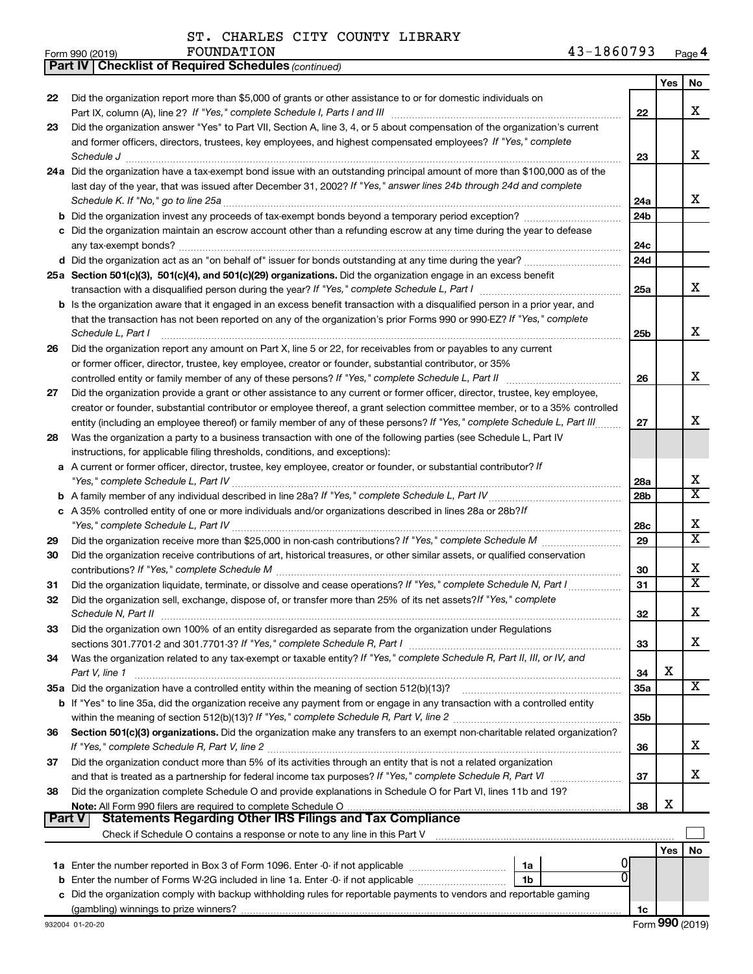*(continued)* **Part IV Checklist of Required Schedules**

|          |                                                                                                                                                                                                                            |                 | Yes | No                      |
|----------|----------------------------------------------------------------------------------------------------------------------------------------------------------------------------------------------------------------------------|-----------------|-----|-------------------------|
| 22       | Did the organization report more than \$5,000 of grants or other assistance to or for domestic individuals on                                                                                                              |                 |     |                         |
|          | Part IX, column (A), line 2? If "Yes," complete Schedule I, Parts I and III                                                                                                                                                | 22              |     | x                       |
| 23       | Did the organization answer "Yes" to Part VII, Section A, line 3, 4, or 5 about compensation of the organization's current                                                                                                 |                 |     |                         |
|          | and former officers, directors, trustees, key employees, and highest compensated employees? If "Yes," complete                                                                                                             |                 |     |                         |
|          | Schedule J                                                                                                                                                                                                                 | 23              |     | х                       |
|          | 24a Did the organization have a tax-exempt bond issue with an outstanding principal amount of more than \$100,000 as of the                                                                                                |                 |     |                         |
|          | last day of the year, that was issued after December 31, 2002? If "Yes," answer lines 24b through 24d and complete                                                                                                         |                 |     |                         |
|          | Schedule K. If "No," go to line 25a                                                                                                                                                                                        | 24a             |     | x                       |
|          |                                                                                                                                                                                                                            | 24 <sub>b</sub> |     |                         |
|          | c Did the organization maintain an escrow account other than a refunding escrow at any time during the year to defease                                                                                                     |                 |     |                         |
|          | any tax-exempt bonds?                                                                                                                                                                                                      | 24c             |     |                         |
|          |                                                                                                                                                                                                                            | 24d             |     |                         |
|          | 25a Section 501(c)(3), 501(c)(4), and 501(c)(29) organizations. Did the organization engage in an excess benefit                                                                                                           |                 |     | x                       |
|          |                                                                                                                                                                                                                            | 25a             |     |                         |
|          | b Is the organization aware that it engaged in an excess benefit transaction with a disqualified person in a prior year, and                                                                                               |                 |     |                         |
|          | that the transaction has not been reported on any of the organization's prior Forms 990 or 990-EZ? If "Yes," complete<br>Schedule L, Part I                                                                                |                 |     | х                       |
|          |                                                                                                                                                                                                                            | 25b             |     |                         |
| 26       | Did the organization report any amount on Part X, line 5 or 22, for receivables from or payables to any current<br>or former officer, director, trustee, key employee, creator or founder, substantial contributor, or 35% |                 |     |                         |
|          | controlled entity or family member of any of these persons? If "Yes," complete Schedule L, Part II                                                                                                                         | 26              |     | х                       |
| 27       | Did the organization provide a grant or other assistance to any current or former officer, director, trustee, key employee,                                                                                                |                 |     |                         |
|          | creator or founder, substantial contributor or employee thereof, a grant selection committee member, or to a 35% controlled                                                                                                |                 |     |                         |
|          | entity (including an employee thereof) or family member of any of these persons? If "Yes," complete Schedule L, Part III                                                                                                   | 27              |     | x                       |
| 28       | Was the organization a party to a business transaction with one of the following parties (see Schedule L, Part IV                                                                                                          |                 |     |                         |
|          | instructions, for applicable filing thresholds, conditions, and exceptions):                                                                                                                                               |                 |     |                         |
|          | a A current or former officer, director, trustee, key employee, creator or founder, or substantial contributor? If                                                                                                         |                 |     |                         |
|          |                                                                                                                                                                                                                            | 28a             |     | x                       |
|          |                                                                                                                                                                                                                            | 28 <sub>b</sub> |     | $\overline{\texttt{x}}$ |
|          | c A 35% controlled entity of one or more individuals and/or organizations described in lines 28a or 28b?/f                                                                                                                 |                 |     |                         |
|          |                                                                                                                                                                                                                            | 28c             |     | x                       |
| 29       |                                                                                                                                                                                                                            | 29              |     | $\overline{\text{X}}$   |
| 30       | Did the organization receive contributions of art, historical treasures, or other similar assets, or qualified conservation                                                                                                |                 |     |                         |
|          |                                                                                                                                                                                                                            | 30              |     | x                       |
| 31       | Did the organization liquidate, terminate, or dissolve and cease operations? If "Yes," complete Schedule N, Part I                                                                                                         | 31              |     | $\overline{\texttt{x}}$ |
| 32       | Did the organization sell, exchange, dispose of, or transfer more than 25% of its net assets? If "Yes," complete                                                                                                           |                 |     |                         |
|          | Schedule N, Part II                                                                                                                                                                                                        | 32              |     | х                       |
| 33       | Did the organization own 100% of an entity disregarded as separate from the organization under Regulations                                                                                                                 |                 |     |                         |
|          |                                                                                                                                                                                                                            | 33              |     | x                       |
| 34       | Was the organization related to any tax-exempt or taxable entity? If "Yes," complete Schedule R, Part II, III, or IV, and                                                                                                  |                 |     |                         |
|          | Part V, line 1                                                                                                                                                                                                             | 34              | х   |                         |
|          | 35a Did the organization have a controlled entity within the meaning of section 512(b)(13)?                                                                                                                                | <b>35a</b>      |     | X                       |
|          | b If "Yes" to line 35a, did the organization receive any payment from or engage in any transaction with a controlled entity                                                                                                |                 |     |                         |
|          |                                                                                                                                                                                                                            | 35 <sub>b</sub> |     |                         |
| 36       | Section 501(c)(3) organizations. Did the organization make any transfers to an exempt non-charitable related organization?                                                                                                 |                 |     |                         |
|          |                                                                                                                                                                                                                            | 36              |     | X.                      |
| 37       | Did the organization conduct more than 5% of its activities through an entity that is not a related organization                                                                                                           |                 |     | x                       |
|          |                                                                                                                                                                                                                            | 37              |     |                         |
| 38       | Did the organization complete Schedule O and provide explanations in Schedule O for Part VI, lines 11b and 19?                                                                                                             | 38              | х   |                         |
| ∣ Part V | <b>Statements Regarding Other IRS Filings and Tax Compliance</b>                                                                                                                                                           |                 |     |                         |
|          |                                                                                                                                                                                                                            |                 |     |                         |
|          |                                                                                                                                                                                                                            |                 | Yes | No                      |
|          | 1a                                                                                                                                                                                                                         |                 |     |                         |
|          | 0<br>1b                                                                                                                                                                                                                    |                 |     |                         |
| c        | Did the organization comply with backup withholding rules for reportable payments to vendors and reportable gaming                                                                                                         |                 |     |                         |
|          |                                                                                                                                                                                                                            | 1c              |     |                         |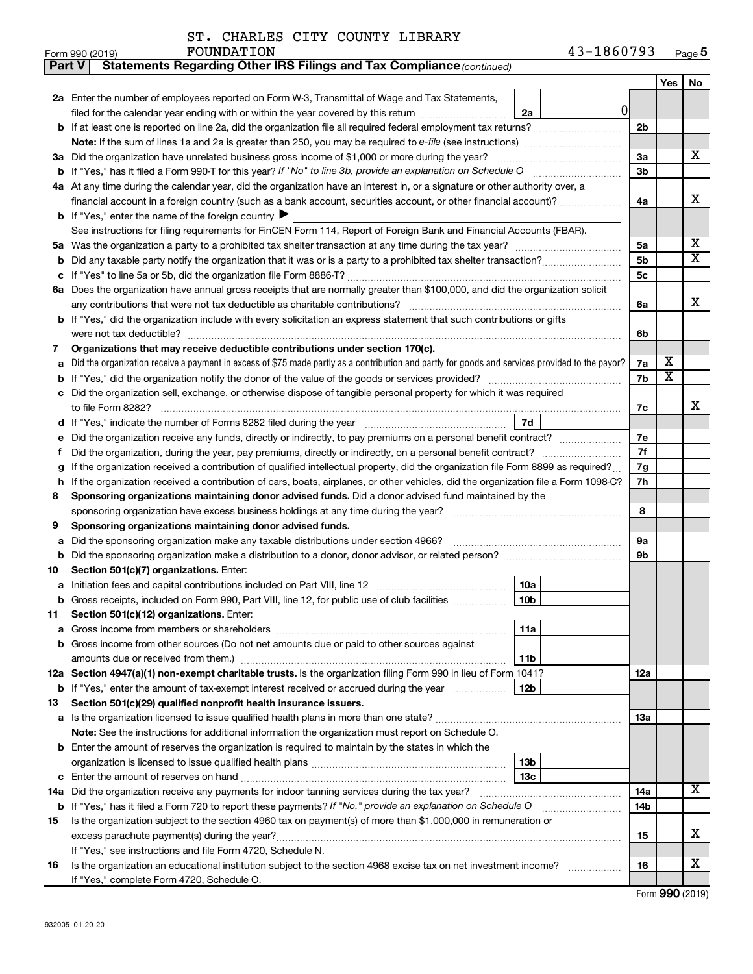| <b>Part V</b> | Statements Regarding Other IRS Filings and Tax Compliance (continued)                                                                                                         |                |                              |        |  |  |  |
|---------------|-------------------------------------------------------------------------------------------------------------------------------------------------------------------------------|----------------|------------------------------|--------|--|--|--|
|               |                                                                                                                                                                               |                | Yes                          | No     |  |  |  |
|               | 2a Enter the number of employees reported on Form W-3, Transmittal of Wage and Tax Statements,                                                                                |                |                              |        |  |  |  |
|               | 0<br>filed for the calendar year ending with or within the year covered by this return<br>2a                                                                                  |                |                              |        |  |  |  |
|               | b If at least one is reported on line 2a, did the organization file all required federal employment tax returns?                                                              | 2 <sub>b</sub> |                              |        |  |  |  |
|               |                                                                                                                                                                               |                |                              |        |  |  |  |
|               | 3a Did the organization have unrelated business gross income of \$1,000 or more during the year?                                                                              | За             |                              | x      |  |  |  |
|               |                                                                                                                                                                               | 3b             |                              |        |  |  |  |
|               | 4a At any time during the calendar year, did the organization have an interest in, or a signature or other authority over, a                                                  |                |                              |        |  |  |  |
|               | financial account in a foreign country (such as a bank account, securities account, or other financial account)?                                                              | 4a             |                              | x      |  |  |  |
|               | <b>b</b> If "Yes," enter the name of the foreign country $\blacktriangleright$                                                                                                |                |                              |        |  |  |  |
|               | See instructions for filing requirements for FinCEN Form 114, Report of Foreign Bank and Financial Accounts (FBAR).                                                           |                |                              |        |  |  |  |
| 5a            |                                                                                                                                                                               | 5a             |                              | х<br>X |  |  |  |
| b             |                                                                                                                                                                               |                |                              |        |  |  |  |
|               |                                                                                                                                                                               | 5с             |                              |        |  |  |  |
|               | 6a Does the organization have annual gross receipts that are normally greater than \$100,000, and did the organization solicit                                                |                |                              |        |  |  |  |
|               | any contributions that were not tax deductible as charitable contributions?                                                                                                   | 6a             |                              | х      |  |  |  |
|               | b If "Yes," did the organization include with every solicitation an express statement that such contributions or gifts                                                        |                |                              |        |  |  |  |
|               | were not tax deductible?                                                                                                                                                      | 6b             |                              |        |  |  |  |
| 7             | Organizations that may receive deductible contributions under section 170(c).                                                                                                 |                |                              |        |  |  |  |
| a             | Did the organization receive a payment in excess of \$75 made partly as a contribution and partly for goods and services provided to the payor?                               | 7a             | х<br>$\overline{\textbf{x}}$ |        |  |  |  |
| b             |                                                                                                                                                                               | 7b             |                              |        |  |  |  |
|               | Did the organization sell, exchange, or otherwise dispose of tangible personal property for which it was required                                                             |                |                              | x      |  |  |  |
|               | 7d                                                                                                                                                                            | 7c             |                              |        |  |  |  |
|               | Did the organization receive any funds, directly or indirectly, to pay premiums on a personal benefit contract?                                                               | 7е             |                              |        |  |  |  |
| f             |                                                                                                                                                                               | 7f             |                              |        |  |  |  |
| g             | If the organization received a contribution of qualified intellectual property, did the organization file Form 8899 as required?                                              |                |                              |        |  |  |  |
| h             | If the organization received a contribution of cars, boats, airplanes, or other vehicles, did the organization file a Form 1098-C?                                            |                |                              |        |  |  |  |
| 8             | Sponsoring organizations maintaining donor advised funds. Did a donor advised fund maintained by the                                                                          |                |                              |        |  |  |  |
|               |                                                                                                                                                                               |                |                              |        |  |  |  |
| 9             | Sponsoring organizations maintaining donor advised funds.                                                                                                                     |                |                              |        |  |  |  |
| а             | Did the sponsoring organization make any taxable distributions under section 4966?                                                                                            | 9а             |                              |        |  |  |  |
| b             | Did the sponsoring organization make a distribution to a donor, donor advisor, or related person?                                                                             | 9b             |                              |        |  |  |  |
| 10            | Section 501(c)(7) organizations. Enter:                                                                                                                                       |                |                              |        |  |  |  |
|               | 10a                                                                                                                                                                           |                |                              |        |  |  |  |
|               | 10 <sub>b</sub><br>b Gross receipts, included on Form 990, Part VIII, line 12, for public use of club facilities                                                              |                |                              |        |  |  |  |
| 11            | Section 501(c)(12) organizations. Enter:                                                                                                                                      |                |                              |        |  |  |  |
|               | 11a                                                                                                                                                                           |                |                              |        |  |  |  |
|               | b Gross income from other sources (Do not net amounts due or paid to other sources against                                                                                    |                |                              |        |  |  |  |
|               | amounts due or received from them.)<br>11 <sub>b</sub>                                                                                                                        |                |                              |        |  |  |  |
|               | 12a Section 4947(a)(1) non-exempt charitable trusts. Is the organization filing Form 990 in lieu of Form 1041?                                                                | 12a            |                              |        |  |  |  |
|               | 12 <sub>b</sub><br>b If "Yes," enter the amount of tax-exempt interest received or accrued during the year                                                                    |                |                              |        |  |  |  |
| 13            | Section 501(c)(29) qualified nonprofit health insurance issuers.                                                                                                              |                |                              |        |  |  |  |
|               | a Is the organization licensed to issue qualified health plans in more than one state?                                                                                        | 13a            |                              |        |  |  |  |
|               | Note: See the instructions for additional information the organization must report on Schedule O.                                                                             |                |                              |        |  |  |  |
|               | <b>b</b> Enter the amount of reserves the organization is required to maintain by the states in which the                                                                     |                |                              |        |  |  |  |
|               | 13 <sub>b</sub>                                                                                                                                                               |                |                              |        |  |  |  |
|               | 13c                                                                                                                                                                           |                |                              |        |  |  |  |
|               | 14a Did the organization receive any payments for indoor tanning services during the tax year?                                                                                | 14a            |                              | x      |  |  |  |
|               | <b>b</b> If "Yes," has it filed a Form 720 to report these payments? If "No," provide an explanation on Schedule O                                                            | 14b            |                              |        |  |  |  |
| 15            | Is the organization subject to the section 4960 tax on payment(s) of more than \$1,000,000 in remuneration or                                                                 |                |                              | x      |  |  |  |
|               | excess parachute payment(s) during the year?                                                                                                                                  | 15             |                              |        |  |  |  |
| 16            | If "Yes," see instructions and file Form 4720, Schedule N.<br>Is the organization an educational institution subject to the section 4968 excise tax on net investment income? | 16             |                              | x      |  |  |  |
|               | If "Yes," complete Form 4720, Schedule O.                                                                                                                                     |                |                              |        |  |  |  |
|               |                                                                                                                                                                               |                |                              |        |  |  |  |

Form (2019) **990**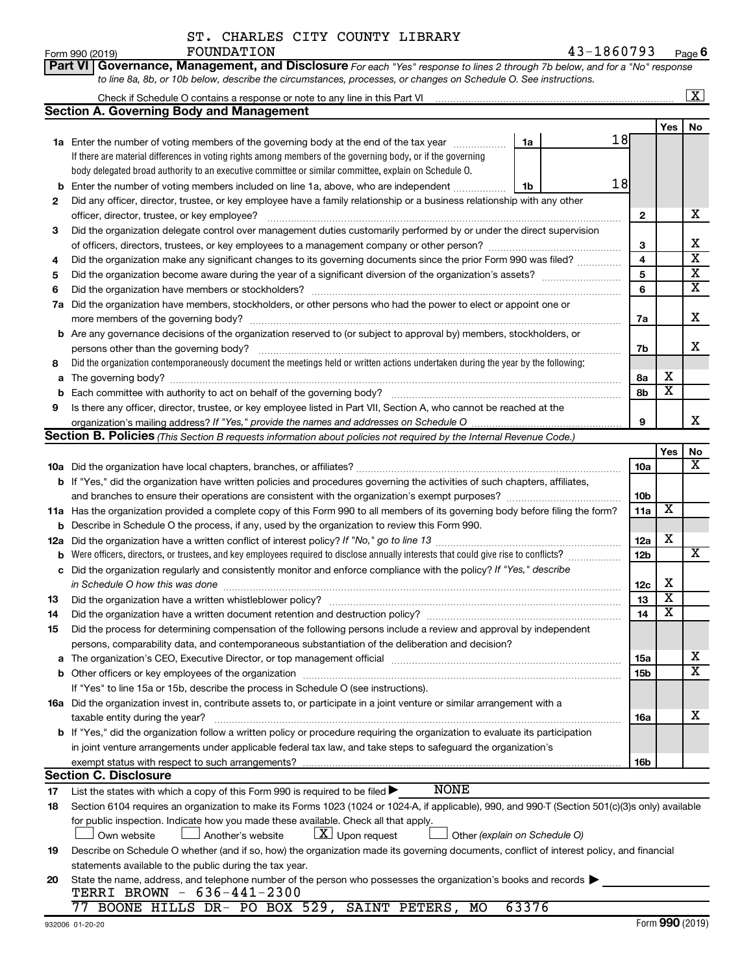| ST. CHARLES CITY COUNTY LIBRARY |  |  |
|---------------------------------|--|--|
| FOUNDATION                      |  |  |

|        | Part VI Governance, Management, and Disclosure For each "Yes" response to lines 2 through 7b below, and for a "No" response                                                                                                    |                 |                         |                         |
|--------|--------------------------------------------------------------------------------------------------------------------------------------------------------------------------------------------------------------------------------|-----------------|-------------------------|-------------------------|
|        | to line 8a, 8b, or 10b below, describe the circumstances, processes, or changes on Schedule O. See instructions.                                                                                                               |                 |                         |                         |
|        | Check if Schedule O contains a response or note to any line in this Part VI [11] [12] [12] Check if Schedule O contains a response or note to any line in this Part VI                                                         |                 |                         | $\overline{\mathbf{X}}$ |
|        | <b>Section A. Governing Body and Management</b>                                                                                                                                                                                |                 |                         |                         |
|        | 18                                                                                                                                                                                                                             |                 | Yes                     | No                      |
|        | 1a Enter the number of voting members of the governing body at the end of the tax year<br>1a                                                                                                                                   |                 |                         |                         |
|        | If there are material differences in voting rights among members of the governing body, or if the governing                                                                                                                    |                 |                         |                         |
|        | body delegated broad authority to an executive committee or similar committee, explain on Schedule O.<br>18                                                                                                                    |                 |                         |                         |
| b      | Enter the number of voting members included on line 1a, above, who are independent<br>1b                                                                                                                                       |                 |                         |                         |
| 2      | Did any officer, director, trustee, or key employee have a family relationship or a business relationship with any other                                                                                                       |                 |                         | x                       |
|        | officer, director, trustee, or key employee?                                                                                                                                                                                   | $\mathbf{2}$    |                         |                         |
| 3      | Did the organization delegate control over management duties customarily performed by or under the direct supervision                                                                                                          |                 |                         | х                       |
|        |                                                                                                                                                                                                                                | 3<br>4          |                         | $\overline{\textbf{x}}$ |
| 4      | Did the organization make any significant changes to its governing documents since the prior Form 990 was filed?                                                                                                               | 5               |                         | $\overline{\mathbf{X}}$ |
| 5      |                                                                                                                                                                                                                                |                 |                         | $\overline{\textbf{X}}$ |
| 6      |                                                                                                                                                                                                                                | 6               |                         |                         |
|        | 7a Did the organization have members, stockholders, or other persons who had the power to elect or appoint one or                                                                                                              |                 |                         | Χ                       |
|        |                                                                                                                                                                                                                                | 7a              |                         |                         |
|        | <b>b</b> Are any governance decisions of the organization reserved to (or subject to approval by) members, stockholders, or                                                                                                    |                 |                         | x                       |
|        | persons other than the governing body?<br>Did the organization contemporaneously document the meetings held or written actions undertaken during the year by the following:                                                    | 7b              |                         |                         |
| 8      |                                                                                                                                                                                                                                |                 | х                       |                         |
| a      |                                                                                                                                                                                                                                | 8a<br>8b        | $\overline{\text{x}}$   |                         |
| b<br>9 | Is there any officer, director, trustee, or key employee listed in Part VII, Section A, who cannot be reached at the                                                                                                           |                 |                         |                         |
|        |                                                                                                                                                                                                                                | 9               |                         | x                       |
|        | Section B. Policies (This Section B requests information about policies not required by the Internal Revenue Code.)                                                                                                            |                 |                         |                         |
|        |                                                                                                                                                                                                                                |                 | Yes                     | No                      |
|        |                                                                                                                                                                                                                                | <b>10a</b>      |                         | X                       |
|        | <b>b</b> If "Yes," did the organization have written policies and procedures governing the activities of such chapters, affiliates,                                                                                            |                 |                         |                         |
|        | and branches to ensure their operations are consistent with the organization's exempt purposes? www.www.www.www.                                                                                                               | 10 <sub>b</sub> |                         |                         |
|        | 11a Has the organization provided a complete copy of this Form 990 to all members of its governing body before filing the form?                                                                                                | 11a             | X                       |                         |
| b      | Describe in Schedule O the process, if any, used by the organization to review this Form 990.                                                                                                                                  |                 |                         |                         |
| 12a    |                                                                                                                                                                                                                                | 12a             | х                       |                         |
| b      | Were officers, directors, or trustees, and key employees required to disclose annually interests that could give rise to conflicts?                                                                                            | 12b             |                         | х                       |
| с      | Did the organization regularly and consistently monitor and enforce compliance with the policy? If "Yes," describe                                                                                                             |                 |                         |                         |
|        | in Schedule O how this was done manufactured and continuum and contact the was done manufactured and contact t                                                                                                                 | 12c             | х                       |                         |
| 13     |                                                                                                                                                                                                                                | 13              | $\overline{\mathbf{x}}$ |                         |
| 14     | Did the organization have a written document retention and destruction policy? [111] manufaction policy?                                                                                                                       | 14              | $\overline{\mathtt{x}}$ |                         |
| 15     | Did the process for determining compensation of the following persons include a review and approval by independent                                                                                                             |                 |                         |                         |
|        | persons, comparability data, and contemporaneous substantiation of the deliberation and decision?                                                                                                                              |                 |                         |                         |
|        | The organization's CEO, Executive Director, or top management official manufactured content of the organization's CEO, Executive Director, or top management official manufactured content of the state of the state of the st | 15a             |                         | x                       |
|        |                                                                                                                                                                                                                                | 15b             |                         | $\overline{\text{X}}$   |
|        | If "Yes" to line 15a or 15b, describe the process in Schedule O (see instructions).                                                                                                                                            |                 |                         |                         |
|        | 16a Did the organization invest in, contribute assets to, or participate in a joint venture or similar arrangement with a                                                                                                      |                 |                         |                         |
|        | taxable entity during the year?                                                                                                                                                                                                | 16a             |                         | x                       |
|        | <b>b</b> If "Yes," did the organization follow a written policy or procedure requiring the organization to evaluate its participation                                                                                          |                 |                         |                         |
|        | in joint venture arrangements under applicable federal tax law, and take steps to safeguard the organization's                                                                                                                 |                 |                         |                         |
|        | exempt status with respect to such arrangements?                                                                                                                                                                               | 16b             |                         |                         |
|        | <b>Section C. Disclosure</b>                                                                                                                                                                                                   |                 |                         |                         |
| 17     | <b>NONE</b><br>List the states with which a copy of this Form 990 is required to be filed >                                                                                                                                    |                 |                         |                         |
| 18     | Section 6104 requires an organization to make its Forms 1023 (1024 or 1024-A, if applicable), 990, and 990-T (Section 501(c)(3)s only) available                                                                               |                 |                         |                         |
|        | for public inspection. Indicate how you made these available. Check all that apply.                                                                                                                                            |                 |                         |                         |
|        | $\lfloor \underline{X} \rfloor$ Upon request<br>Another's website<br>Other (explain on Schedule O)<br>Own website                                                                                                              |                 |                         |                         |
| 19     | Describe on Schedule O whether (and if so, how) the organization made its governing documents, conflict of interest policy, and financial                                                                                      |                 |                         |                         |
|        | statements available to the public during the tax year.                                                                                                                                                                        |                 |                         |                         |
| 20     | State the name, address, and telephone number of the person who possesses the organization's books and records                                                                                                                 |                 |                         |                         |
|        | TERRI BROWN - 636-441-2300<br>63376<br>77                                                                                                                                                                                      |                 |                         |                         |
|        | BOONE HILLS DR- PO BOX 529, SAINT PETERS, MO                                                                                                                                                                                   |                 |                         |                         |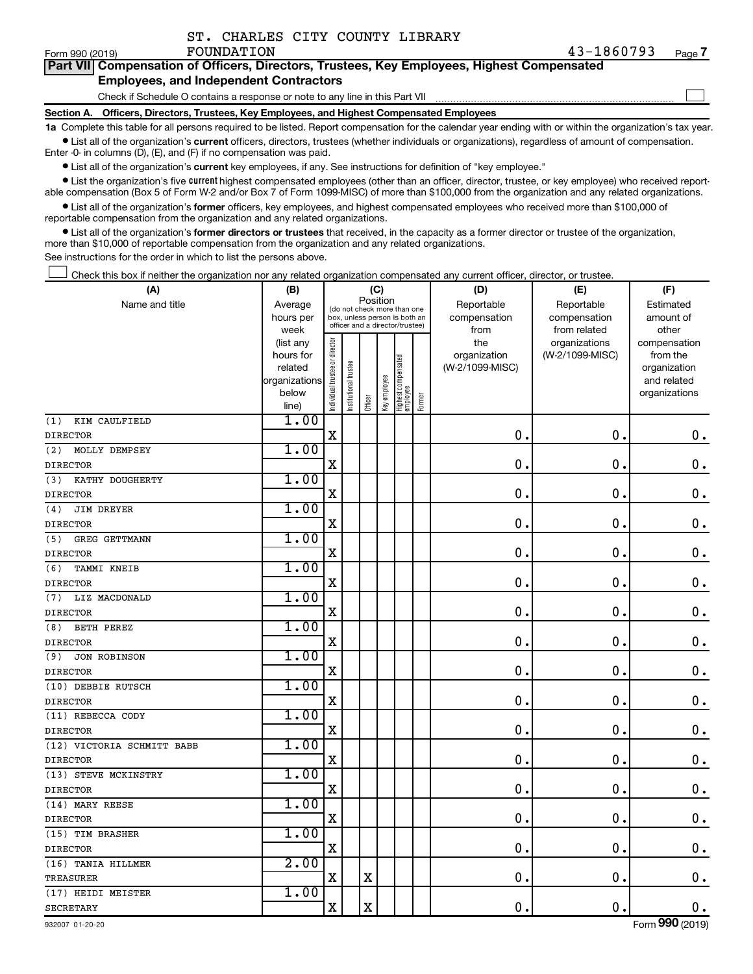| ST. CHARLES CITY COUNTY LIBRARY |  |  |
|---------------------------------|--|--|
|                                 |  |  |

 $\Box$ 

| Part VII Compensation of Officers, Directors, Trustees, Key Employees, Highest Compensated |  |
|--------------------------------------------------------------------------------------------|--|
| <b>Employees, and Independent Contractors</b>                                              |  |

Check if Schedule O contains a response or note to any line in this Part VII

**Section A. Officers, Directors, Trustees, Key Employees, and Highest Compensated Employees**

**1a**  Complete this table for all persons required to be listed. Report compensation for the calendar year ending with or within the organization's tax year.  $\bullet$  List all of the organization's current officers, directors, trustees (whether individuals or organizations), regardless of amount of compensation.

Enter -0- in columns (D), (E), and (F) if no compensation was paid.

**•** List all of the organization's current key employees, if any. See instructions for definition of "key employee."

• List the organization's five *current* highest compensated employees (other than an officer, director, trustee, or key employee) who received reportable compensation (Box 5 of Form W-2 and/or Box 7 of Form 1099-MISC) of more than \$100,000 from the organization and any related organizations.

 $\bullet$  List all of the organization's former officers, key employees, and highest compensated employees who received more than \$100,000 of reportable compensation from the organization and any related organizations.

**•** List all of the organization's former directors or trustees that received, in the capacity as a former director or trustee of the organization, more than \$10,000 of reportable compensation from the organization and any related organizations.

See instructions for the order in which to list the persons above.

Check this box if neither the organization nor any related organization compensated any current officer, director, or trustee.  $\Box$ 

| (A)                        | (B)                    |                                |                                                                  | (C)                     |              |                                 |        | (D)             | (E)                           | (F)                      |  |  |
|----------------------------|------------------------|--------------------------------|------------------------------------------------------------------|-------------------------|--------------|---------------------------------|--------|-----------------|-------------------------------|--------------------------|--|--|
| Name and title             | Average                |                                | (do not check more than one                                      | Position                |              |                                 |        | Reportable      | Reportable                    | Estimated                |  |  |
|                            | hours per              |                                | box, unless person is both an<br>officer and a director/trustee) |                         |              |                                 |        | compensation    | compensation                  | amount of                |  |  |
|                            | week                   |                                |                                                                  |                         |              |                                 |        | from<br>the     | from related<br>organizations | other                    |  |  |
|                            | (list any<br>hours for |                                |                                                                  |                         |              |                                 |        | organization    | (W-2/1099-MISC)               | compensation<br>from the |  |  |
|                            | related                |                                |                                                                  |                         |              |                                 |        | (W-2/1099-MISC) |                               | organization             |  |  |
|                            | organizations          |                                |                                                                  |                         |              |                                 |        |                 |                               | and related              |  |  |
|                            | below                  | Individual trustee or director | Institutional trustee                                            |                         | Key employee | Highest compensated<br>employee |        |                 |                               | organizations            |  |  |
|                            | line)                  |                                |                                                                  | Officer                 |              |                                 | Former |                 |                               |                          |  |  |
| (1)<br>KIM CAULFIELD       | 1.00                   |                                |                                                                  |                         |              |                                 |        |                 |                               |                          |  |  |
| <b>DIRECTOR</b>            |                        | $\mathbf X$                    |                                                                  |                         |              |                                 |        | 0.              | 0.                            | $\mathbf 0$ .            |  |  |
| (2)<br>MOLLY DEMPSEY       | 1.00                   |                                |                                                                  |                         |              |                                 |        |                 |                               |                          |  |  |
| <b>DIRECTOR</b>            |                        | $\mathbf X$                    |                                                                  |                         |              |                                 |        | $\mathbf 0$     | $\mathbf 0$ .                 | $\mathbf 0$ .            |  |  |
| KATHY DOUGHERTY<br>(3)     | 1.00                   |                                |                                                                  |                         |              |                                 |        |                 |                               |                          |  |  |
| <b>DIRECTOR</b>            |                        | X                              |                                                                  |                         |              |                                 |        | $\mathbf 0$     | $\mathbf 0$ .                 | $\mathbf 0$ .            |  |  |
| <b>JIM DREYER</b><br>(4)   | 1.00                   |                                |                                                                  |                         |              |                                 |        |                 |                               |                          |  |  |
| <b>DIRECTOR</b>            |                        | $\mathbf X$                    |                                                                  |                         |              |                                 |        | $\mathbf 0$     | $\mathbf 0$ .                 | $\mathbf 0$ .            |  |  |
| GREG GETTMANN<br>(5)       | 1.00                   |                                |                                                                  |                         |              |                                 |        |                 |                               |                          |  |  |
| <b>DIRECTOR</b>            |                        | X                              |                                                                  |                         |              |                                 |        | $\mathbf 0$     | $\mathbf 0$ .                 | $\boldsymbol{0}$ .       |  |  |
| (6)<br>TAMMI KNEIB         | 1.00                   |                                |                                                                  |                         |              |                                 |        |                 |                               |                          |  |  |
| <b>DIRECTOR</b>            |                        | $\mathbf X$                    |                                                                  |                         |              |                                 |        | $\mathbf 0$     | $\mathbf 0$                   | $\mathbf 0$ .            |  |  |
| LIZ MACDONALD<br>(7)       | 1.00                   |                                |                                                                  |                         |              |                                 |        |                 |                               |                          |  |  |
| <b>DIRECTOR</b>            |                        | X                              |                                                                  |                         |              |                                 |        | 0               | $\mathbf 0$                   | $\mathbf 0$ .            |  |  |
| (8)<br>BETH PEREZ          | 1.00                   |                                |                                                                  |                         |              |                                 |        |                 |                               |                          |  |  |
| <b>DIRECTOR</b>            |                        | $\mathbf X$                    |                                                                  |                         |              |                                 |        | $\mathbf 0$     | $\mathbf 0$ .                 | $\mathbf 0$ .            |  |  |
| (9)<br><b>JON ROBINSON</b> | 1.00                   |                                |                                                                  |                         |              |                                 |        |                 |                               |                          |  |  |
| <b>DIRECTOR</b>            |                        | $\mathbf X$                    |                                                                  |                         |              |                                 |        | 0               | $\mathbf 0$ .                 | $\mathbf 0$ .            |  |  |
| (10) DEBBIE RUTSCH         | 1.00                   |                                |                                                                  |                         |              |                                 |        |                 |                               |                          |  |  |
| <b>DIRECTOR</b>            |                        | $\rm X$                        |                                                                  |                         |              |                                 |        | $\mathbf 0$     | $\mathbf 0$ .                 | $\mathbf 0$ .            |  |  |
| (11) REBECCA CODY          | 1.00                   |                                |                                                                  |                         |              |                                 |        |                 |                               |                          |  |  |
| <b>DIRECTOR</b>            |                        | X                              |                                                                  |                         |              |                                 |        | $\mathbf 0$     | 0.                            | $\mathbf 0$ .            |  |  |
| (12) VICTORIA SCHMITT BABB | 1.00                   |                                |                                                                  |                         |              |                                 |        |                 |                               |                          |  |  |
| <b>DIRECTOR</b>            |                        | $\mathbf X$                    |                                                                  |                         |              |                                 |        | $\mathbf 0$     | $\mathbf 0$ .                 | $\mathbf 0$ .            |  |  |
| (13) STEVE MCKINSTRY       | 1.00                   |                                |                                                                  |                         |              |                                 |        |                 |                               |                          |  |  |
| <b>DIRECTOR</b>            |                        | X                              |                                                                  |                         |              |                                 |        | $\mathbf 0$     | $\mathbf 0$ .                 | $\mathbf 0$ .            |  |  |
| (14) MARY REESE            | 1.00                   |                                |                                                                  |                         |              |                                 |        |                 |                               |                          |  |  |
| <b>DIRECTOR</b>            |                        | $\mathbf X$                    |                                                                  |                         |              |                                 |        | 0               | $\mathbf 0$ .                 | 0.                       |  |  |
| (15) TIM BRASHER           | 1.00                   |                                |                                                                  |                         |              |                                 |        |                 |                               |                          |  |  |
| <b>DIRECTOR</b>            |                        | $\mathbf X$                    |                                                                  |                         |              |                                 |        | $\mathbf 0$ .   | $\mathbf 0$ .                 | $\mathbf 0$ .            |  |  |
| (16) TANIA HILLMER         | 2.00                   |                                |                                                                  |                         |              |                                 |        |                 |                               |                          |  |  |
| <b>TREASURER</b>           |                        | $\mathbf X$                    |                                                                  | $\mathbf x$             |              |                                 |        | 0.              | $\mathbf 0$ .                 | 0.                       |  |  |
| (17) HEIDI MEISTER         | 1.00                   |                                |                                                                  |                         |              |                                 |        |                 |                               |                          |  |  |
| <b>SECRETARY</b>           |                        | X                              |                                                                  | $\overline{\mathbf{X}}$ |              |                                 |        | $\mathbf 0$ .   | $\mathbf 0$ .                 | $\mathbf 0$ .            |  |  |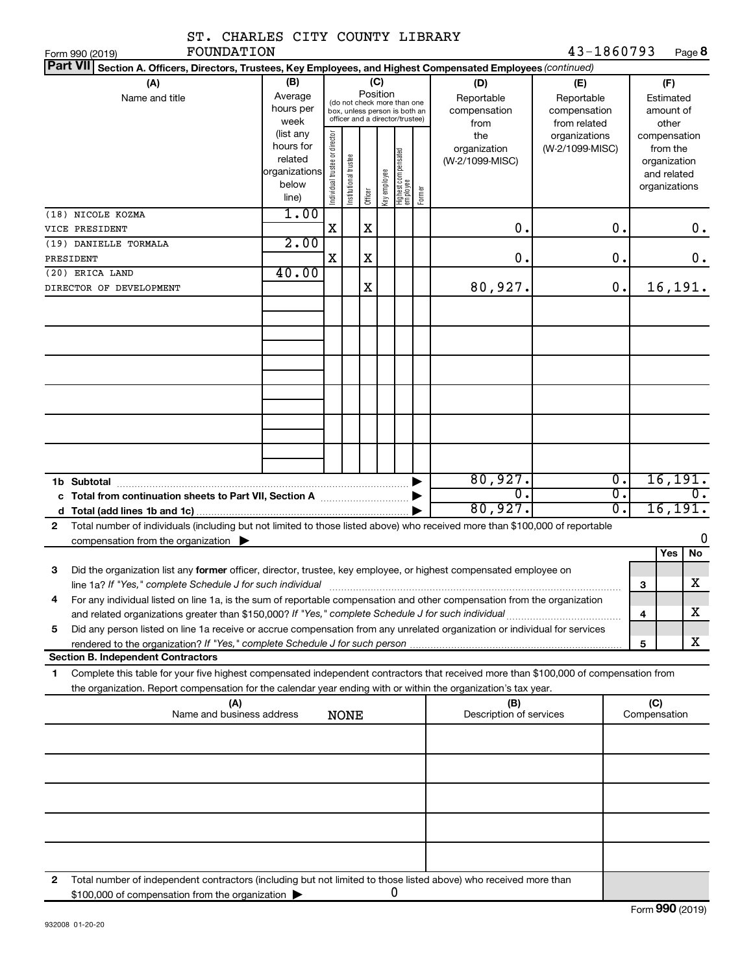| ST. CHARLES CITY COUNTY LIBRARY                                                                                                                                                                                                                             |                                                               |                                |                       |          |              |                                                                                                 |        |                                                  |                                                                    |                        |                     |                                                          |
|-------------------------------------------------------------------------------------------------------------------------------------------------------------------------------------------------------------------------------------------------------------|---------------------------------------------------------------|--------------------------------|-----------------------|----------|--------------|-------------------------------------------------------------------------------------------------|--------|--------------------------------------------------|--------------------------------------------------------------------|------------------------|---------------------|----------------------------------------------------------|
| FOUNDATION<br>Form 990 (2019)                                                                                                                                                                                                                               |                                                               |                                |                       |          |              |                                                                                                 |        |                                                  | 43-1860793                                                         |                        |                     | Page 8                                                   |
| Part VII Section A. Officers, Directors, Trustees, Key Employees, and Highest Compensated Employees (continued)                                                                                                                                             |                                                               |                                |                       |          |              |                                                                                                 |        |                                                  |                                                                    |                        |                     |                                                          |
| (A)<br>Name and title                                                                                                                                                                                                                                       | (B)<br>Average<br>hours per<br>week<br>(list any<br>hours for |                                |                       | Position | (C)          | (do not check more than one<br>box, unless person is both an<br>officer and a director/trustee) |        | (D)<br>Reportable<br>compensation<br>from<br>the | (E)<br>Reportable<br>compensation<br>from related<br>organizations |                        |                     | (F)<br>Estimated<br>amount of<br>other<br>compensation   |
|                                                                                                                                                                                                                                                             | related<br>organizations<br>below<br>line)                    | Individual trustee or director | Institutional trustee | Officer  | Key employee | Highest compensated<br>employee                                                                 | Former | organization<br>(W-2/1099-MISC)                  | (W-2/1099-MISC)                                                    |                        |                     | from the<br>organization<br>and related<br>organizations |
| (18) NICOLE KOZMA<br>VICE PRESIDENT                                                                                                                                                                                                                         | 1.00                                                          | X                              |                       | X        |              |                                                                                                 |        | 0.                                               |                                                                    | 0.                     |                     | 0.                                                       |
| (19) DANIELLE TORMALA                                                                                                                                                                                                                                       | 2.00                                                          |                                |                       |          |              |                                                                                                 |        |                                                  |                                                                    |                        |                     |                                                          |
| PRESIDENT                                                                                                                                                                                                                                                   |                                                               | X                              |                       | X        |              |                                                                                                 |        | $\mathbf 0$ .                                    |                                                                    | О.                     |                     | $\mathbf 0$ .                                            |
| (20) ERICA LAND                                                                                                                                                                                                                                             | 40.00                                                         |                                |                       |          |              |                                                                                                 |        |                                                  |                                                                    |                        |                     |                                                          |
| DIRECTOR OF DEVELOPMENT                                                                                                                                                                                                                                     |                                                               |                                |                       | X        |              |                                                                                                 |        | 80,927.                                          |                                                                    | 0.                     |                     | 16,191.                                                  |
|                                                                                                                                                                                                                                                             |                                                               |                                |                       |          |              |                                                                                                 |        |                                                  |                                                                    |                        |                     |                                                          |
|                                                                                                                                                                                                                                                             |                                                               |                                |                       |          |              |                                                                                                 |        |                                                  |                                                                    |                        |                     |                                                          |
|                                                                                                                                                                                                                                                             |                                                               |                                |                       |          |              |                                                                                                 |        |                                                  |                                                                    |                        |                     |                                                          |
|                                                                                                                                                                                                                                                             |                                                               |                                |                       |          |              |                                                                                                 |        |                                                  |                                                                    |                        |                     |                                                          |
| 1b Subtotal                                                                                                                                                                                                                                                 |                                                               |                                |                       |          |              |                                                                                                 |        | 80,927.<br>$\overline{0}$ .                      |                                                                    | $\overline{0}$ .<br>σ. |                     | 16, 191.<br>$\overline{0}$ .                             |
|                                                                                                                                                                                                                                                             |                                                               |                                |                       |          |              |                                                                                                 |        | 80,927.                                          |                                                                    | σ.                     |                     | 16, 191.                                                 |
| Total number of individuals (including but not limited to those listed above) who received more than \$100,000 of reportable<br>$\mathbf{2}$                                                                                                                |                                                               |                                |                       |          |              |                                                                                                 |        |                                                  |                                                                    |                        |                     |                                                          |
| compensation from the organization $\blacktriangleright$                                                                                                                                                                                                    |                                                               |                                |                       |          |              |                                                                                                 |        |                                                  |                                                                    |                        |                     | 0                                                        |
|                                                                                                                                                                                                                                                             |                                                               |                                |                       |          |              |                                                                                                 |        |                                                  |                                                                    |                        |                     | Yes<br>No                                                |
| Did the organization list any former officer, director, trustee, key employee, or highest compensated employee on<br>з                                                                                                                                      |                                                               |                                |                       |          |              |                                                                                                 |        |                                                  |                                                                    |                        |                     |                                                          |
| line 1a? If "Yes," complete Schedule J for such individual material content content content for the content of                                                                                                                                              |                                                               |                                |                       |          |              |                                                                                                 |        |                                                  |                                                                    |                        | 3                   | $\mathbf X$                                              |
| For any individual listed on line 1a, is the sum of reportable compensation and other compensation from the organization<br>4                                                                                                                               |                                                               |                                |                       |          |              |                                                                                                 |        |                                                  |                                                                    |                        |                     |                                                          |
|                                                                                                                                                                                                                                                             |                                                               |                                |                       |          |              |                                                                                                 |        |                                                  |                                                                    |                        | 4                   | х                                                        |
| Did any person listed on line 1a receive or accrue compensation from any unrelated organization or individual for services<br>5                                                                                                                             |                                                               |                                |                       |          |              |                                                                                                 |        |                                                  |                                                                    |                        | 5                   | x                                                        |
| <b>Section B. Independent Contractors</b>                                                                                                                                                                                                                   |                                                               |                                |                       |          |              |                                                                                                 |        |                                                  |                                                                    |                        |                     |                                                          |
| Complete this table for your five highest compensated independent contractors that received more than \$100,000 of compensation from<br>1<br>the organization. Report compensation for the calendar year ending with or within the organization's tax year. |                                                               |                                |                       |          |              |                                                                                                 |        |                                                  |                                                                    |                        |                     |                                                          |
| (A)<br>Name and business address                                                                                                                                                                                                                            |                                                               |                                | <b>NONE</b>           |          |              |                                                                                                 |        | (B)<br>Description of services                   |                                                                    |                        | (C)<br>Compensation |                                                          |
|                                                                                                                                                                                                                                                             |                                                               |                                |                       |          |              |                                                                                                 |        |                                                  |                                                                    |                        |                     |                                                          |
|                                                                                                                                                                                                                                                             |                                                               |                                |                       |          |              |                                                                                                 |        |                                                  |                                                                    |                        |                     |                                                          |
|                                                                                                                                                                                                                                                             |                                                               |                                |                       |          |              |                                                                                                 |        |                                                  |                                                                    |                        |                     |                                                          |
|                                                                                                                                                                                                                                                             |                                                               |                                |                       |          |              |                                                                                                 |        |                                                  |                                                                    |                        |                     |                                                          |
| Total number of independent contractors (including but not limited to those listed above) who received more than<br>2<br>\$100,000 of compensation from the organization                                                                                    |                                                               |                                |                       |          |              | 0                                                                                               |        |                                                  |                                                                    |                        |                     |                                                          |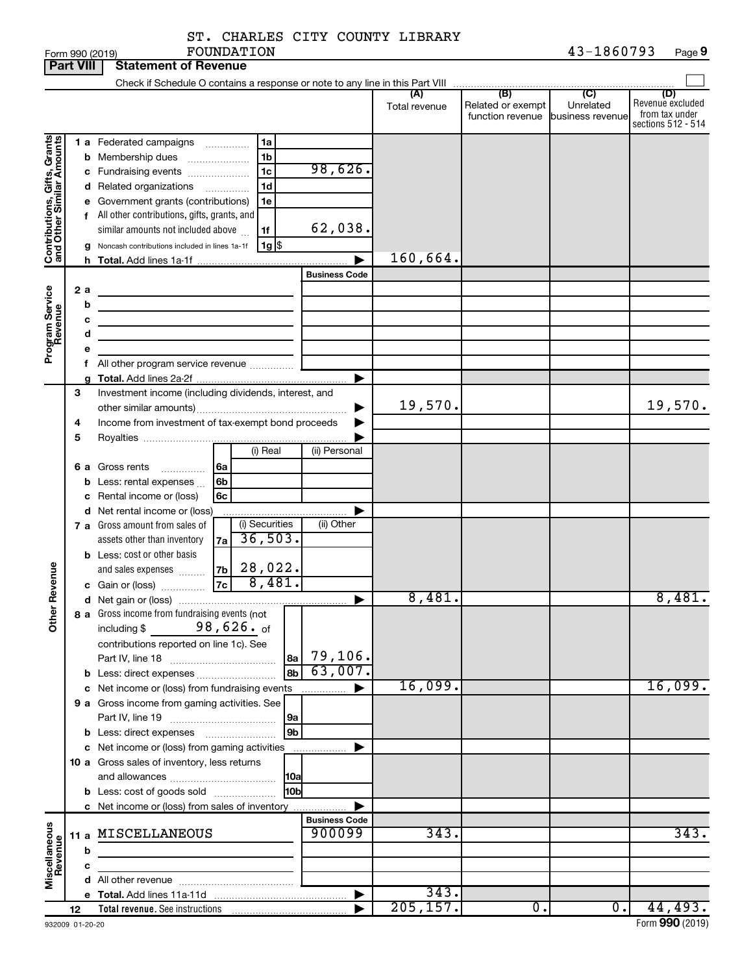| ST. CHARLES CITY COUNTY LIBRARY |  |            |
|---------------------------------|--|------------|
| FOUNDATION                      |  | 43-1860793 |

| <b>Part VIII</b>                                          |             |                  | <b>Statement of Revenue</b>                                                                                                                                                                                                                                                                                                                                       |                                |               |                                                        |           |                                                                 |
|-----------------------------------------------------------|-------------|------------------|-------------------------------------------------------------------------------------------------------------------------------------------------------------------------------------------------------------------------------------------------------------------------------------------------------------------------------------------------------------------|--------------------------------|---------------|--------------------------------------------------------|-----------|-----------------------------------------------------------------|
|                                                           |             |                  |                                                                                                                                                                                                                                                                                                                                                                   |                                |               |                                                        |           |                                                                 |
|                                                           |             |                  |                                                                                                                                                                                                                                                                                                                                                                   |                                | Total revenue | Related or exempt<br>function revenue business revenue | Unrelated | (D)<br>Revenue excluded<br>from tax under<br>sections 512 - 514 |
| Contributions, Gifts, Grants<br>and Other Similar Amounts |             |                  | 1 a Federated campaigns<br>1a<br>1 <sub>b</sub><br><b>b</b> Membership dues<br>1 <sub>c</sub><br>c Fundraising events<br>1d<br>d Related organizations<br>.<br>e Government grants (contributions)<br>1e<br>f All other contributions, gifts, grants, and<br>similar amounts not included above<br>1f<br>$1g$ \$<br>Noncash contributions included in lines 1a-1f | 98,626.<br>62,038.             | 160,664.      |                                                        |           |                                                                 |
|                                                           |             |                  |                                                                                                                                                                                                                                                                                                                                                                   | <b>Business Code</b>           |               |                                                        |           |                                                                 |
| Program Service<br>Revenue                                | 2a          | b<br>с<br>d<br>е | the control of the control of the control of the control of the control of<br>the control of the control of the control of the control of<br>f All other program service revenue                                                                                                                                                                                  |                                |               |                                                        |           |                                                                 |
|                                                           | 3<br>4<br>5 |                  | Investment income (including dividends, interest, and<br>Income from investment of tax-exempt bond proceeds                                                                                                                                                                                                                                                       |                                | 19,570.       |                                                        |           | 19,570.                                                         |
|                                                           |             | b                | (i) Real<br><b>6 a</b> Gross rents<br>l 6a<br>.<br>Less: rental expenses<br>6b<br>c Rental income or (loss)<br>6c                                                                                                                                                                                                                                                 | (ii) Personal                  |               |                                                        |           |                                                                 |
|                                                           |             |                  | d Net rental income or (loss)<br>(i) Securities<br>7 a Gross amount from sales of<br>36,503.<br>7a<br>assets other than inventory<br><b>b</b> Less: cost or other basis<br>28,022.<br>7b<br>and sales expenses                                                                                                                                                    | (ii) Other                     |               |                                                        |           |                                                                 |
| Revenue                                                   |             |                  | 8,481.<br> 7c <br>c Gain or (loss)                                                                                                                                                                                                                                                                                                                                |                                |               |                                                        |           |                                                                 |
|                                                           |             |                  |                                                                                                                                                                                                                                                                                                                                                                   | ▶                              | 8,481.        |                                                        |           | 8,481.                                                          |
| $\tilde{\epsilon}$                                        |             |                  | 8 a Gross income from fundraising events (not<br>98,626. of<br>including \$<br>contributions reported on line 1c). See<br>8a<br>8b<br>b Less: direct expenses                                                                                                                                                                                                     | 79,106.<br>63,007.             |               |                                                        |           |                                                                 |
|                                                           |             |                  | c Net income or (loss) from fundraising events                                                                                                                                                                                                                                                                                                                    | .                              | 16,099.       |                                                        |           | 16,099.                                                         |
|                                                           |             |                  | 9 a Gross income from gaming activities. See<br>l 9a                                                                                                                                                                                                                                                                                                              |                                |               |                                                        |           |                                                                 |
|                                                           |             |                  | 9b                                                                                                                                                                                                                                                                                                                                                                |                                |               |                                                        |           |                                                                 |
|                                                           |             |                  | c Net income or (loss) from gaming activities<br>10 a Gross sales of inventory, less returns                                                                                                                                                                                                                                                                      |                                |               |                                                        |           |                                                                 |
|                                                           |             |                  | 10 <sub>b</sub><br><b>b</b> Less: cost of goods sold                                                                                                                                                                                                                                                                                                              |                                |               |                                                        |           |                                                                 |
| Miscellaneous<br>Revenue                                  |             |                  | c Net income or (loss) from sales of inventory<br>11 a MISCELLANEOUS                                                                                                                                                                                                                                                                                              | <b>Business Code</b><br>900099 | 343.          |                                                        |           | 343.                                                            |
|                                                           |             | b                |                                                                                                                                                                                                                                                                                                                                                                   |                                |               |                                                        |           |                                                                 |
|                                                           |             | c                |                                                                                                                                                                                                                                                                                                                                                                   |                                |               |                                                        |           |                                                                 |
|                                                           |             |                  |                                                                                                                                                                                                                                                                                                                                                                   |                                |               |                                                        |           |                                                                 |
|                                                           |             |                  |                                                                                                                                                                                                                                                                                                                                                                   | $\blacktriangleright$          | 343.          |                                                        |           |                                                                 |
|                                                           | 12          |                  |                                                                                                                                                                                                                                                                                                                                                                   |                                | 205, 157.     | 0.                                                     | $0$ .     | 44,493.                                                         |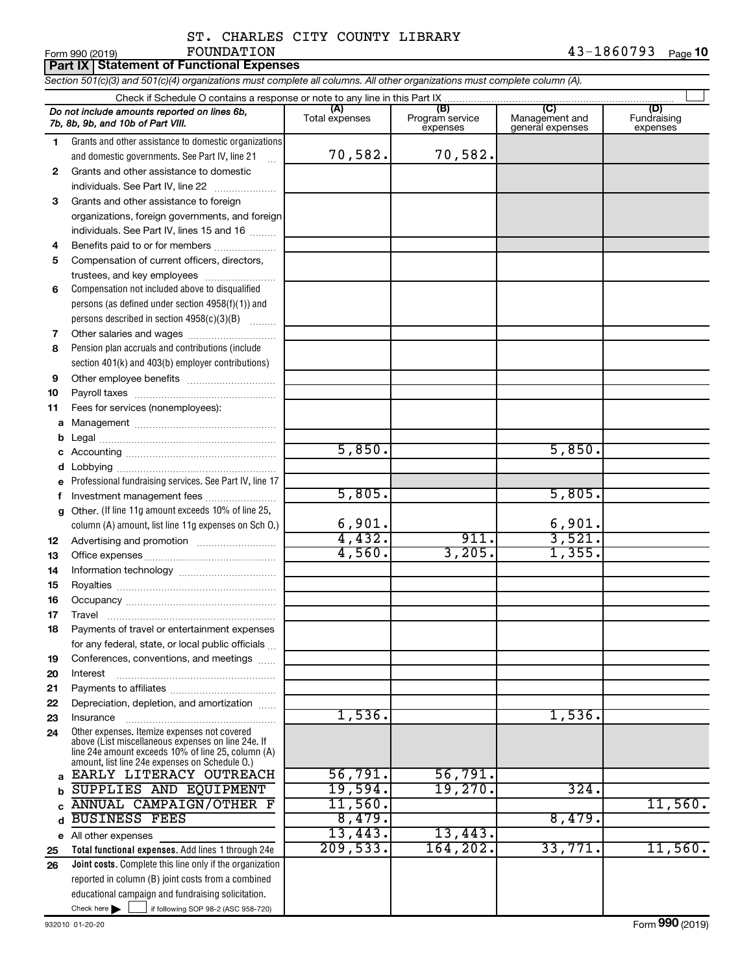## ST. CHARLES CITY COUNTY LIBRARY FOUNDATION 43-1860793

|  | Section 501(c)(3) and 501(c)(4) organizations must complete all columns. All other organizations must complete column (A). |  |  |
|--|----------------------------------------------------------------------------------------------------------------------------|--|--|

**Part IX Statement of Functional Expenses**

| Check if Schedule O contains a response or note to any line in this Part IX |                                                                                                                                                                                                            |                       |                                    |                                           |                                |  |  |  |  |  |  |  |
|-----------------------------------------------------------------------------|------------------------------------------------------------------------------------------------------------------------------------------------------------------------------------------------------------|-----------------------|------------------------------------|-------------------------------------------|--------------------------------|--|--|--|--|--|--|--|
|                                                                             | Do not include amounts reported on lines 6b,<br>7b, 8b, 9b, and 10b of Part VIII.                                                                                                                          | (A)<br>Total expenses | (B)<br>Program service<br>expenses | (C)<br>Management and<br>general expenses | (D)<br>Fundraising<br>expenses |  |  |  |  |  |  |  |
| 1.                                                                          | Grants and other assistance to domestic organizations                                                                                                                                                      |                       |                                    |                                           |                                |  |  |  |  |  |  |  |
|                                                                             | and domestic governments. See Part IV, line 21                                                                                                                                                             | 70,582.               | 70,582.                            |                                           |                                |  |  |  |  |  |  |  |
| 2                                                                           | Grants and other assistance to domestic                                                                                                                                                                    |                       |                                    |                                           |                                |  |  |  |  |  |  |  |
|                                                                             | individuals. See Part IV, line 22<br><u> 1986 - Johann Stoff, Amerikaansk politiker (</u>                                                                                                                  |                       |                                    |                                           |                                |  |  |  |  |  |  |  |
| 3                                                                           | Grants and other assistance to foreign                                                                                                                                                                     |                       |                                    |                                           |                                |  |  |  |  |  |  |  |
|                                                                             | organizations, foreign governments, and foreign                                                                                                                                                            |                       |                                    |                                           |                                |  |  |  |  |  |  |  |
|                                                                             | individuals. See Part IV, lines 15 and 16                                                                                                                                                                  |                       |                                    |                                           |                                |  |  |  |  |  |  |  |
| 4                                                                           | Benefits paid to or for members                                                                                                                                                                            |                       |                                    |                                           |                                |  |  |  |  |  |  |  |
| 5                                                                           | Compensation of current officers, directors,                                                                                                                                                               |                       |                                    |                                           |                                |  |  |  |  |  |  |  |
|                                                                             | trustees, and key employees                                                                                                                                                                                |                       |                                    |                                           |                                |  |  |  |  |  |  |  |
| 6                                                                           | Compensation not included above to disqualified                                                                                                                                                            |                       |                                    |                                           |                                |  |  |  |  |  |  |  |
|                                                                             | persons (as defined under section 4958(f)(1)) and                                                                                                                                                          |                       |                                    |                                           |                                |  |  |  |  |  |  |  |
|                                                                             | persons described in section 4958(c)(3)(B)                                                                                                                                                                 |                       |                                    |                                           |                                |  |  |  |  |  |  |  |
| 7                                                                           |                                                                                                                                                                                                            |                       |                                    |                                           |                                |  |  |  |  |  |  |  |
| 8                                                                           | Pension plan accruals and contributions (include                                                                                                                                                           |                       |                                    |                                           |                                |  |  |  |  |  |  |  |
|                                                                             | section 401(k) and 403(b) employer contributions)                                                                                                                                                          |                       |                                    |                                           |                                |  |  |  |  |  |  |  |
| 9                                                                           |                                                                                                                                                                                                            |                       |                                    |                                           |                                |  |  |  |  |  |  |  |
| 10                                                                          |                                                                                                                                                                                                            |                       |                                    |                                           |                                |  |  |  |  |  |  |  |
| 11                                                                          | Fees for services (nonemployees):                                                                                                                                                                          |                       |                                    |                                           |                                |  |  |  |  |  |  |  |
| а                                                                           |                                                                                                                                                                                                            |                       |                                    |                                           |                                |  |  |  |  |  |  |  |
| b                                                                           |                                                                                                                                                                                                            |                       |                                    |                                           |                                |  |  |  |  |  |  |  |
| с                                                                           |                                                                                                                                                                                                            | 5,850.                |                                    | 5,850.                                    |                                |  |  |  |  |  |  |  |
| d                                                                           |                                                                                                                                                                                                            |                       |                                    |                                           |                                |  |  |  |  |  |  |  |
| е                                                                           | Professional fundraising services. See Part IV, line 17                                                                                                                                                    |                       |                                    |                                           |                                |  |  |  |  |  |  |  |
| f                                                                           | Investment management fees                                                                                                                                                                                 | 5,805.                |                                    | 5,805.                                    |                                |  |  |  |  |  |  |  |
| g                                                                           | Other. (If line 11g amount exceeds 10% of line 25,                                                                                                                                                         |                       |                                    |                                           |                                |  |  |  |  |  |  |  |
|                                                                             | column (A) amount, list line 11g expenses on Sch O.)                                                                                                                                                       | 6,901.                |                                    | 6,901.                                    |                                |  |  |  |  |  |  |  |
| 12                                                                          |                                                                                                                                                                                                            | 4,432.                | 911.                               | 3,521.                                    |                                |  |  |  |  |  |  |  |
| 13                                                                          |                                                                                                                                                                                                            | 4,560.                | 3,205.                             | 1,355.                                    |                                |  |  |  |  |  |  |  |
| 14                                                                          |                                                                                                                                                                                                            |                       |                                    |                                           |                                |  |  |  |  |  |  |  |
| 15                                                                          |                                                                                                                                                                                                            |                       |                                    |                                           |                                |  |  |  |  |  |  |  |
| 16                                                                          |                                                                                                                                                                                                            |                       |                                    |                                           |                                |  |  |  |  |  |  |  |
| 17                                                                          | Travel                                                                                                                                                                                                     |                       |                                    |                                           |                                |  |  |  |  |  |  |  |
| 18                                                                          | Payments of travel or entertainment expenses                                                                                                                                                               |                       |                                    |                                           |                                |  |  |  |  |  |  |  |
|                                                                             | for any federal, state, or local public officials                                                                                                                                                          |                       |                                    |                                           |                                |  |  |  |  |  |  |  |
| 19                                                                          | Conferences, conventions, and meetings                                                                                                                                                                     |                       |                                    |                                           |                                |  |  |  |  |  |  |  |
| 20                                                                          | Interest                                                                                                                                                                                                   |                       |                                    |                                           |                                |  |  |  |  |  |  |  |
| 21                                                                          |                                                                                                                                                                                                            |                       |                                    |                                           |                                |  |  |  |  |  |  |  |
| 22                                                                          | Depreciation, depletion, and amortization                                                                                                                                                                  |                       |                                    |                                           |                                |  |  |  |  |  |  |  |
| 23                                                                          | Insurance                                                                                                                                                                                                  | 1,536.                |                                    | 1,536.                                    |                                |  |  |  |  |  |  |  |
| 24                                                                          | Other expenses. Itemize expenses not covered<br>above (List miscellaneous expenses on line 24e. If<br>line 24e amount exceeds 10% of line 25, column (A)<br>amount, list line 24e expenses on Schedule O.) |                       |                                    |                                           |                                |  |  |  |  |  |  |  |
| a                                                                           | EARLY LITERACY OUTREACH                                                                                                                                                                                    | 56,791.               | 56,791.                            |                                           |                                |  |  |  |  |  |  |  |
|                                                                             | SUPPLIES AND EQUIPMENT                                                                                                                                                                                     | 19,594.               | 19,270.                            | 324.                                      |                                |  |  |  |  |  |  |  |
|                                                                             | <b>ANNUAL CAMPAIGN/OTHER F</b>                                                                                                                                                                             | 11,560.               |                                    |                                           | 11,560.                        |  |  |  |  |  |  |  |
|                                                                             | <b>BUSINESS FEES</b>                                                                                                                                                                                       | 8,479.                |                                    | 8,479.                                    |                                |  |  |  |  |  |  |  |
| е                                                                           | All other expenses                                                                                                                                                                                         | 13,443.               | 13,443.                            |                                           |                                |  |  |  |  |  |  |  |
| 25                                                                          | Total functional expenses. Add lines 1 through 24e                                                                                                                                                         | 209,533.              | 164, 202.                          | 33,771.                                   | 11,560.                        |  |  |  |  |  |  |  |
| 26                                                                          | <b>Joint costs.</b> Complete this line only if the organization                                                                                                                                            |                       |                                    |                                           |                                |  |  |  |  |  |  |  |
|                                                                             | reported in column (B) joint costs from a combined                                                                                                                                                         |                       |                                    |                                           |                                |  |  |  |  |  |  |  |
|                                                                             | educational campaign and fundraising solicitation.                                                                                                                                                         |                       |                                    |                                           |                                |  |  |  |  |  |  |  |
|                                                                             | Check here $\blacktriangleright$<br>if following SOP 98-2 (ASC 958-720)                                                                                                                                    |                       |                                    |                                           |                                |  |  |  |  |  |  |  |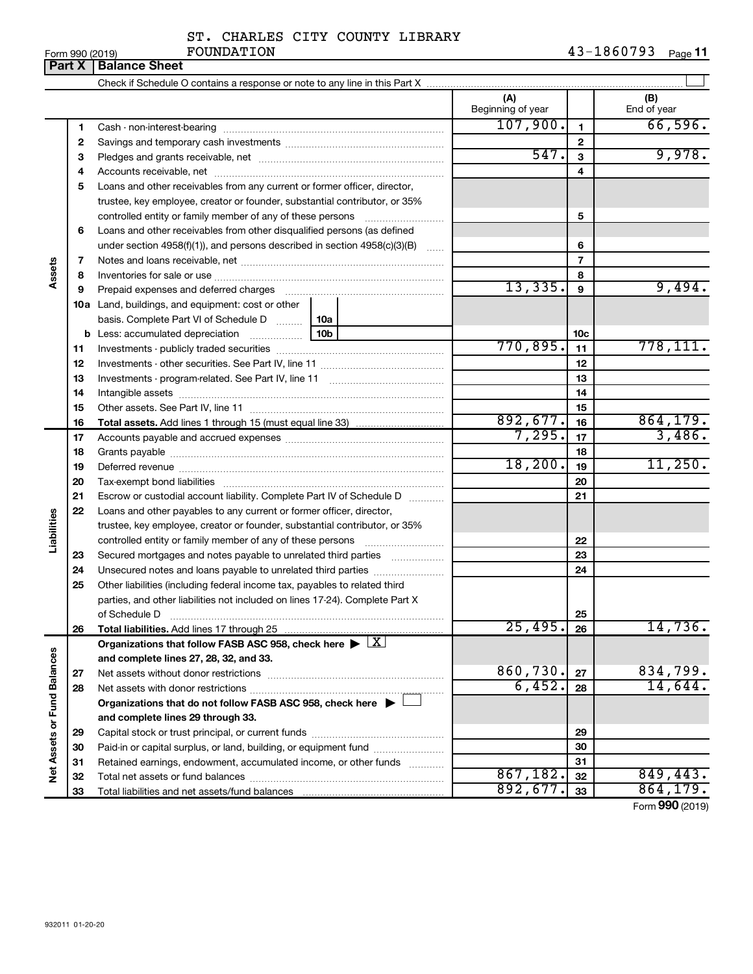# ST. CHARLES CITY COUNTY LIBRARY

|                             |    | <b>Part X   Balance Sheet</b>                                                                                                                        |                          |                 |                    |
|-----------------------------|----|------------------------------------------------------------------------------------------------------------------------------------------------------|--------------------------|-----------------|--------------------|
|                             |    |                                                                                                                                                      |                          |                 |                    |
|                             |    |                                                                                                                                                      | (A)<br>Beginning of year |                 | (B)<br>End of year |
|                             | 1  |                                                                                                                                                      | 107,900.                 | 1               | 66,596.            |
|                             | 2  |                                                                                                                                                      |                          | $\mathbf{2}$    |                    |
|                             | 3  |                                                                                                                                                      | 547.                     | $\mathbf{3}$    | 9,978.             |
|                             | 4  |                                                                                                                                                      |                          | 4               |                    |
|                             | 5  | Loans and other receivables from any current or former officer, director,                                                                            |                          |                 |                    |
|                             |    | trustee, key employee, creator or founder, substantial contributor, or 35%                                                                           |                          |                 |                    |
|                             |    | controlled entity or family member of any of these persons                                                                                           |                          | 5               |                    |
|                             | 6  | Loans and other receivables from other disqualified persons (as defined                                                                              |                          |                 |                    |
|                             |    | under section $4958(f)(1)$ , and persons described in section $4958(c)(3)(B)$                                                                        | $\sim$                   | 6               |                    |
|                             | 7  |                                                                                                                                                      |                          | $\overline{7}$  |                    |
| Assets                      | 8  |                                                                                                                                                      |                          | 8               |                    |
|                             | 9  | Prepaid expenses and deferred charges                                                                                                                | 13,335.                  | 9               | 9,494.             |
|                             |    | <b>10a</b> Land, buildings, and equipment: cost or other                                                                                             |                          |                 |                    |
|                             |    | basis. Complete Part VI of Schedule D    10a                                                                                                         |                          |                 |                    |
|                             | b  | 10b<br>Less: accumulated depreciation                                                                                                                |                          | 10 <sub>c</sub> |                    |
|                             | 11 |                                                                                                                                                      | 770,895.                 | 11              | 778, 111.          |
|                             | 12 |                                                                                                                                                      |                          | 12              |                    |
|                             | 13 |                                                                                                                                                      |                          | 13              |                    |
|                             | 14 |                                                                                                                                                      |                          | 14              |                    |
|                             | 15 |                                                                                                                                                      |                          | 15              |                    |
|                             | 16 | <b>Total assets.</b> Add lines 1 through 15 (must equal line 33) <i></i>                                                                             | 892,677.                 | 16              | 864, 179.          |
|                             | 17 |                                                                                                                                                      | 7,295.                   | 17              | 3,486.             |
|                             | 18 |                                                                                                                                                      |                          | 18              |                    |
|                             | 19 |                                                                                                                                                      | 18, 200.                 | 19              | 11,250.            |
|                             | 20 |                                                                                                                                                      |                          | 20              |                    |
|                             | 21 | Escrow or custodial account liability. Complete Part IV of Schedule D                                                                                |                          | 21              |                    |
|                             | 22 | Loans and other payables to any current or former officer, director,                                                                                 |                          |                 |                    |
|                             |    | trustee, key employee, creator or founder, substantial contributor, or 35%                                                                           |                          |                 |                    |
| Liabilities                 |    | controlled entity or family member of any of these persons                                                                                           |                          | 22              |                    |
|                             | 23 | Secured mortgages and notes payable to unrelated third parties                                                                                       |                          | 23              |                    |
|                             | 24 | Unsecured notes and loans payable to unrelated third parties                                                                                         |                          | 24              |                    |
|                             | 25 | Other liabilities (including federal income tax, payables to related third                                                                           |                          |                 |                    |
|                             |    | parties, and other liabilities not included on lines 17-24). Complete Part X                                                                         |                          |                 |                    |
|                             |    | of Schedule D                                                                                                                                        | 25,495.                  | 25              | 14,736.            |
|                             | 26 | Total liabilities. Add lines 17 through 25<br>Organizations that follow FASB ASC 958, check here $\blacktriangleright \lfloor \underline{X} \rfloor$ |                          | 26              |                    |
|                             |    | and complete lines 27, 28, 32, and 33.                                                                                                               |                          |                 |                    |
|                             | 27 |                                                                                                                                                      | 860,730.                 | 27              | 834,799.           |
|                             | 28 |                                                                                                                                                      | 6,452.                   | 28              | 14,644.            |
|                             |    | Organizations that do not follow FASB ASC 958, check here $\blacktriangleright$                                                                      |                          |                 |                    |
|                             |    | and complete lines 29 through 33.                                                                                                                    |                          |                 |                    |
|                             | 29 |                                                                                                                                                      |                          | 29              |                    |
|                             | 30 | Paid-in or capital surplus, or land, building, or equipment fund                                                                                     |                          | 30              |                    |
|                             | 31 | Retained earnings, endowment, accumulated income, or other funds                                                                                     |                          | 31              |                    |
| Net Assets or Fund Balances | 32 |                                                                                                                                                      | 867,182.                 | 32              | 849,443.           |
|                             | 33 |                                                                                                                                                      | 892,677.                 | 33              | 864, 179.          |
|                             |    |                                                                                                                                                      |                          |                 |                    |

Form (2019) **990**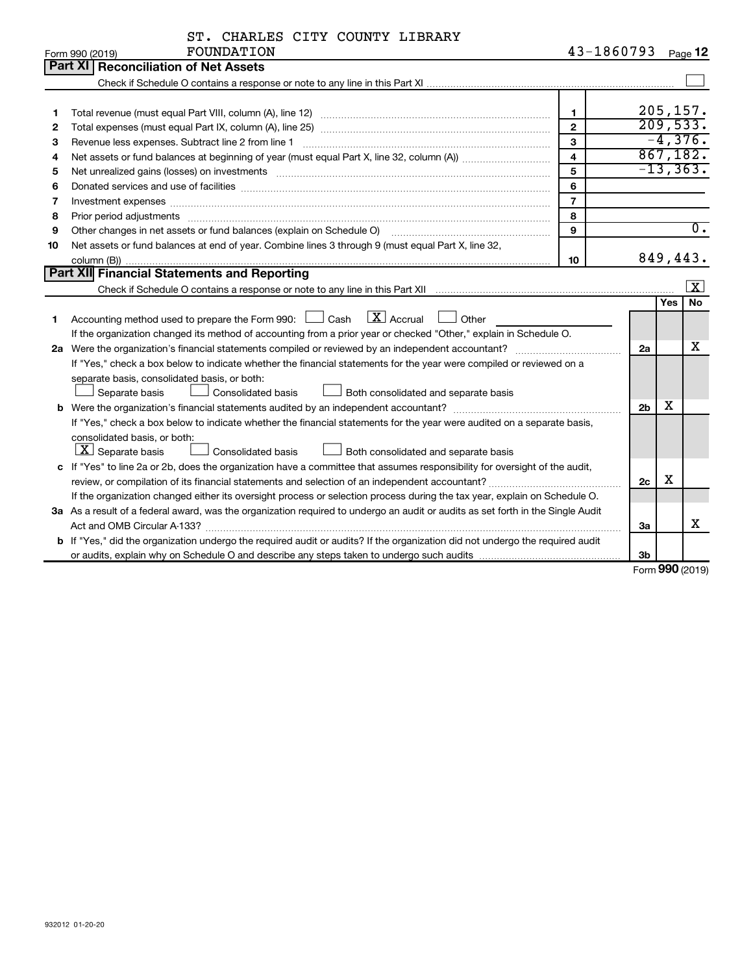| ST. CHARLES CITY COUNTY LIBRARY |  |  |  |  |  |
|---------------------------------|--|--|--|--|--|
|---------------------------------|--|--|--|--|--|

|    | FOUNDATION<br>Form 990 (2019)                                                                                                                                                                                                  | 43-1860793              |                |            | Page 12                 |
|----|--------------------------------------------------------------------------------------------------------------------------------------------------------------------------------------------------------------------------------|-------------------------|----------------|------------|-------------------------|
|    | Part XI<br><b>Reconciliation of Net Assets</b>                                                                                                                                                                                 |                         |                |            |                         |
|    |                                                                                                                                                                                                                                |                         |                |            |                         |
|    |                                                                                                                                                                                                                                |                         |                |            |                         |
| 1  |                                                                                                                                                                                                                                | $\mathbf 1$             |                |            | 205, 157.               |
| 2  |                                                                                                                                                                                                                                | $\overline{2}$          |                |            | 209,533.                |
| 3  |                                                                                                                                                                                                                                | 3                       |                |            | $-4,376.$               |
| 4  |                                                                                                                                                                                                                                | $\overline{\mathbf{4}}$ |                |            | 867,182.                |
| 5  | Net unrealized gains (losses) on investments [11] matter contracts and the state of the state of the state of the state of the state of the state of the state of the state of the state of the state of the state of the stat | 5                       |                |            | $-13, 363.$             |
| 6  |                                                                                                                                                                                                                                | 6                       |                |            |                         |
| 7  | Investment expenses www.communication.com/www.communication.com/www.communication.com/www.com                                                                                                                                  | $\overline{7}$          |                |            |                         |
| 8  | Prior period adjustments www.communication.communication.communication.com/                                                                                                                                                    | 8                       |                |            |                         |
| 9  | Other changes in net assets or fund balances (explain on Schedule O) [11] [2000] [2000] [2000] [2000] [2000] [                                                                                                                 | 9                       |                |            | $\overline{0}$ .        |
| 10 | Net assets or fund balances at end of year. Combine lines 3 through 9 (must equal Part X, line 32,                                                                                                                             |                         |                |            |                         |
|    |                                                                                                                                                                                                                                | 10                      |                |            | 849,443.                |
|    | Part XII Financial Statements and Reporting                                                                                                                                                                                    |                         |                |            |                         |
|    |                                                                                                                                                                                                                                |                         |                |            | $\overline{\mathbf{x}}$ |
|    |                                                                                                                                                                                                                                |                         |                | <b>Yes</b> | <b>No</b>               |
| 1  | Accounting method used to prepare the Form 990: $\Box$ Cash $\Box X$ Accrual<br>$\Box$ Other                                                                                                                                   |                         |                |            |                         |
|    | If the organization changed its method of accounting from a prior year or checked "Other," explain in Schedule O.                                                                                                              |                         |                |            |                         |
|    |                                                                                                                                                                                                                                |                         | 2a             |            | x                       |
|    | If "Yes," check a box below to indicate whether the financial statements for the year were compiled or reviewed on a                                                                                                           |                         |                |            |                         |
|    | separate basis, consolidated basis, or both:                                                                                                                                                                                   |                         |                |            |                         |
|    | Both consolidated and separate basis<br>Separate basis<br><b>Consolidated basis</b>                                                                                                                                            |                         |                |            |                         |
|    |                                                                                                                                                                                                                                |                         | 2 <sub>b</sub> | х          |                         |
|    | If "Yes," check a box below to indicate whether the financial statements for the year were audited on a separate basis,                                                                                                        |                         |                |            |                         |
|    | consolidated basis, or both:                                                                                                                                                                                                   |                         |                |            |                         |
|    | $ \mathbf{X} $ Separate basis<br><b>Consolidated basis</b><br>Both consolidated and separate basis                                                                                                                             |                         |                |            |                         |
|    | c If "Yes" to line 2a or 2b, does the organization have a committee that assumes responsibility for oversight of the audit,                                                                                                    |                         |                |            |                         |
|    |                                                                                                                                                                                                                                |                         | 2 <sub>c</sub> | X          |                         |
|    | If the organization changed either its oversight process or selection process during the tax year, explain on Schedule O.                                                                                                      |                         |                |            |                         |
|    | 3a As a result of a federal award, was the organization required to undergo an audit or audits as set forth in the Single Audit                                                                                                |                         |                |            |                         |
|    |                                                                                                                                                                                                                                |                         | За             |            | x                       |
|    | b If "Yes," did the organization undergo the required audit or audits? If the organization did not undergo the required audit                                                                                                  |                         |                |            |                         |
|    |                                                                                                                                                                                                                                |                         | 3b             |            |                         |

Form (2019) **990**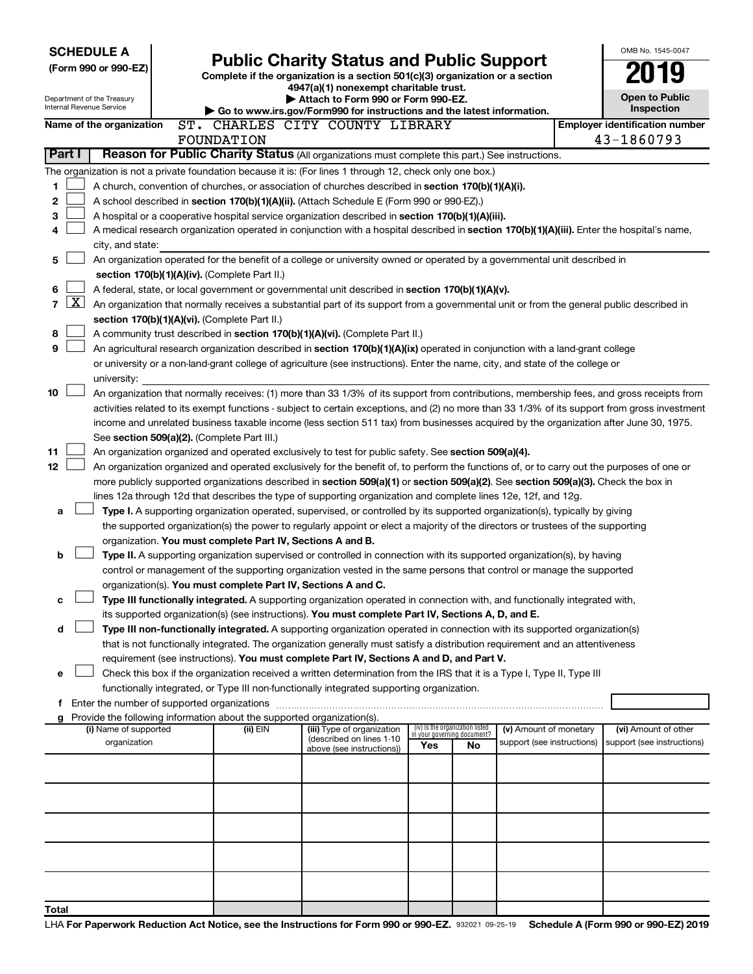| <b>SCHEDULE A</b> |                      |                                                                                                           |  |  |            |                                 |                                                 |                                                                                                                                                                                                                                  |  |     |                                                                |                            | OMB No. 1545-0047                                                                                                                             |
|-------------------|----------------------|-----------------------------------------------------------------------------------------------------------|--|--|------------|---------------------------------|-------------------------------------------------|----------------------------------------------------------------------------------------------------------------------------------------------------------------------------------------------------------------------------------|--|-----|----------------------------------------------------------------|----------------------------|-----------------------------------------------------------------------------------------------------------------------------------------------|
|                   | (Form 990 or 990-EZ) |                                                                                                           |  |  |            |                                 | <b>Public Charity Status and Public Support</b> |                                                                                                                                                                                                                                  |  |     |                                                                |                            |                                                                                                                                               |
|                   |                      |                                                                                                           |  |  |            |                                 |                                                 | Complete if the organization is a section 501(c)(3) organization or a section<br>4947(a)(1) nonexempt charitable trust.                                                                                                          |  |     |                                                                |                            |                                                                                                                                               |
|                   |                      | Department of the Treasury                                                                                |  |  |            |                                 |                                                 | Attach to Form 990 or Form 990-EZ.                                                                                                                                                                                               |  |     |                                                                |                            | <b>Open to Public</b>                                                                                                                         |
|                   |                      | Internal Revenue Service                                                                                  |  |  |            |                                 |                                                 | Go to www.irs.gov/Form990 for instructions and the latest information.                                                                                                                                                           |  |     |                                                                |                            | Inspection                                                                                                                                    |
|                   |                      | Name of the organization                                                                                  |  |  |            | ST. CHARLES CITY COUNTY LIBRARY |                                                 |                                                                                                                                                                                                                                  |  |     |                                                                |                            | <b>Employer identification number</b>                                                                                                         |
|                   |                      |                                                                                                           |  |  | FOUNDATION |                                 |                                                 |                                                                                                                                                                                                                                  |  |     |                                                                |                            | 43-1860793                                                                                                                                    |
|                   | Part I               |                                                                                                           |  |  |            |                                 |                                                 | Reason for Public Charity Status (All organizations must complete this part.) See instructions.                                                                                                                                  |  |     |                                                                |                            |                                                                                                                                               |
|                   |                      | The organization is not a private foundation because it is: (For lines 1 through 12, check only one box.) |  |  |            |                                 |                                                 |                                                                                                                                                                                                                                  |  |     |                                                                |                            |                                                                                                                                               |
| 1                 |                      |                                                                                                           |  |  |            |                                 |                                                 | A church, convention of churches, or association of churches described in section 170(b)(1)(A)(i).                                                                                                                               |  |     |                                                                |                            |                                                                                                                                               |
| 2                 |                      |                                                                                                           |  |  |            |                                 |                                                 | A school described in section 170(b)(1)(A)(ii). (Attach Schedule E (Form 990 or 990-EZ).)                                                                                                                                        |  |     |                                                                |                            |                                                                                                                                               |
| 3                 |                      |                                                                                                           |  |  |            |                                 |                                                 | A hospital or a cooperative hospital service organization described in section 170(b)(1)(A)(iii).                                                                                                                                |  |     |                                                                |                            |                                                                                                                                               |
| 4                 |                      |                                                                                                           |  |  |            |                                 |                                                 |                                                                                                                                                                                                                                  |  |     |                                                                |                            | A medical research organization operated in conjunction with a hospital described in section 170(b)(1)(A)(iii). Enter the hospital's name,    |
|                   |                      | city, and state:                                                                                          |  |  |            |                                 |                                                 |                                                                                                                                                                                                                                  |  |     |                                                                |                            |                                                                                                                                               |
| 5                 |                      |                                                                                                           |  |  |            |                                 |                                                 | An organization operated for the benefit of a college or university owned or operated by a governmental unit described in                                                                                                        |  |     |                                                                |                            |                                                                                                                                               |
|                   |                      | section 170(b)(1)(A)(iv). (Complete Part II.)                                                             |  |  |            |                                 |                                                 |                                                                                                                                                                                                                                  |  |     |                                                                |                            |                                                                                                                                               |
| 6                 |                      | A federal, state, or local government or governmental unit described in section 170(b)(1)(A)(v).          |  |  |            |                                 |                                                 |                                                                                                                                                                                                                                  |  |     |                                                                |                            |                                                                                                                                               |
| 7                 | $\mathbf{X}$         |                                                                                                           |  |  |            |                                 |                                                 |                                                                                                                                                                                                                                  |  |     |                                                                |                            | An organization that normally receives a substantial part of its support from a governmental unit or from the general public described in     |
|                   |                      | section 170(b)(1)(A)(vi). (Complete Part II.)                                                             |  |  |            |                                 |                                                 |                                                                                                                                                                                                                                  |  |     |                                                                |                            |                                                                                                                                               |
| 8                 |                      |                                                                                                           |  |  |            |                                 |                                                 | A community trust described in section 170(b)(1)(A)(vi). (Complete Part II.)                                                                                                                                                     |  |     |                                                                |                            |                                                                                                                                               |
| 9                 |                      |                                                                                                           |  |  |            |                                 |                                                 | An agricultural research organization described in section 170(b)(1)(A)(ix) operated in conjunction with a land-grant college                                                                                                    |  |     |                                                                |                            |                                                                                                                                               |
|                   |                      |                                                                                                           |  |  |            |                                 |                                                 | or university or a non-land-grant college of agriculture (see instructions). Enter the name, city, and state of the college or                                                                                                   |  |     |                                                                |                            |                                                                                                                                               |
| 10                |                      | university:                                                                                               |  |  |            |                                 |                                                 |                                                                                                                                                                                                                                  |  |     |                                                                |                            | An organization that normally receives: (1) more than 33 1/3% of its support from contributions, membership fees, and gross receipts from     |
|                   |                      |                                                                                                           |  |  |            |                                 |                                                 |                                                                                                                                                                                                                                  |  |     |                                                                |                            | activities related to its exempt functions - subject to certain exceptions, and (2) no more than 33 1/3% of its support from gross investment |
|                   |                      |                                                                                                           |  |  |            |                                 |                                                 |                                                                                                                                                                                                                                  |  |     |                                                                |                            | income and unrelated business taxable income (less section 511 tax) from businesses acquired by the organization after June 30, 1975.         |
|                   |                      | See section 509(a)(2). (Complete Part III.)                                                               |  |  |            |                                 |                                                 |                                                                                                                                                                                                                                  |  |     |                                                                |                            |                                                                                                                                               |
| 11                |                      |                                                                                                           |  |  |            |                                 |                                                 | An organization organized and operated exclusively to test for public safety. See section 509(a)(4).                                                                                                                             |  |     |                                                                |                            |                                                                                                                                               |
| 12                |                      |                                                                                                           |  |  |            |                                 |                                                 |                                                                                                                                                                                                                                  |  |     |                                                                |                            | An organization organized and operated exclusively for the benefit of, to perform the functions of, or to carry out the purposes of one or    |
|                   |                      |                                                                                                           |  |  |            |                                 |                                                 |                                                                                                                                                                                                                                  |  |     |                                                                |                            | more publicly supported organizations described in section 509(a)(1) or section 509(a)(2). See section 509(a)(3). Check the box in            |
|                   |                      |                                                                                                           |  |  |            |                                 |                                                 | lines 12a through 12d that describes the type of supporting organization and complete lines 12e, 12f, and 12g.                                                                                                                   |  |     |                                                                |                            |                                                                                                                                               |
| a                 |                      |                                                                                                           |  |  |            |                                 |                                                 | Type I. A supporting organization operated, supervised, or controlled by its supported organization(s), typically by giving                                                                                                      |  |     |                                                                |                            |                                                                                                                                               |
|                   |                      |                                                                                                           |  |  |            |                                 |                                                 | the supported organization(s) the power to regularly appoint or elect a majority of the directors or trustees of the supporting                                                                                                  |  |     |                                                                |                            |                                                                                                                                               |
|                   |                      |                                                                                                           |  |  |            |                                 |                                                 | organization. You must complete Part IV, Sections A and B.                                                                                                                                                                       |  |     |                                                                |                            |                                                                                                                                               |
| b                 |                      |                                                                                                           |  |  |            |                                 |                                                 | Type II. A supporting organization supervised or controlled in connection with its supported organization(s), by having                                                                                                          |  |     |                                                                |                            |                                                                                                                                               |
|                   |                      |                                                                                                           |  |  |            |                                 |                                                 | control or management of the supporting organization vested in the same persons that control or manage the supported                                                                                                             |  |     |                                                                |                            |                                                                                                                                               |
|                   |                      |                                                                                                           |  |  |            |                                 |                                                 | organization(s). You must complete Part IV, Sections A and C.                                                                                                                                                                    |  |     |                                                                |                            |                                                                                                                                               |
| с                 |                      |                                                                                                           |  |  |            |                                 |                                                 | Type III functionally integrated. A supporting organization operated in connection with, and functionally integrated with,<br>its supported organization(s) (see instructions). You must complete Part IV, Sections A, D, and E. |  |     |                                                                |                            |                                                                                                                                               |
| d                 |                      |                                                                                                           |  |  |            |                                 |                                                 | Type III non-functionally integrated. A supporting organization operated in connection with its supported organization(s)                                                                                                        |  |     |                                                                |                            |                                                                                                                                               |
|                   |                      |                                                                                                           |  |  |            |                                 |                                                 | that is not functionally integrated. The organization generally must satisfy a distribution requirement and an attentiveness                                                                                                     |  |     |                                                                |                            |                                                                                                                                               |
|                   |                      |                                                                                                           |  |  |            |                                 |                                                 | requirement (see instructions). You must complete Part IV, Sections A and D, and Part V.                                                                                                                                         |  |     |                                                                |                            |                                                                                                                                               |
| e                 |                      |                                                                                                           |  |  |            |                                 |                                                 | Check this box if the organization received a written determination from the IRS that it is a Type I, Type II, Type III                                                                                                          |  |     |                                                                |                            |                                                                                                                                               |
|                   |                      |                                                                                                           |  |  |            |                                 |                                                 | functionally integrated, or Type III non-functionally integrated supporting organization.                                                                                                                                        |  |     |                                                                |                            |                                                                                                                                               |
|                   |                      |                                                                                                           |  |  |            |                                 |                                                 |                                                                                                                                                                                                                                  |  |     |                                                                |                            |                                                                                                                                               |
|                   |                      | g Provide the following information about the supported organization(s).                                  |  |  |            |                                 |                                                 |                                                                                                                                                                                                                                  |  |     |                                                                |                            |                                                                                                                                               |
|                   |                      | (i) Name of supported                                                                                     |  |  |            | (ii) EIN                        |                                                 | (iii) Type of organization<br>(described on lines 1-10                                                                                                                                                                           |  |     | (iv) Is the organization listed<br>in your governing document? | (v) Amount of monetary     | (vi) Amount of other                                                                                                                          |
|                   |                      | organization                                                                                              |  |  |            |                                 |                                                 | above (see instructions))                                                                                                                                                                                                        |  | Yes | No                                                             | support (see instructions) | support (see instructions)                                                                                                                    |
|                   |                      |                                                                                                           |  |  |            |                                 |                                                 |                                                                                                                                                                                                                                  |  |     |                                                                |                            |                                                                                                                                               |
|                   |                      |                                                                                                           |  |  |            |                                 |                                                 |                                                                                                                                                                                                                                  |  |     |                                                                |                            |                                                                                                                                               |
|                   |                      |                                                                                                           |  |  |            |                                 |                                                 |                                                                                                                                                                                                                                  |  |     |                                                                |                            |                                                                                                                                               |
|                   |                      |                                                                                                           |  |  |            |                                 |                                                 |                                                                                                                                                                                                                                  |  |     |                                                                |                            |                                                                                                                                               |
|                   |                      |                                                                                                           |  |  |            |                                 |                                                 |                                                                                                                                                                                                                                  |  |     |                                                                |                            |                                                                                                                                               |
|                   |                      |                                                                                                           |  |  |            |                                 |                                                 |                                                                                                                                                                                                                                  |  |     |                                                                |                            |                                                                                                                                               |
|                   |                      |                                                                                                           |  |  |            |                                 |                                                 |                                                                                                                                                                                                                                  |  |     |                                                                |                            |                                                                                                                                               |
|                   |                      |                                                                                                           |  |  |            |                                 |                                                 |                                                                                                                                                                                                                                  |  |     |                                                                |                            |                                                                                                                                               |
|                   |                      |                                                                                                           |  |  |            |                                 |                                                 |                                                                                                                                                                                                                                  |  |     |                                                                |                            |                                                                                                                                               |
| Total             |                      |                                                                                                           |  |  |            |                                 |                                                 |                                                                                                                                                                                                                                  |  |     |                                                                |                            |                                                                                                                                               |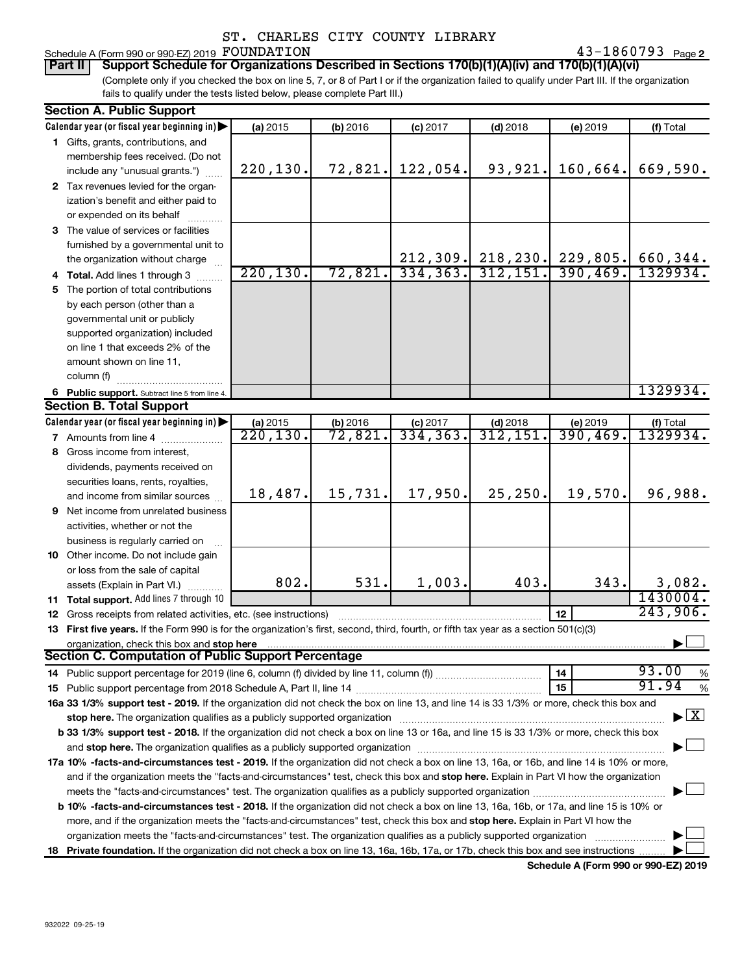# Schedule A (Form 990 or 990-EZ) 2019 Page FOUNDATION 43-1860793

43-1860793 Page 2

(Complete only if you checked the box on line 5, 7, or 8 of Part I or if the organization failed to qualify under Part III. If the organization fails to qualify under the tests listed below, please complete Part III.) **Part II Support Schedule for Organizations Described in Sections 170(b)(1)(A)(iv) and 170(b)(1)(A)(vi)**

| <b>Section A. Public Support</b>                                                                                                                                                                                              |                       |                     |                         |                        |                      |                                    |
|-------------------------------------------------------------------------------------------------------------------------------------------------------------------------------------------------------------------------------|-----------------------|---------------------|-------------------------|------------------------|----------------------|------------------------------------|
| Calendar year (or fiscal year beginning in)                                                                                                                                                                                   | (a) 2015              | (b) 2016            | $(c)$ 2017              | $(d)$ 2018             | (e) 2019             | (f) Total                          |
| 1 Gifts, grants, contributions, and                                                                                                                                                                                           |                       |                     |                         |                        |                      |                                    |
| membership fees received. (Do not                                                                                                                                                                                             |                       |                     |                         |                        |                      |                                    |
| include any "unusual grants.")                                                                                                                                                                                                | 220, 130.             | 72,821.             | 122,054.                | 93,921.                | 160,664.             | 669,590.                           |
| 2 Tax revenues levied for the organ-                                                                                                                                                                                          |                       |                     |                         |                        |                      |                                    |
| ization's benefit and either paid to                                                                                                                                                                                          |                       |                     |                         |                        |                      |                                    |
| or expended on its behalf                                                                                                                                                                                                     |                       |                     |                         |                        |                      |                                    |
| 3 The value of services or facilities                                                                                                                                                                                         |                       |                     |                         |                        |                      |                                    |
| furnished by a governmental unit to                                                                                                                                                                                           |                       |                     |                         |                        |                      |                                    |
| the organization without charge                                                                                                                                                                                               |                       |                     |                         | $212, 309$ . 218, 230. | 229,805.             | 660,344.                           |
| 4 Total. Add lines 1 through 3                                                                                                                                                                                                | 220, 130.             | 72,821.             | 334, 363.               | 312, 151.              | 390, 469.            | 1329934.                           |
| 5 The portion of total contributions                                                                                                                                                                                          |                       |                     |                         |                        |                      |                                    |
| by each person (other than a                                                                                                                                                                                                  |                       |                     |                         |                        |                      |                                    |
| governmental unit or publicly                                                                                                                                                                                                 |                       |                     |                         |                        |                      |                                    |
| supported organization) included                                                                                                                                                                                              |                       |                     |                         |                        |                      |                                    |
| on line 1 that exceeds 2% of the                                                                                                                                                                                              |                       |                     |                         |                        |                      |                                    |
| amount shown on line 11,                                                                                                                                                                                                      |                       |                     |                         |                        |                      |                                    |
| column (f)                                                                                                                                                                                                                    |                       |                     |                         |                        |                      |                                    |
|                                                                                                                                                                                                                               |                       |                     |                         |                        |                      | 1329934.                           |
| 6 Public support. Subtract line 5 from line 4.<br><b>Section B. Total Support</b>                                                                                                                                             |                       |                     |                         |                        |                      |                                    |
| Calendar year (or fiscal year beginning in)                                                                                                                                                                                   |                       |                     |                         |                        |                      |                                    |
| 7 Amounts from line 4                                                                                                                                                                                                         | (a) 2015<br>220, 130. | (b) 2016<br>72,821. | $(c)$ 2017<br>334, 363. | $(d)$ 2018<br>312,151  | (e) 2019<br>390,469. | (f) Total<br>1329934.              |
|                                                                                                                                                                                                                               |                       |                     |                         |                        |                      |                                    |
| 8 Gross income from interest,                                                                                                                                                                                                 |                       |                     |                         |                        |                      |                                    |
| dividends, payments received on                                                                                                                                                                                               |                       |                     |                         |                        |                      |                                    |
| securities loans, rents, royalties,                                                                                                                                                                                           | 18,487.               | 15,731.             | 17,950.                 | 25, 250.               | 19,570.              | 96,988.                            |
| and income from similar sources                                                                                                                                                                                               |                       |                     |                         |                        |                      |                                    |
| <b>9</b> Net income from unrelated business                                                                                                                                                                                   |                       |                     |                         |                        |                      |                                    |
| activities, whether or not the                                                                                                                                                                                                |                       |                     |                         |                        |                      |                                    |
| business is regularly carried on                                                                                                                                                                                              |                       |                     |                         |                        |                      |                                    |
| 10 Other income. Do not include gain                                                                                                                                                                                          |                       |                     |                         |                        |                      |                                    |
| or loss from the sale of capital                                                                                                                                                                                              |                       |                     |                         |                        |                      |                                    |
| assets (Explain in Part VI.)                                                                                                                                                                                                  | 802.                  | 531.                | 1,003.                  | 403.                   | 343.                 | 3,082.                             |
| 11 Total support. Add lines 7 through 10                                                                                                                                                                                      |                       |                     |                         |                        |                      | 1430004.                           |
| <b>12</b> Gross receipts from related activities, etc. (see instructions)                                                                                                                                                     |                       |                     |                         |                        | 12                   | 243,906.                           |
| 13 First five years. If the Form 990 is for the organization's first, second, third, fourth, or fifth tax year as a section 501(c)(3)                                                                                         |                       |                     |                         |                        |                      |                                    |
| organization, check this box and stop here                                                                                                                                                                                    |                       |                     |                         |                        |                      |                                    |
| <b>Section C. Computation of Public Support Percentage</b>                                                                                                                                                                    |                       |                     |                         |                        |                      |                                    |
|                                                                                                                                                                                                                               |                       |                     |                         |                        | 14                   | 93.00<br>%                         |
|                                                                                                                                                                                                                               |                       |                     |                         |                        | 15                   | 91.94<br>%                         |
| 16a 33 1/3% support test - 2019. If the organization did not check the box on line 13, and line 14 is 33 1/3% or more, check this box and                                                                                     |                       |                     |                         |                        |                      |                                    |
| stop here. The organization qualifies as a publicly supported organization manufactured content and the organization manufactured and the state of the state of the state of the state of the state of the state of the state |                       |                     |                         |                        |                      | $\blacktriangleright$ $\mathbf{X}$ |
| b 33 1/3% support test - 2018. If the organization did not check a box on line 13 or 16a, and line 15 is 33 1/3% or more, check this box                                                                                      |                       |                     |                         |                        |                      |                                    |
|                                                                                                                                                                                                                               |                       |                     |                         |                        |                      |                                    |
| 17a 10% -facts-and-circumstances test - 2019. If the organization did not check a box on line 13, 16a, or 16b, and line 14 is 10% or more,                                                                                    |                       |                     |                         |                        |                      |                                    |
| and if the organization meets the "facts-and-circumstances" test, check this box and stop here. Explain in Part VI how the organization                                                                                       |                       |                     |                         |                        |                      |                                    |
|                                                                                                                                                                                                                               |                       |                     |                         |                        |                      |                                    |
| <b>b 10%</b> -facts-and-circumstances test - 2018. If the organization did not check a box on line 13, 16a, 16b, or 17a, and line 15 is 10% or                                                                                |                       |                     |                         |                        |                      |                                    |
| more, and if the organization meets the "facts-and-circumstances" test, check this box and stop here. Explain in Part VI how the                                                                                              |                       |                     |                         |                        |                      |                                    |
| organization meets the "facts-and-circumstances" test. The organization qualifies as a publicly supported organization                                                                                                        |                       |                     |                         |                        |                      |                                    |
| 18 Private foundation. If the organization did not check a box on line 13, 16a, 16b, 17a, or 17b, check this box and see instructions                                                                                         |                       |                     |                         |                        |                      |                                    |
|                                                                                                                                                                                                                               |                       |                     |                         |                        |                      |                                    |

**Schedule A (Form 990 or 990-EZ) 2019**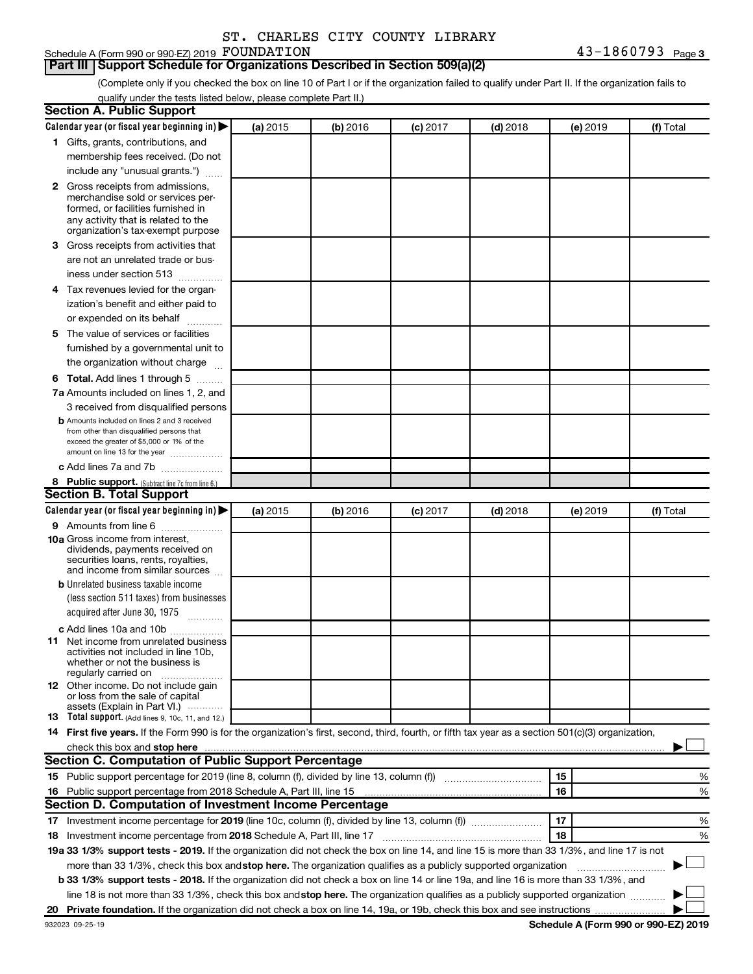# Schedule A (Form 990 or 990-EZ) 2019 FOUNDATION

#### **Part III Support Schedule for Organizations Described in Section 509(a)(2)**

(Complete only if you checked the box on line 10 of Part I or if the organization failed to qualify under Part II. If the organization fails to qualify under the tests listed below, please complete Part II.)

| <b>Section A. Public Support</b>                                                                                                                                                                                                                                                                                                     |          |          |          |            |          |           |
|--------------------------------------------------------------------------------------------------------------------------------------------------------------------------------------------------------------------------------------------------------------------------------------------------------------------------------------|----------|----------|----------|------------|----------|-----------|
| Calendar year (or fiscal year beginning in)                                                                                                                                                                                                                                                                                          | (a) 2015 | (b) 2016 | (c) 2017 | $(d)$ 2018 | (e) 2019 | (f) Total |
| 1 Gifts, grants, contributions, and                                                                                                                                                                                                                                                                                                  |          |          |          |            |          |           |
| membership fees received. (Do not                                                                                                                                                                                                                                                                                                    |          |          |          |            |          |           |
| include any "unusual grants.")                                                                                                                                                                                                                                                                                                       |          |          |          |            |          |           |
| <b>2</b> Gross receipts from admissions,                                                                                                                                                                                                                                                                                             |          |          |          |            |          |           |
| merchandise sold or services per-                                                                                                                                                                                                                                                                                                    |          |          |          |            |          |           |
| formed, or facilities furnished in<br>any activity that is related to the                                                                                                                                                                                                                                                            |          |          |          |            |          |           |
| organization's tax-exempt purpose                                                                                                                                                                                                                                                                                                    |          |          |          |            |          |           |
| 3 Gross receipts from activities that                                                                                                                                                                                                                                                                                                |          |          |          |            |          |           |
| are not an unrelated trade or bus-                                                                                                                                                                                                                                                                                                   |          |          |          |            |          |           |
| iness under section 513                                                                                                                                                                                                                                                                                                              |          |          |          |            |          |           |
| 4 Tax revenues levied for the organ-                                                                                                                                                                                                                                                                                                 |          |          |          |            |          |           |
| ization's benefit and either paid to                                                                                                                                                                                                                                                                                                 |          |          |          |            |          |           |
| or expended on its behalf<br>.                                                                                                                                                                                                                                                                                                       |          |          |          |            |          |           |
| 5 The value of services or facilities                                                                                                                                                                                                                                                                                                |          |          |          |            |          |           |
| furnished by a governmental unit to                                                                                                                                                                                                                                                                                                  |          |          |          |            |          |           |
| the organization without charge                                                                                                                                                                                                                                                                                                      |          |          |          |            |          |           |
| <b>6 Total.</b> Add lines 1 through 5                                                                                                                                                                                                                                                                                                |          |          |          |            |          |           |
| 7a Amounts included on lines 1, 2, and                                                                                                                                                                                                                                                                                               |          |          |          |            |          |           |
| 3 received from disqualified persons                                                                                                                                                                                                                                                                                                 |          |          |          |            |          |           |
| <b>b</b> Amounts included on lines 2 and 3 received                                                                                                                                                                                                                                                                                  |          |          |          |            |          |           |
| from other than disqualified persons that                                                                                                                                                                                                                                                                                            |          |          |          |            |          |           |
| exceed the greater of \$5,000 or 1% of the<br>amount on line 13 for the year                                                                                                                                                                                                                                                         |          |          |          |            |          |           |
| c Add lines 7a and 7b                                                                                                                                                                                                                                                                                                                |          |          |          |            |          |           |
| 8 Public support. (Subtract line 7c from line 6.)                                                                                                                                                                                                                                                                                    |          |          |          |            |          |           |
| <b>Section B. Total Support</b>                                                                                                                                                                                                                                                                                                      |          |          |          |            |          |           |
| Calendar year (or fiscal year beginning in)                                                                                                                                                                                                                                                                                          | (a) 2015 | (b) 2016 | (c) 2017 | $(d)$ 2018 | (e) 2019 | (f) Total |
| <b>9</b> Amounts from line 6                                                                                                                                                                                                                                                                                                         |          |          |          |            |          |           |
| <b>10a</b> Gross income from interest,                                                                                                                                                                                                                                                                                               |          |          |          |            |          |           |
| dividends, payments received on                                                                                                                                                                                                                                                                                                      |          |          |          |            |          |           |
| securities loans, rents, royalties,<br>and income from similar sources                                                                                                                                                                                                                                                               |          |          |          |            |          |           |
| <b>b</b> Unrelated business taxable income                                                                                                                                                                                                                                                                                           |          |          |          |            |          |           |
| (less section 511 taxes) from businesses                                                                                                                                                                                                                                                                                             |          |          |          |            |          |           |
| acquired after June 30, 1975                                                                                                                                                                                                                                                                                                         |          |          |          |            |          |           |
|                                                                                                                                                                                                                                                                                                                                      |          |          |          |            |          |           |
| c Add lines 10a and 10b<br><b>11</b> Net income from unrelated business                                                                                                                                                                                                                                                              |          |          |          |            |          |           |
| activities not included in line 10b.                                                                                                                                                                                                                                                                                                 |          |          |          |            |          |           |
| whether or not the business is                                                                                                                                                                                                                                                                                                       |          |          |          |            |          |           |
| regularly carried on<br>12 Other income. Do not include gain                                                                                                                                                                                                                                                                         |          |          |          |            |          |           |
| or loss from the sale of capital                                                                                                                                                                                                                                                                                                     |          |          |          |            |          |           |
| assets (Explain in Part VI.)                                                                                                                                                                                                                                                                                                         |          |          |          |            |          |           |
| <b>13</b> Total support. (Add lines 9, 10c, 11, and 12.)                                                                                                                                                                                                                                                                             |          |          |          |            |          |           |
| 14 First five years. If the Form 990 is for the organization's first, second, third, fourth, or fifth tax year as a section 501(c)(3) organization,                                                                                                                                                                                  |          |          |          |            |          |           |
| check this box and stop here <b>construction and construction</b> and stop here <b>constructed</b> and stop here <b>constructed</b> and stop here <b>constructed</b> and <b>construction</b> and <b>construction</b> and <b>construction</b> and <b>construction</b> a<br><b>Section C. Computation of Public Support Percentage</b> |          |          |          |            |          |           |
|                                                                                                                                                                                                                                                                                                                                      |          |          |          |            |          |           |
| 15 Public support percentage for 2019 (line 8, column (f), divided by line 13, column (f) <i>manumeronominium</i>                                                                                                                                                                                                                    |          |          |          |            | 15       | %         |
| 16 Public support percentage from 2018 Schedule A, Part III, line 15                                                                                                                                                                                                                                                                 |          |          |          |            | 16       | %         |
| Section D. Computation of Investment Income Percentage                                                                                                                                                                                                                                                                               |          |          |          |            |          |           |
| 17 Investment income percentage for 2019 (line 10c, column (f), divided by line 13, column (f))                                                                                                                                                                                                                                      |          |          |          |            | 17       | %         |
| 18 Investment income percentage from 2018 Schedule A, Part III, line 17                                                                                                                                                                                                                                                              |          |          |          |            | 18       | %         |
| 19a 33 1/3% support tests - 2019. If the organization did not check the box on line 14, and line 15 is more than 33 1/3%, and line 17 is not                                                                                                                                                                                         |          |          |          |            |          |           |
| more than 33 1/3%, check this box and stop here. The organization qualifies as a publicly supported organization                                                                                                                                                                                                                     |          |          |          |            |          |           |
| b 33 1/3% support tests - 2018. If the organization did not check a box on line 14 or line 19a, and line 16 is more than 33 1/3%, and                                                                                                                                                                                                |          |          |          |            |          |           |
| line 18 is not more than 33 1/3%, check this box and stop here. The organization qualifies as a publicly supported organization                                                                                                                                                                                                      |          |          |          |            |          |           |
|                                                                                                                                                                                                                                                                                                                                      |          |          |          |            |          |           |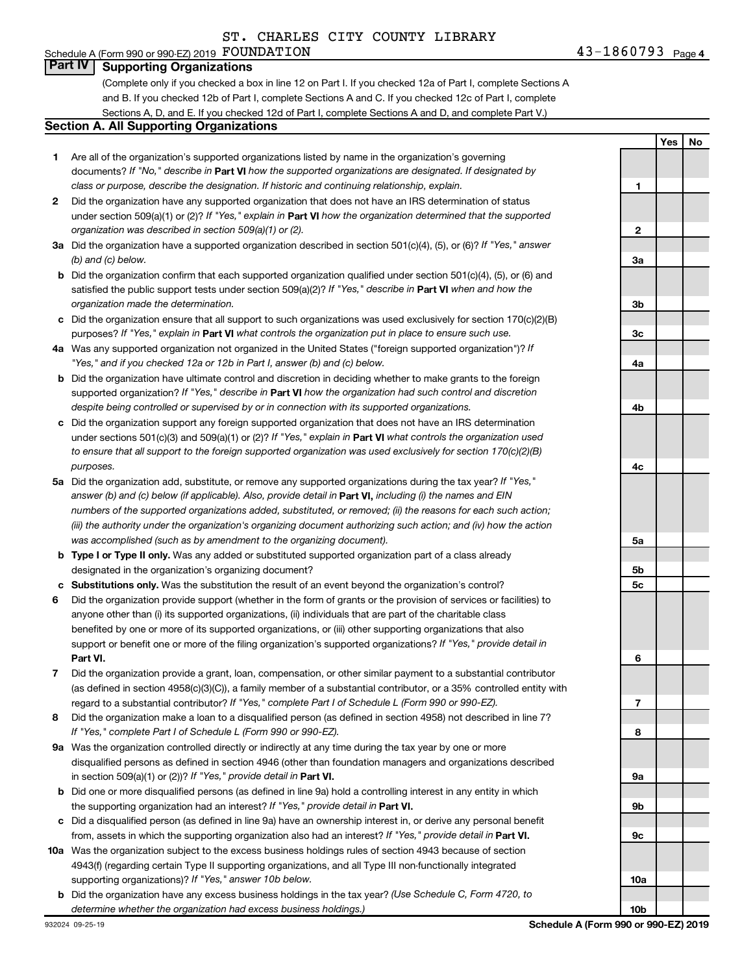#### Schedule A (Form 990 or 990-EZ) 2019 Page FOUNDATION 43-1860793**Part IV Supporting Organizations**

(Complete only if you checked a box in line 12 on Part I. If you checked 12a of Part I, complete Sections A and B. If you checked 12b of Part I, complete Sections A and C. If you checked 12c of Part I, complete Sections A, D, and E. If you checked 12d of Part I, complete Sections A and D, and complete Part V.)

#### **Section A. All Supporting Organizations**

- **1** Are all of the organization's supported organizations listed by name in the organization's governing documents? If "No," describe in Part VI how the supported organizations are designated. If designated by *class or purpose, describe the designation. If historic and continuing relationship, explain.*
- **2** Did the organization have any supported organization that does not have an IRS determination of status under section 509(a)(1) or (2)? If "Yes," explain in Part **VI** how the organization determined that the supported *organization was described in section 509(a)(1) or (2).*
- **3a** Did the organization have a supported organization described in section 501(c)(4), (5), or (6)? If "Yes," answer *(b) and (c) below.*
- **b** Did the organization confirm that each supported organization qualified under section 501(c)(4), (5), or (6) and satisfied the public support tests under section 509(a)(2)? If "Yes," describe in Part VI when and how the *organization made the determination.*
- **c** Did the organization ensure that all support to such organizations was used exclusively for section 170(c)(2)(B) purposes? If "Yes," explain in Part VI what controls the organization put in place to ensure such use.
- **4 a** *If* Was any supported organization not organized in the United States ("foreign supported organization")? *"Yes," and if you checked 12a or 12b in Part I, answer (b) and (c) below.*
- **b** Did the organization have ultimate control and discretion in deciding whether to make grants to the foreign supported organization? If "Yes," describe in Part VI how the organization had such control and discretion *despite being controlled or supervised by or in connection with its supported organizations.*
- **c** Did the organization support any foreign supported organization that does not have an IRS determination under sections 501(c)(3) and 509(a)(1) or (2)? If "Yes," explain in Part VI what controls the organization used *to ensure that all support to the foreign supported organization was used exclusively for section 170(c)(2)(B) purposes.*
- **5a** Did the organization add, substitute, or remove any supported organizations during the tax year? If "Yes," answer (b) and (c) below (if applicable). Also, provide detail in **Part VI,** including (i) the names and EIN *numbers of the supported organizations added, substituted, or removed; (ii) the reasons for each such action; (iii) the authority under the organization's organizing document authorizing such action; and (iv) how the action was accomplished (such as by amendment to the organizing document).*
- **b** Type I or Type II only. Was any added or substituted supported organization part of a class already designated in the organization's organizing document?
- **c Substitutions only.**  Was the substitution the result of an event beyond the organization's control?
- **6** Did the organization provide support (whether in the form of grants or the provision of services or facilities) to **Part VI.** support or benefit one or more of the filing organization's supported organizations? If "Yes," provide detail in anyone other than (i) its supported organizations, (ii) individuals that are part of the charitable class benefited by one or more of its supported organizations, or (iii) other supporting organizations that also
- **7** Did the organization provide a grant, loan, compensation, or other similar payment to a substantial contributor regard to a substantial contributor? If "Yes," complete Part I of Schedule L (Form 990 or 990-EZ). (as defined in section 4958(c)(3)(C)), a family member of a substantial contributor, or a 35% controlled entity with
- **8** Did the organization make a loan to a disqualified person (as defined in section 4958) not described in line 7? *If "Yes," complete Part I of Schedule L (Form 990 or 990-EZ).*
- **9 a** Was the organization controlled directly or indirectly at any time during the tax year by one or more in section 509(a)(1) or (2))? If "Yes," provide detail in **Part VI.** disqualified persons as defined in section 4946 (other than foundation managers and organizations described
- **b** Did one or more disqualified persons (as defined in line 9a) hold a controlling interest in any entity in which the supporting organization had an interest? If "Yes," provide detail in Part VI.
- **c** Did a disqualified person (as defined in line 9a) have an ownership interest in, or derive any personal benefit from, assets in which the supporting organization also had an interest? If "Yes," provide detail in Part VI.
- **10 a** Was the organization subject to the excess business holdings rules of section 4943 because of section supporting organizations)? If "Yes," answer 10b below. 4943(f) (regarding certain Type II supporting organizations, and all Type III non-functionally integrated
- **b** Did the organization have any excess business holdings in the tax year? (Use Schedule C, Form 4720, to *determine whether the organization had excess business holdings.)*

**Yes No 1 2 3a 3b 3c 4a 4b 4c 5a 5b 5c 6 7 8 9a 9b 9c 10a 10b**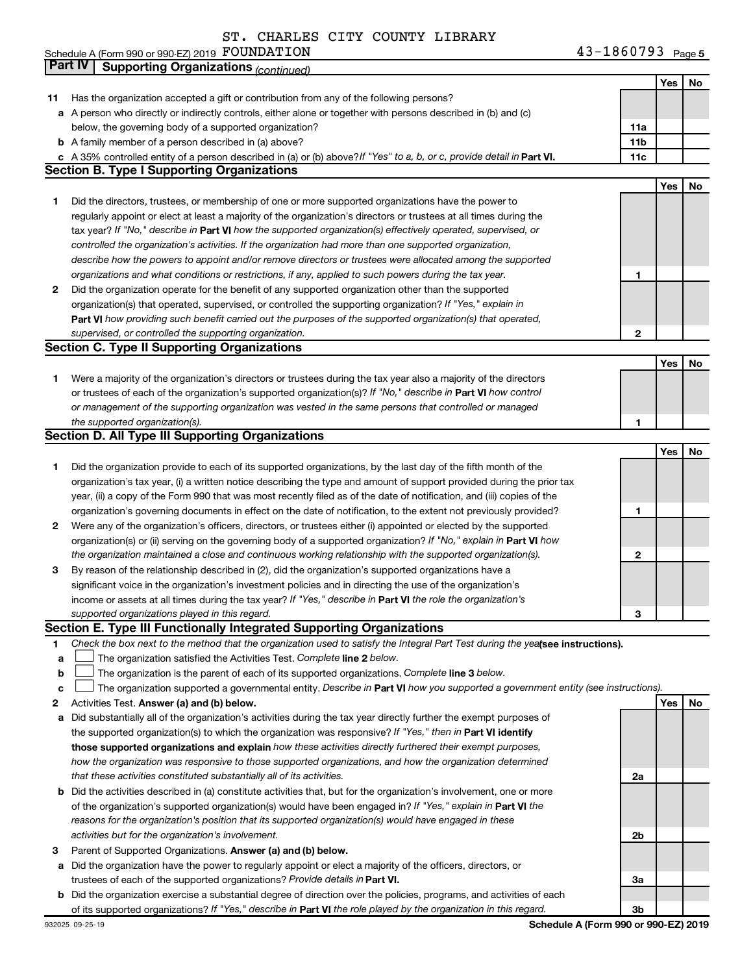**Yes No 11** Has the organization accepted a gift or contribution from any of the following persons? **a** A person who directly or indirectly controls, either alone or together with persons described in (b) and (c) **b** A family member of a person described in (a) above? **c** A 35% controlled entity of a person described in (a) or (b) above?If "Yes" to a, b, or c, provide detail in **Part VI.** 11c **11a 11b Yes No** Schedule A (Form 990 or 990-EZ) 2019 Page FOUNDATION 43-1860793below, the governing body of a supported organization? Did the directors, trustees, or membership of one or more at **Part IV Supporting Organizations** *(continued)* **Section B. Type I Supporting Organizations**

|              | Did the directors, trustees, or membership of one or more supported organizations have the power to                |  |
|--------------|--------------------------------------------------------------------------------------------------------------------|--|
|              | regularly appoint or elect at least a majority of the organization's directors or trustees at all times during the |  |
|              | tax year? If "No," describe in Part VI how the supported organization(s) effectively operated, supervised, or      |  |
|              | controlled the organization's activities. If the organization had more than one supported organization,            |  |
|              | describe how the powers to appoint and/or remove directors or trustees were allocated among the supported          |  |
|              | organizations and what conditions or restrictions, if any, applied to such powers during the tax year.             |  |
| $\mathbf{2}$ | Did the organization operate for the benefit of any supported organization other than the supported                |  |
|              | organization(s) that operated supervised or controlled the supporting organization? If "Yes " explain in           |  |

| .                                                                                                                  |  |  |  |  |  |  |
|--------------------------------------------------------------------------------------------------------------------|--|--|--|--|--|--|
| supervised, or controlled the supporting organization.                                                             |  |  |  |  |  |  |
| <b>Part VI</b> how providing such benefit carried out the purposes of the supported organization(s) that operated, |  |  |  |  |  |  |
| organization(s) that operated, supervised, or controlled the supporting organization? If "Yes," explain in         |  |  |  |  |  |  |

# **Section C. Type II Supporting Organizations**

| Were a majority of the organization's directors or trustees during the tax year also a majority of the directors<br>or trustees of each of the organization's supported organization(s)? If "No," describe in <b>Part VI</b> how control<br>or management of the supporting organization was vested in the same persons that controlled or managed |  |
|----------------------------------------------------------------------------------------------------------------------------------------------------------------------------------------------------------------------------------------------------------------------------------------------------------------------------------------------------|--|
| the supported organization(s).                                                                                                                                                                                                                                                                                                                     |  |

# **Section D. All Type III Supporting Organizations**

|              |                                                                                                                           |   | Yes | No |
|--------------|---------------------------------------------------------------------------------------------------------------------------|---|-----|----|
|              | Did the organization provide to each of its supported organizations, by the last day of the fifth month of the            |   |     |    |
|              | organization's tax year, (i) a written notice describing the type and amount of support provided during the prior tax     |   |     |    |
|              | year, (ii) a copy of the Form 990 that was most recently filed as of the date of notification, and (iii) copies of the    |   |     |    |
|              | organization's governing documents in effect on the date of notification, to the extent not previously provided?          |   |     |    |
| $\mathbf{2}$ | Were any of the organization's officers, directors, or trustees either (i) appointed or elected by the supported          |   |     |    |
|              | organization(s) or (ii) serving on the governing body of a supported organization? If "No," explain in <b>Part VI</b> how |   |     |    |
|              | the organization maintained a close and continuous working relationship with the supported organization(s).               | 2 |     |    |
| 3            | By reason of the relationship described in (2), did the organization's supported organizations have a                     |   |     |    |
|              | significant voice in the organization's investment policies and in directing the use of the organization's                |   |     |    |
|              | income or assets at all times during the tax year? If "Yes," describe in <b>Part VI</b> the role the organization's       |   |     |    |
|              | supported organizations played in this regard.                                                                            | 3 |     |    |

# **Section E. Type III Functionally Integrated Supporting Organizations**

- **1** Check the box next to the method that the organization used to satisfy the Integral Part Test during the yealsee instructions).
- **a The organization satisfied the Activities Test. Complete line 2 below.**
- **b** The organization is the parent of each of its supported organizations. Complete line 3 below.  $\Box$
- **c** The organization supported a governmental entity. Describe in Part VI how you supported a government entity (see instructions).  $\Box$
- **2 Answer (a) and (b) below. Yes No** Activities Test.
- **a** Did substantially all of the organization's activities during the tax year directly further the exempt purposes of the supported organization(s) to which the organization was responsive? If "Yes," then in Part VI identify **those supported organizations and explain**  *how these activities directly furthered their exempt purposes, how the organization was responsive to those supported organizations, and how the organization determined that these activities constituted substantially all of its activities.*
- **b** Did the activities described in (a) constitute activities that, but for the organization's involvement, one or more of the organization's supported organization(s) would have been engaged in? If "Yes," explain in Part VI the *reasons for the organization's position that its supported organization(s) would have engaged in these activities but for the organization's involvement.*
- **3** Parent of Supported Organizations. Answer (a) and (b) below.
- **a** Did the organization have the power to regularly appoint or elect a majority of the officers, directors, or trustees of each of the supported organizations? Provide details in Part VI.
- **b** Did the organization exercise a substantial degree of direction over the policies, programs, and activities of each of its supported organizations? If "Yes," describe in Part VI the role played by the organization in this regard.

**2a**

**2b**

**3a**

**3b**

**1**

**2**

**Yes No**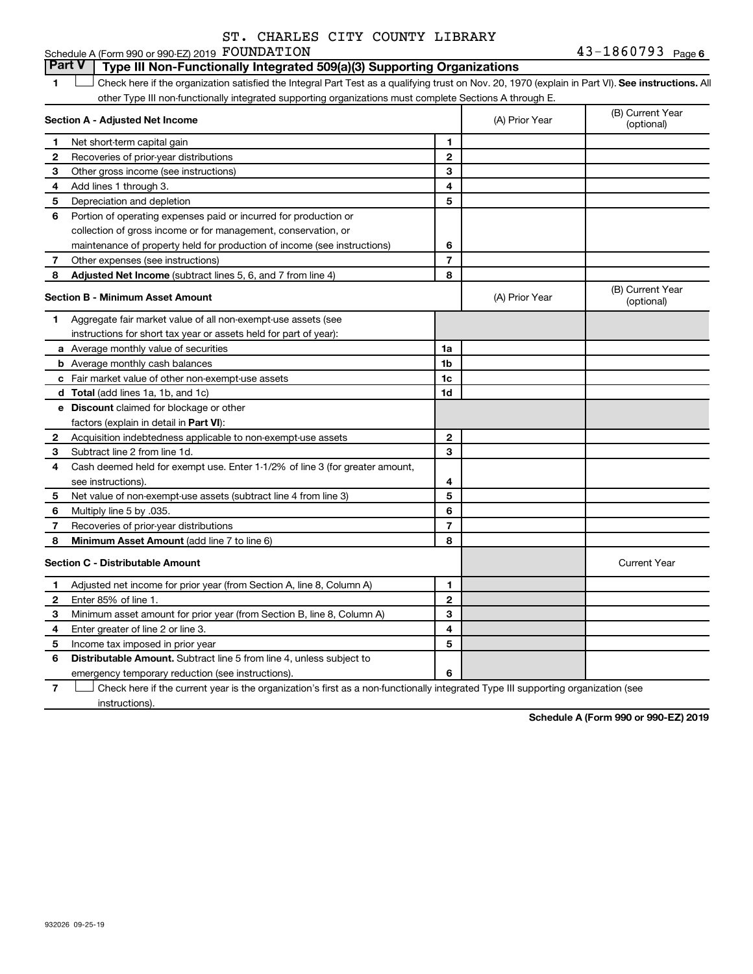# Schedule A (Form 990 or 990-EZ) 2019 Page FOUNDATION 43-1860793

**Part V Type III Non-Functionally Integrated 509(a)(3) Supporting Organizations** 

1 **Letter See instructions.** All Check here if the organization satisfied the Integral Part Test as a qualifying trust on Nov. 20, 1970 (explain in Part VI). See instructions. All other Type III non-functionally integrated supporting organizations must complete Sections A through E.

| Section A - Adjusted Net Income |                                                                              |                | (A) Prior Year | (B) Current Year<br>(optional) |
|---------------------------------|------------------------------------------------------------------------------|----------------|----------------|--------------------------------|
| 1                               | Net short-term capital gain                                                  | 1              |                |                                |
| 2                               | Recoveries of prior-year distributions                                       | $\mathbf{2}$   |                |                                |
| з                               | Other gross income (see instructions)                                        | 3              |                |                                |
| 4                               | Add lines 1 through 3.                                                       | 4              |                |                                |
| 5                               | Depreciation and depletion                                                   | 5              |                |                                |
| 6                               | Portion of operating expenses paid or incurred for production or             |                |                |                                |
|                                 | collection of gross income or for management, conservation, or               |                |                |                                |
|                                 | maintenance of property held for production of income (see instructions)     | 6              |                |                                |
| 7                               | Other expenses (see instructions)                                            | $\overline{7}$ |                |                                |
| 8                               | Adjusted Net Income (subtract lines 5, 6, and 7 from line 4)                 | 8              |                |                                |
|                                 | <b>Section B - Minimum Asset Amount</b>                                      |                | (A) Prior Year | (B) Current Year<br>(optional) |
| 1.                              | Aggregate fair market value of all non-exempt-use assets (see                |                |                |                                |
|                                 | instructions for short tax year or assets held for part of year):            |                |                |                                |
|                                 | a Average monthly value of securities                                        | 1a             |                |                                |
|                                 | <b>b</b> Average monthly cash balances                                       | 1 <sub>b</sub> |                |                                |
|                                 | c Fair market value of other non-exempt-use assets                           | 1c             |                |                                |
|                                 | <b>d</b> Total (add lines 1a, 1b, and 1c)                                    | 1 <sub>d</sub> |                |                                |
|                                 | e Discount claimed for blockage or other                                     |                |                |                                |
|                                 | factors (explain in detail in <b>Part VI</b> ):                              |                |                |                                |
| 2                               | Acquisition indebtedness applicable to non-exempt-use assets                 | $\mathbf{2}$   |                |                                |
| 3                               | Subtract line 2 from line 1d.                                                | 3              |                |                                |
| 4                               | Cash deemed held for exempt use. Enter 1-1/2% of line 3 (for greater amount, |                |                |                                |
|                                 | see instructions).                                                           | 4              |                |                                |
| 5                               | Net value of non-exempt-use assets (subtract line 4 from line 3)             | 5              |                |                                |
| 6                               | Multiply line 5 by .035.                                                     | 6              |                |                                |
| 7                               | Recoveries of prior-year distributions                                       | $\overline{7}$ |                |                                |
| 8                               | Minimum Asset Amount (add line 7 to line 6)                                  | 8              |                |                                |
|                                 | <b>Section C - Distributable Amount</b>                                      |                |                | <b>Current Year</b>            |
| 1                               | Adjusted net income for prior year (from Section A, line 8, Column A)        | 1              |                |                                |
| $\mathbf{2}$                    | Enter 85% of line 1.                                                         | $\mathbf{2}$   |                |                                |
| 3                               | Minimum asset amount for prior year (from Section B, line 8, Column A)       | 3              |                |                                |
| 4                               | Enter greater of line 2 or line 3.                                           | 4              |                |                                |
| 5                               | Income tax imposed in prior year                                             | 5              |                |                                |
| 6                               | <b>Distributable Amount.</b> Subtract line 5 from line 4, unless subject to  |                |                |                                |
|                                 | emergency temporary reduction (see instructions).                            | 6              |                |                                |

**7** Let Check here if the current year is the organization's first as a non-functionally integrated Type III supporting organization (see instructions).

**Schedule A (Form 990 or 990-EZ) 2019**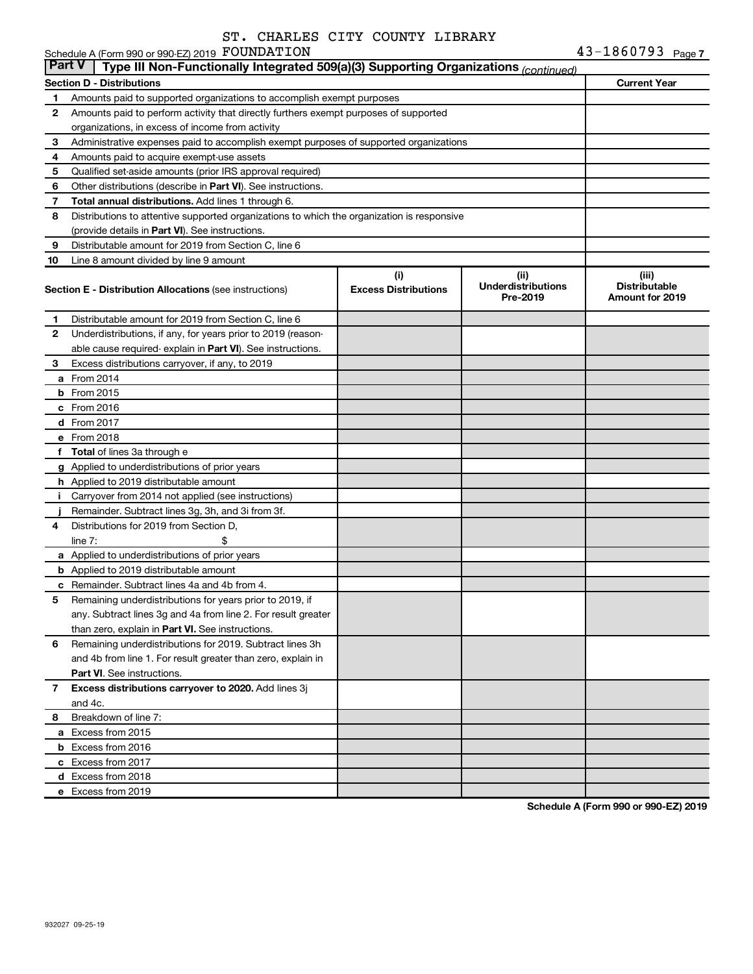Schedule A (Form 990 or 990-EZ) 2019 FOUNDATION

|              | <b>Part V</b><br>Type III Non-Functionally Integrated 509(a)(3) Supporting Organizations (continued) |                             |                                       |                                                |  |  |  |
|--------------|------------------------------------------------------------------------------------------------------|-----------------------------|---------------------------------------|------------------------------------------------|--|--|--|
|              | <b>Current Year</b><br><b>Section D - Distributions</b>                                              |                             |                                       |                                                |  |  |  |
| 1            | Amounts paid to supported organizations to accomplish exempt purposes                                |                             |                                       |                                                |  |  |  |
| 2            | Amounts paid to perform activity that directly furthers exempt purposes of supported                 |                             |                                       |                                                |  |  |  |
|              | organizations, in excess of income from activity                                                     |                             |                                       |                                                |  |  |  |
| 3            | Administrative expenses paid to accomplish exempt purposes of supported organizations                |                             |                                       |                                                |  |  |  |
| 4            | Amounts paid to acquire exempt-use assets                                                            |                             |                                       |                                                |  |  |  |
| 5            | Qualified set-aside amounts (prior IRS approval required)                                            |                             |                                       |                                                |  |  |  |
| 6            | Other distributions (describe in Part VI). See instructions.                                         |                             |                                       |                                                |  |  |  |
| 7            | Total annual distributions. Add lines 1 through 6.                                                   |                             |                                       |                                                |  |  |  |
| 8            | Distributions to attentive supported organizations to which the organization is responsive           |                             |                                       |                                                |  |  |  |
|              | (provide details in Part VI). See instructions.                                                      |                             |                                       |                                                |  |  |  |
| 9            | Distributable amount for 2019 from Section C, line 6                                                 |                             |                                       |                                                |  |  |  |
| 10           | Line 8 amount divided by line 9 amount                                                               |                             |                                       |                                                |  |  |  |
|              |                                                                                                      | (i)                         | (ii)                                  | (iii)                                          |  |  |  |
|              | <b>Section E - Distribution Allocations (see instructions)</b>                                       | <b>Excess Distributions</b> | <b>Underdistributions</b><br>Pre-2019 | <b>Distributable</b><br><b>Amount for 2019</b> |  |  |  |
| 1.           | Distributable amount for 2019 from Section C, line 6                                                 |                             |                                       |                                                |  |  |  |
| $\mathbf{2}$ | Underdistributions, if any, for years prior to 2019 (reason-                                         |                             |                                       |                                                |  |  |  |
|              | able cause required- explain in Part VI). See instructions.                                          |                             |                                       |                                                |  |  |  |
| 3            | Excess distributions carryover, if any, to 2019                                                      |                             |                                       |                                                |  |  |  |
|              | a From 2014                                                                                          |                             |                                       |                                                |  |  |  |
|              | <b>b</b> From 2015                                                                                   |                             |                                       |                                                |  |  |  |
|              | c From 2016                                                                                          |                             |                                       |                                                |  |  |  |
|              | d From 2017                                                                                          |                             |                                       |                                                |  |  |  |
|              | e From 2018                                                                                          |                             |                                       |                                                |  |  |  |
|              | f Total of lines 3a through e                                                                        |                             |                                       |                                                |  |  |  |
|              | <b>g</b> Applied to underdistributions of prior years                                                |                             |                                       |                                                |  |  |  |
|              | <b>h</b> Applied to 2019 distributable amount                                                        |                             |                                       |                                                |  |  |  |
|              | Carryover from 2014 not applied (see instructions)                                                   |                             |                                       |                                                |  |  |  |
|              | Remainder. Subtract lines 3g, 3h, and 3i from 3f.                                                    |                             |                                       |                                                |  |  |  |
| 4            | Distributions for 2019 from Section D,                                                               |                             |                                       |                                                |  |  |  |
|              | $line 7$ :                                                                                           |                             |                                       |                                                |  |  |  |
|              | a Applied to underdistributions of prior years                                                       |                             |                                       |                                                |  |  |  |
|              | <b>b</b> Applied to 2019 distributable amount                                                        |                             |                                       |                                                |  |  |  |
| с            | Remainder. Subtract lines 4a and 4b from 4.                                                          |                             |                                       |                                                |  |  |  |
| 5            | Remaining underdistributions for years prior to 2019, if                                             |                             |                                       |                                                |  |  |  |
|              | any. Subtract lines 3g and 4a from line 2. For result greater                                        |                             |                                       |                                                |  |  |  |
|              | than zero, explain in Part VI. See instructions.                                                     |                             |                                       |                                                |  |  |  |
| 6            | Remaining underdistributions for 2019. Subtract lines 3h                                             |                             |                                       |                                                |  |  |  |
|              | and 4b from line 1. For result greater than zero, explain in                                         |                             |                                       |                                                |  |  |  |
|              | <b>Part VI.</b> See instructions.                                                                    |                             |                                       |                                                |  |  |  |
| $\mathbf{7}$ | Excess distributions carryover to 2020. Add lines 3j                                                 |                             |                                       |                                                |  |  |  |
|              | and 4c.                                                                                              |                             |                                       |                                                |  |  |  |
| 8            | Breakdown of line 7:                                                                                 |                             |                                       |                                                |  |  |  |
|              | a Excess from 2015                                                                                   |                             |                                       |                                                |  |  |  |
|              | <b>b</b> Excess from 2016                                                                            |                             |                                       |                                                |  |  |  |
|              | c Excess from 2017                                                                                   |                             |                                       |                                                |  |  |  |
|              | d Excess from 2018                                                                                   |                             |                                       |                                                |  |  |  |
|              | e Excess from 2019                                                                                   |                             |                                       |                                                |  |  |  |

**Schedule A (Form 990 or 990-EZ) 2019**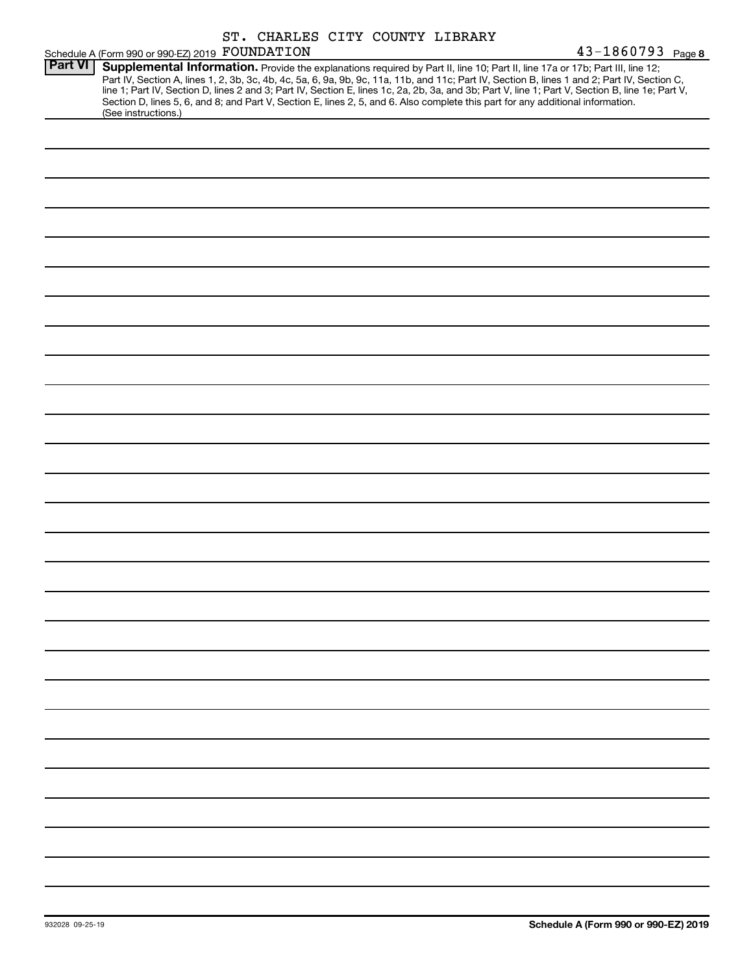|                |                                                 | ST. CHARLES CITY COUNTY LIBRARY |                                                                                                                                                                                                                                                                                                                                                                                                                                                                                                                                                                      |                   |
|----------------|-------------------------------------------------|---------------------------------|----------------------------------------------------------------------------------------------------------------------------------------------------------------------------------------------------------------------------------------------------------------------------------------------------------------------------------------------------------------------------------------------------------------------------------------------------------------------------------------------------------------------------------------------------------------------|-------------------|
|                | Schedule A (Form 990 or 990-EZ) 2019 FOUNDATION |                                 |                                                                                                                                                                                                                                                                                                                                                                                                                                                                                                                                                                      | 43-1860793 Page 8 |
| <b>Part VI</b> | (See instructions.)                             |                                 | Supplemental Information. Provide the explanations required by Part II, line 10; Part II, line 17a or 17b; Part III, line 12;<br>Part IV, Section A, lines 1, 2, 3b, 3c, 4b, 4c, 5a, 6, 9a, 9b, 9c, 11a, 11b, and 11c; Part IV, Section B, lines 1 and 2; Part IV, Section C,<br>line 1; Part IV, Section D, lines 2 and 3; Part IV, Section E, lines 1c, 2a, 2b, 3a, and 3b; Part V, line 1; Part V, Section B, line 1e; Part V,<br>Section D, lines 5, 6, and 8; and Part V, Section E, lines 2, 5, and 6. Also complete this part for any additional information. |                   |
|                |                                                 |                                 |                                                                                                                                                                                                                                                                                                                                                                                                                                                                                                                                                                      |                   |
|                |                                                 |                                 |                                                                                                                                                                                                                                                                                                                                                                                                                                                                                                                                                                      |                   |
|                |                                                 |                                 |                                                                                                                                                                                                                                                                                                                                                                                                                                                                                                                                                                      |                   |
|                |                                                 |                                 |                                                                                                                                                                                                                                                                                                                                                                                                                                                                                                                                                                      |                   |
|                |                                                 |                                 |                                                                                                                                                                                                                                                                                                                                                                                                                                                                                                                                                                      |                   |
|                |                                                 |                                 |                                                                                                                                                                                                                                                                                                                                                                                                                                                                                                                                                                      |                   |
|                |                                                 |                                 |                                                                                                                                                                                                                                                                                                                                                                                                                                                                                                                                                                      |                   |
|                |                                                 |                                 |                                                                                                                                                                                                                                                                                                                                                                                                                                                                                                                                                                      |                   |
|                |                                                 |                                 |                                                                                                                                                                                                                                                                                                                                                                                                                                                                                                                                                                      |                   |
|                |                                                 |                                 |                                                                                                                                                                                                                                                                                                                                                                                                                                                                                                                                                                      |                   |
|                |                                                 |                                 |                                                                                                                                                                                                                                                                                                                                                                                                                                                                                                                                                                      |                   |
|                |                                                 |                                 |                                                                                                                                                                                                                                                                                                                                                                                                                                                                                                                                                                      |                   |
|                |                                                 |                                 |                                                                                                                                                                                                                                                                                                                                                                                                                                                                                                                                                                      |                   |
|                |                                                 |                                 |                                                                                                                                                                                                                                                                                                                                                                                                                                                                                                                                                                      |                   |
|                |                                                 |                                 |                                                                                                                                                                                                                                                                                                                                                                                                                                                                                                                                                                      |                   |
|                |                                                 |                                 |                                                                                                                                                                                                                                                                                                                                                                                                                                                                                                                                                                      |                   |
|                |                                                 |                                 |                                                                                                                                                                                                                                                                                                                                                                                                                                                                                                                                                                      |                   |
|                |                                                 |                                 |                                                                                                                                                                                                                                                                                                                                                                                                                                                                                                                                                                      |                   |
|                |                                                 |                                 |                                                                                                                                                                                                                                                                                                                                                                                                                                                                                                                                                                      |                   |
|                |                                                 |                                 |                                                                                                                                                                                                                                                                                                                                                                                                                                                                                                                                                                      |                   |
|                |                                                 |                                 |                                                                                                                                                                                                                                                                                                                                                                                                                                                                                                                                                                      |                   |
|                |                                                 |                                 |                                                                                                                                                                                                                                                                                                                                                                                                                                                                                                                                                                      |                   |
|                |                                                 |                                 |                                                                                                                                                                                                                                                                                                                                                                                                                                                                                                                                                                      |                   |
|                |                                                 |                                 |                                                                                                                                                                                                                                                                                                                                                                                                                                                                                                                                                                      |                   |
|                |                                                 |                                 |                                                                                                                                                                                                                                                                                                                                                                                                                                                                                                                                                                      |                   |
|                |                                                 |                                 |                                                                                                                                                                                                                                                                                                                                                                                                                                                                                                                                                                      |                   |
|                |                                                 |                                 |                                                                                                                                                                                                                                                                                                                                                                                                                                                                                                                                                                      |                   |
|                |                                                 |                                 |                                                                                                                                                                                                                                                                                                                                                                                                                                                                                                                                                                      |                   |
|                |                                                 |                                 |                                                                                                                                                                                                                                                                                                                                                                                                                                                                                                                                                                      |                   |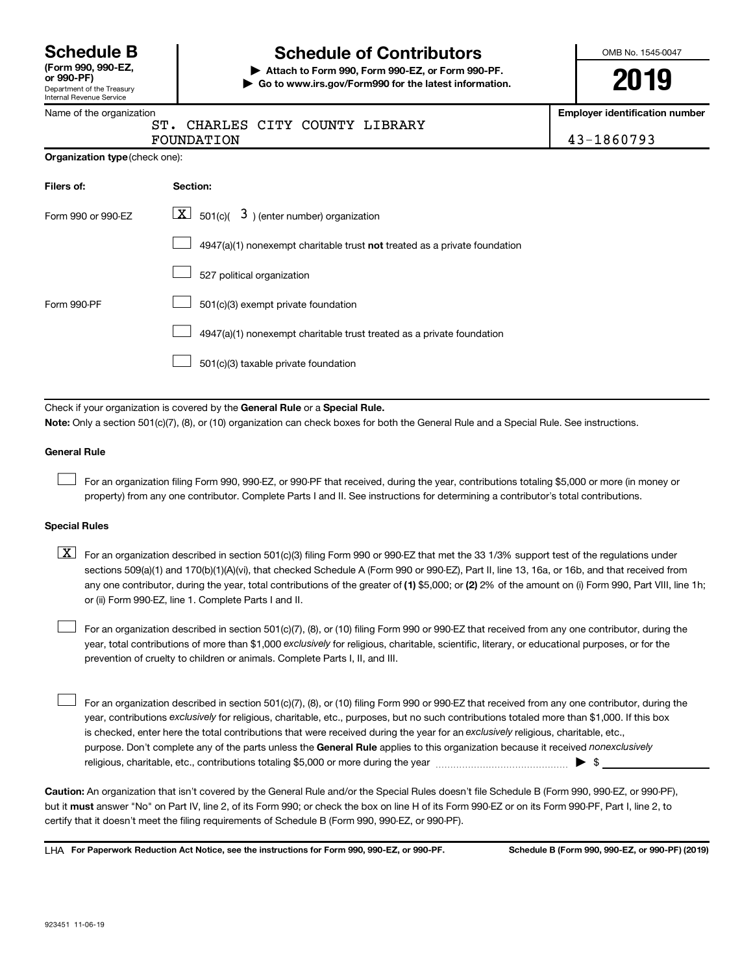Department of the Treasury Internal Revenue Service **(Form 990, 990-EZ,**

# **Schedule B Schedule of Contributors**

**or 990-PF) | Attach to Form 990, Form 990-EZ, or Form 990-PF. | Go to www.irs.gov/Form990 for the latest information.** OMB No. 1545-0047

**2019**

**Employer identification number**

|  | Name of the organization |
|--|--------------------------|
|--|--------------------------|

|  |            |  | CHARLES CITY COUNTY LIBRARY |            |
|--|------------|--|-----------------------------|------------|
|  | FOUNDATION |  |                             | 43-1860793 |

|  |  | Organization type (check one): |
|--|--|--------------------------------|
|--|--|--------------------------------|

| Filers of:         | Section:                                                                           |
|--------------------|------------------------------------------------------------------------------------|
| Form 990 or 990-EZ | $\boxed{\textbf{X}}$ 501(c)( 3) (enter number) organization                        |
|                    | $4947(a)(1)$ nonexempt charitable trust <b>not</b> treated as a private foundation |
|                    | 527 political organization                                                         |
| Form 990-PF        | 501(c)(3) exempt private foundation                                                |
|                    | 4947(a)(1) nonexempt charitable trust treated as a private foundation              |
|                    | 501(c)(3) taxable private foundation                                               |

Check if your organization is covered by the General Rule or a Special Rule.

**Note:**  Only a section 501(c)(7), (8), or (10) organization can check boxes for both the General Rule and a Special Rule. See instructions.

#### **General Rule**

 $\Box$ 

For an organization filing Form 990, 990-EZ, or 990-PF that received, during the year, contributions totaling \$5,000 or more (in money or property) from any one contributor. Complete Parts I and II. See instructions for determining a contributor's total contributions.

#### **Special Rules**

any one contributor, during the year, total contributions of the greater of (1) \$5,000; or (2) 2% of the amount on (i) Form 990, Part VIII, line 1h;  $\boxed{\text{X}}$  For an organization described in section 501(c)(3) filing Form 990 or 990-EZ that met the 33 1/3% support test of the regulations under sections 509(a)(1) and 170(b)(1)(A)(vi), that checked Schedule A (Form 990 or 990-EZ), Part II, line 13, 16a, or 16b, and that received from or (ii) Form 990-EZ, line 1. Complete Parts I and II.

year, total contributions of more than \$1,000 *exclusively* for religious, charitable, scientific, literary, or educational purposes, or for the For an organization described in section 501(c)(7), (8), or (10) filing Form 990 or 990-EZ that received from any one contributor, during the prevention of cruelty to children or animals. Complete Parts I, II, and III.  $\Box$ 

purpose. Don't complete any of the parts unless the General Rule applies to this organization because it received nonexclusively year, contributions exclusively for religious, charitable, etc., purposes, but no such contributions totaled more than \$1,000. If this box is checked, enter here the total contributions that were received during the year for an exclusively religious, charitable, etc., For an organization described in section 501(c)(7), (8), or (10) filing Form 990 or 990-EZ that received from any one contributor, during the religious, charitable, etc., contributions totaling \$5,000 or more during the year  $~\ldots\ldots\ldots\ldots\ldots\ldots\ldots\ldots\ldots\blacktriangleright~$ \$  $\Box$ 

**Caution:**  An organization that isn't covered by the General Rule and/or the Special Rules doesn't file Schedule B (Form 990, 990-EZ, or 990-PF),  **must** but it answer "No" on Part IV, line 2, of its Form 990; or check the box on line H of its Form 990-EZ or on its Form 990-PF, Part I, line 2, to certify that it doesn't meet the filing requirements of Schedule B (Form 990, 990-EZ, or 990-PF).

**For Paperwork Reduction Act Notice, see the instructions for Form 990, 990-EZ, or 990-PF. Schedule B (Form 990, 990-EZ, or 990-PF) (2019)** LHA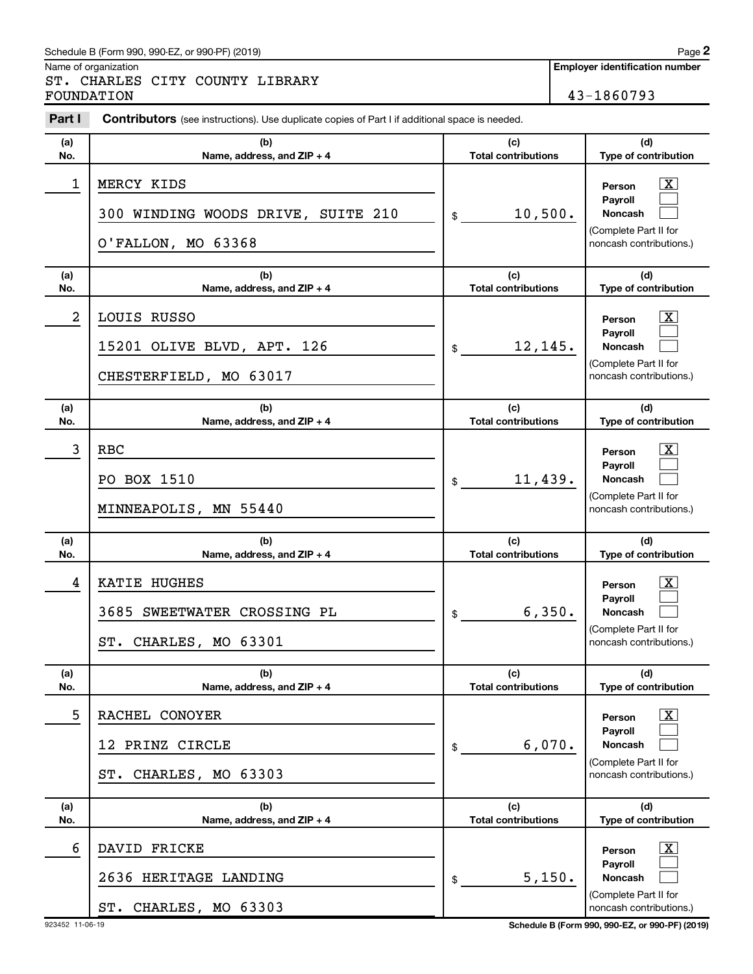#### Schedule B (Form 990, 990-EZ, or 990-PF) (2019)

Name of organization

ST. CHARLES CITY COUNTY LIBRARY FOUNDATION 43-1860793

| Part I     | <b>Contributors</b> (see instructions). Use duplicate copies of Part I if additional space is needed. |                                            |                                                                                                                                        |  |  |
|------------|-------------------------------------------------------------------------------------------------------|--------------------------------------------|----------------------------------------------------------------------------------------------------------------------------------------|--|--|
| (a)<br>No. | (b)<br>Name, address, and ZIP + 4                                                                     | (c)<br><b>Total contributions</b>          | (d)<br>Type of contribution                                                                                                            |  |  |
| 1          | MERCY KIDS<br>300 WINDING WOODS DRIVE, SUITE 210<br>O'FALLON, MO 63368                                | 10,500.<br>\$                              | $\mathbf{X}$<br>Person<br>Payroll<br>Noncash<br>(Complete Part II for<br>noncash contributions.)                                       |  |  |
| (a)<br>No. | (b)<br>Name, address, and ZIP + 4                                                                     | (c)<br><b>Total contributions</b>          | (d)<br>Type of contribution                                                                                                            |  |  |
| 2          | LOUIS RUSSO<br>15201 OLIVE BLVD, APT. 126<br>CHESTERFIELD, MO 63017                                   | 12,145.<br>\$                              | $\mathbf{X}$<br>Person<br>Payroll<br>Noncash<br>(Complete Part II for<br>noncash contributions.)                                       |  |  |
| (a)<br>No. | (b)<br>Name, address, and ZIP + 4                                                                     | (c)<br><b>Total contributions</b>          | (d)<br>Type of contribution                                                                                                            |  |  |
| 3          | <b>RBC</b><br>PO BOX 1510<br>MINNEAPOLIS, MN 55440                                                    | 11,439.<br>\$                              | $\mathbf{X}$<br>Person<br>Pavroll<br><b>Noncash</b><br>(Complete Part II for<br>noncash contributions.)                                |  |  |
| (a)        | (b)                                                                                                   | (c)                                        | (d)                                                                                                                                    |  |  |
| No.<br>4   | Name, address, and ZIP + 4<br>KATIE HUGHES<br>3685 SWEETWATER CROSSING PL<br>ST. CHARLES, MO 63301    | <b>Total contributions</b><br>6,350.<br>\$ | Type of contribution<br>$\mathbf{X}$<br>Person<br><b>Payroll</b><br><b>Noncash</b><br>(Complete Part II for<br>noncash contributions.) |  |  |
| (a)<br>No. | (b)<br>Name, address, and ZIP + 4                                                                     | (c)<br><b>Total contributions</b>          | (d)<br>Type of contribution                                                                                                            |  |  |
| 5          | RACHEL CONOYER<br>12 PRINZ CIRCLE<br>ST. CHARLES, MO 63303                                            | 6,070.<br>\$                               | $\mathbf{X}$<br>Person<br>Pavroll<br><b>Noncash</b><br>(Complete Part II for<br>noncash contributions.)                                |  |  |
| (a)<br>No. | (b)<br>Name, address, and ZIP + 4                                                                     | (c)<br><b>Total contributions</b>          | (d)<br>Type of contribution                                                                                                            |  |  |
| 6          | DAVID FRICKE<br>2636 HERITAGE LANDING<br>ST. CHARLES, MO 63303                                        | 5,150.<br>\$                               | $\mathbf{X}$<br>Person<br>Payroll<br>Noncash<br>(Complete Part II for<br>noncash contributions.)                                       |  |  |

923452 11-06-19 **Schedule B (Form 990, 990-EZ, or 990-PF) (2019)**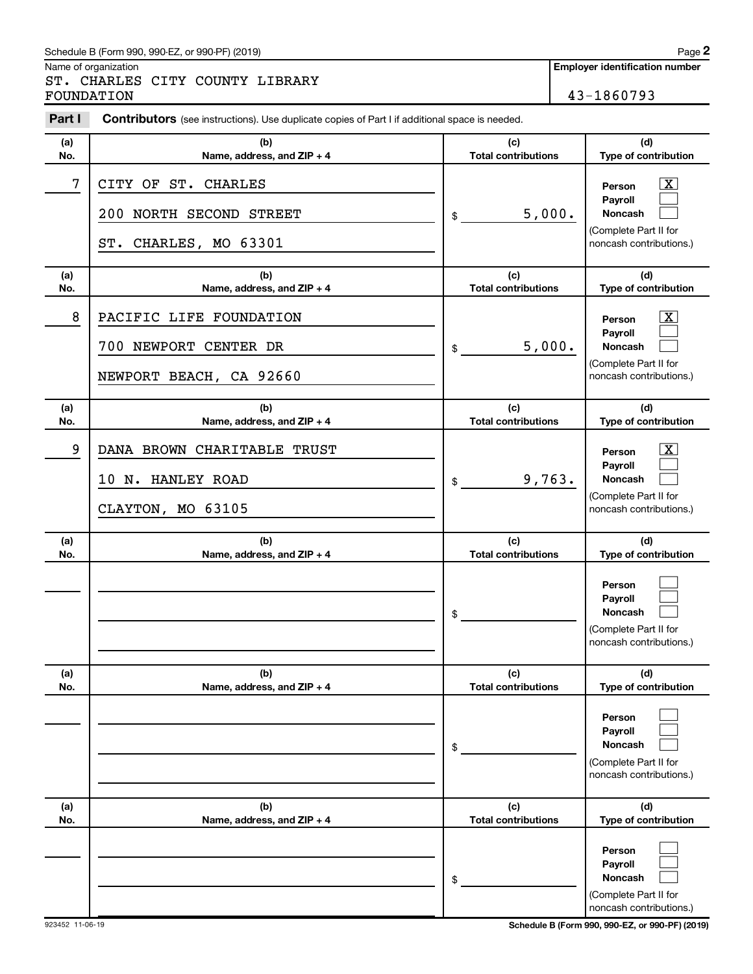#### Schedule B (Form 990, 990-EZ, or 990-PF) (2019)

Name of organization

ST. CHARLES CITY COUNTY LIBRARY FOUNDATION 43-1860793

| Part I     | <b>Contributors</b> (see instructions). Use duplicate copies of Part I if additional space is needed. |                                   |                                                                                                                    |  |  |
|------------|-------------------------------------------------------------------------------------------------------|-----------------------------------|--------------------------------------------------------------------------------------------------------------------|--|--|
| (a)<br>No. | (b)<br>Name, address, and ZIP + 4                                                                     | (c)<br><b>Total contributions</b> | (d)<br>Type of contribution                                                                                        |  |  |
| 7          | CITY OF ST. CHARLES<br>NORTH SECOND STREET<br>200<br>ST. CHARLES, MO 63301                            | 5,000.<br>\$                      | $\mathbf{X}$<br>Person<br>Payroll<br>Noncash<br>(Complete Part II for<br>noncash contributions.)                   |  |  |
| (a)<br>No. | (b)<br>Name, address, and ZIP + 4                                                                     | (c)<br><b>Total contributions</b> | (d)<br>Type of contribution                                                                                        |  |  |
| 8          | PACIFIC LIFE FOUNDATION<br>700 NEWPORT CENTER DR<br>NEWPORT BEACH, CA 92660                           | 5,000.<br>\$                      | $\overline{\mathbf{X}}$<br>Person<br>Payroll<br>Noncash<br>(Complete Part II for<br>noncash contributions.)        |  |  |
| (a)<br>No. | (b)<br>Name, address, and ZIP + 4                                                                     | (c)<br><b>Total contributions</b> | (d)<br>Type of contribution                                                                                        |  |  |
| 9          | DANA BROWN CHARITABLE TRUST<br>10<br>N. HANLEY ROAD<br>CLAYTON, MO 63105                              | 9,763.<br>\$                      | $\overline{\mathbf{X}}$<br>Person<br>Payroll<br><b>Noncash</b><br>(Complete Part II for<br>noncash contributions.) |  |  |
| (a)<br>No. | (b)<br>Name, address, and ZIP + 4                                                                     | (c)<br><b>Total contributions</b> | (d)<br>Type of contribution                                                                                        |  |  |
|            |                                                                                                       | \$                                | Person<br>Payroll<br>Noncash<br>(Complete Part II for<br>noncash contributions.)                                   |  |  |
| (a)<br>No. | (b)<br>Name, address, and ZIP + 4                                                                     | (c)<br><b>Total contributions</b> | (d)<br>Type of contribution                                                                                        |  |  |
|            |                                                                                                       | \$                                | Person<br>Payroll<br><b>Noncash</b><br>(Complete Part II for<br>noncash contributions.)                            |  |  |
| (a)<br>No. | (b)<br>Name, address, and ZIP + 4                                                                     | (c)<br><b>Total contributions</b> | (d)<br>Type of contribution                                                                                        |  |  |
|            |                                                                                                       | \$                                | Person<br>Payroll<br><b>Noncash</b><br>(Complete Part II for<br>noncash contributions.)                            |  |  |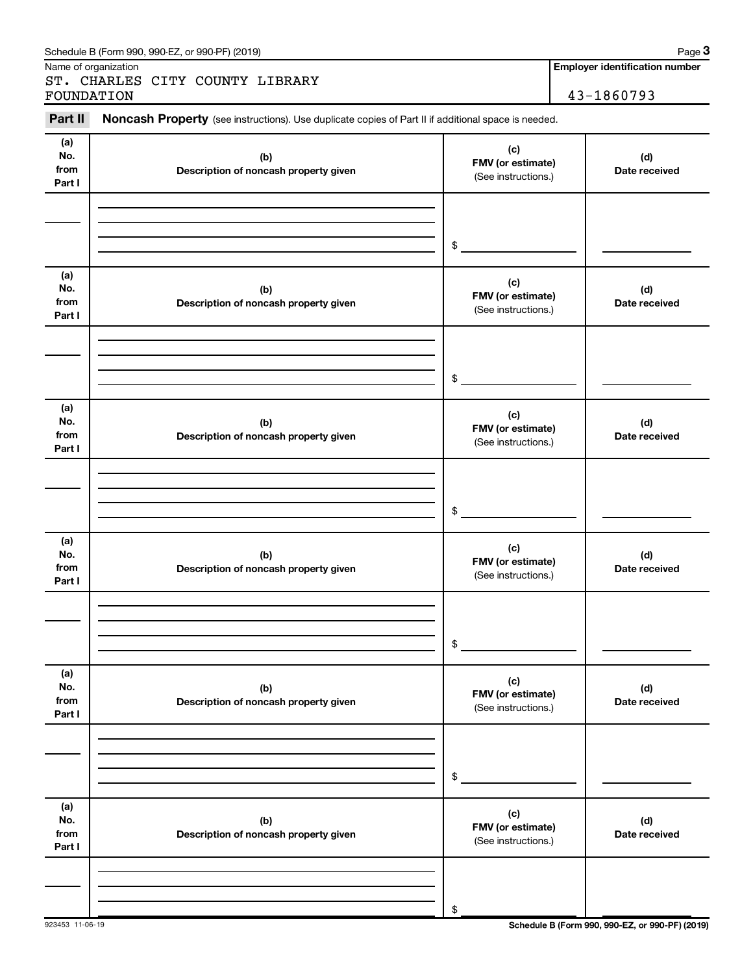|                              |                                              | Noncash Property (see instructions). Use duplicate copies of Part II if additional space is needed. |                      |
|------------------------------|----------------------------------------------|-----------------------------------------------------------------------------------------------------|----------------------|
| (a)<br>No.<br>from<br>Part I | (b)<br>Description of noncash property given | (c)<br>FMV (or estimate)<br>(See instructions.)                                                     | (d)<br>Date received |
|                              |                                              | \$                                                                                                  |                      |
| (a)<br>No.<br>from<br>Part I | (b)<br>Description of noncash property given | (c)<br>FMV (or estimate)<br>(See instructions.)                                                     | (d)<br>Date received |
|                              |                                              | \$                                                                                                  |                      |
| (a)<br>No.<br>from<br>Part I | (b)<br>Description of noncash property given | (c)<br>FMV (or estimate)<br>(See instructions.)                                                     | (d)<br>Date received |
|                              |                                              | \$                                                                                                  |                      |
| (a)<br>No.<br>from<br>Part I | (b)<br>Description of noncash property given | (c)<br>FMV (or estimate)<br>(See instructions.)                                                     | (d)<br>Date received |
|                              |                                              | \$                                                                                                  |                      |
| (a)<br>No.<br>from<br>Part I | (b)<br>Description of noncash property given | (c)<br>FMV (or estimate)<br>(See instructions.)                                                     | (d)<br>Date received |
|                              |                                              | \$                                                                                                  |                      |
| (a)<br>No.<br>from<br>Part I | (b)<br>Description of noncash property given | (c)<br>FMV (or estimate)<br>(See instructions.)                                                     | (d)<br>Date received |
|                              |                                              |                                                                                                     |                      |

Name of organization

# ST. CHARLES CITY COUNTY LIBRARY FOUNDATION 43-1860793

**Employer identification number**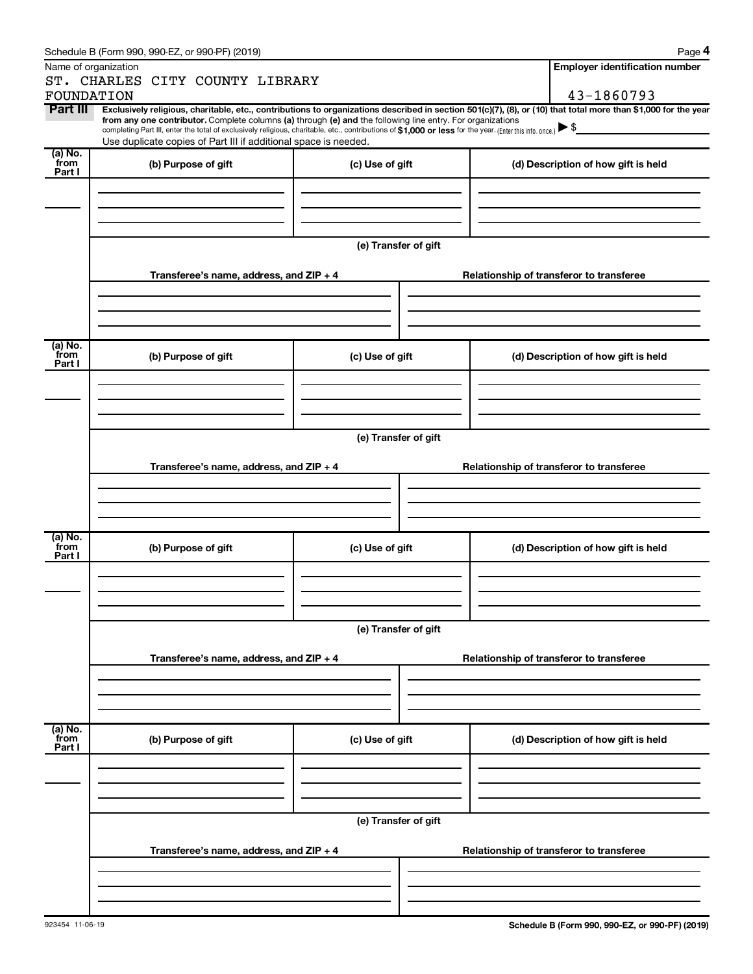|                 | Schedule B (Form 990, 990-EZ, or 990-PF) (2019)                                                                                                                                                                                                                              |                      |  |                                          | Page 4                                   |  |  |  |  |
|-----------------|------------------------------------------------------------------------------------------------------------------------------------------------------------------------------------------------------------------------------------------------------------------------------|----------------------|--|------------------------------------------|------------------------------------------|--|--|--|--|
|                 | Name of organization                                                                                                                                                                                                                                                         |                      |  |                                          | <b>Employer identification number</b>    |  |  |  |  |
|                 | ST. CHARLES CITY COUNTY LIBRARY                                                                                                                                                                                                                                              |                      |  |                                          |                                          |  |  |  |  |
| FOUNDATION      |                                                                                                                                                                                                                                                                              |                      |  |                                          | 43-1860793                               |  |  |  |  |
| Part III        | Exclusively religious, charitable, etc., contributions to organizations described in section 501(c)(7), (8), or (10) that total more than \$1,000 for the year<br>from any one contributor. Complete columns (a) through (e) and the following line entry. For organizations |                      |  |                                          |                                          |  |  |  |  |
|                 | completing Part III, enter the total of exclusively religious, charitable, etc., contributions of \$1,000 or less for the year. (Enter this info. once.) $\blacktriangleright$ \$<br>Use duplicate copies of Part III if additional space is needed.                         |                      |  |                                          |                                          |  |  |  |  |
| $(a)$ No.       |                                                                                                                                                                                                                                                                              |                      |  |                                          |                                          |  |  |  |  |
| from<br>Part I  | (b) Purpose of gift                                                                                                                                                                                                                                                          | (c) Use of gift      |  |                                          | (d) Description of how gift is held      |  |  |  |  |
|                 |                                                                                                                                                                                                                                                                              |                      |  |                                          |                                          |  |  |  |  |
|                 |                                                                                                                                                                                                                                                                              |                      |  |                                          |                                          |  |  |  |  |
|                 |                                                                                                                                                                                                                                                                              |                      |  |                                          |                                          |  |  |  |  |
|                 |                                                                                                                                                                                                                                                                              |                      |  |                                          |                                          |  |  |  |  |
|                 |                                                                                                                                                                                                                                                                              | (e) Transfer of gift |  |                                          |                                          |  |  |  |  |
|                 | Transferee's name, address, and ZIP + 4                                                                                                                                                                                                                                      |                      |  |                                          | Relationship of transferor to transferee |  |  |  |  |
|                 |                                                                                                                                                                                                                                                                              |                      |  |                                          |                                          |  |  |  |  |
|                 |                                                                                                                                                                                                                                                                              |                      |  |                                          |                                          |  |  |  |  |
|                 |                                                                                                                                                                                                                                                                              |                      |  |                                          |                                          |  |  |  |  |
|                 |                                                                                                                                                                                                                                                                              |                      |  |                                          |                                          |  |  |  |  |
| (a) No.<br>from | (b) Purpose of gift                                                                                                                                                                                                                                                          | (c) Use of gift      |  |                                          | (d) Description of how gift is held      |  |  |  |  |
| Part I          |                                                                                                                                                                                                                                                                              |                      |  |                                          |                                          |  |  |  |  |
|                 |                                                                                                                                                                                                                                                                              |                      |  |                                          |                                          |  |  |  |  |
|                 |                                                                                                                                                                                                                                                                              |                      |  |                                          |                                          |  |  |  |  |
|                 |                                                                                                                                                                                                                                                                              |                      |  |                                          |                                          |  |  |  |  |
|                 | (e) Transfer of gift                                                                                                                                                                                                                                                         |                      |  |                                          |                                          |  |  |  |  |
|                 |                                                                                                                                                                                                                                                                              |                      |  |                                          |                                          |  |  |  |  |
|                 | Transferee's name, address, and ZIP + 4                                                                                                                                                                                                                                      |                      |  | Relationship of transferor to transferee |                                          |  |  |  |  |
|                 |                                                                                                                                                                                                                                                                              |                      |  |                                          |                                          |  |  |  |  |
|                 |                                                                                                                                                                                                                                                                              |                      |  |                                          |                                          |  |  |  |  |
|                 |                                                                                                                                                                                                                                                                              |                      |  |                                          |                                          |  |  |  |  |
| $(a)$ No.       |                                                                                                                                                                                                                                                                              |                      |  |                                          |                                          |  |  |  |  |
| from<br>Part I  | (b) Purpose of gift                                                                                                                                                                                                                                                          | (c) Use of gift      |  |                                          | (d) Description of how gift is held      |  |  |  |  |
|                 |                                                                                                                                                                                                                                                                              |                      |  |                                          |                                          |  |  |  |  |
|                 |                                                                                                                                                                                                                                                                              |                      |  |                                          |                                          |  |  |  |  |
|                 |                                                                                                                                                                                                                                                                              |                      |  |                                          |                                          |  |  |  |  |
|                 |                                                                                                                                                                                                                                                                              |                      |  |                                          |                                          |  |  |  |  |
|                 |                                                                                                                                                                                                                                                                              | (e) Transfer of gift |  |                                          |                                          |  |  |  |  |
|                 | Transferee's name, address, and ZIP + 4                                                                                                                                                                                                                                      |                      |  |                                          | Relationship of transferor to transferee |  |  |  |  |
|                 |                                                                                                                                                                                                                                                                              |                      |  |                                          |                                          |  |  |  |  |
|                 |                                                                                                                                                                                                                                                                              |                      |  |                                          |                                          |  |  |  |  |
|                 |                                                                                                                                                                                                                                                                              |                      |  |                                          |                                          |  |  |  |  |
|                 |                                                                                                                                                                                                                                                                              |                      |  |                                          |                                          |  |  |  |  |
| (a) No.<br>from | (b) Purpose of gift                                                                                                                                                                                                                                                          | (c) Use of gift      |  |                                          | (d) Description of how gift is held      |  |  |  |  |
| Part I          |                                                                                                                                                                                                                                                                              |                      |  |                                          |                                          |  |  |  |  |
|                 |                                                                                                                                                                                                                                                                              |                      |  |                                          |                                          |  |  |  |  |
|                 |                                                                                                                                                                                                                                                                              |                      |  |                                          |                                          |  |  |  |  |
|                 |                                                                                                                                                                                                                                                                              |                      |  |                                          |                                          |  |  |  |  |
|                 |                                                                                                                                                                                                                                                                              | (e) Transfer of gift |  |                                          |                                          |  |  |  |  |
|                 |                                                                                                                                                                                                                                                                              |                      |  |                                          |                                          |  |  |  |  |
|                 | Transferee's name, address, and ZIP + 4                                                                                                                                                                                                                                      |                      |  |                                          | Relationship of transferor to transferee |  |  |  |  |
|                 |                                                                                                                                                                                                                                                                              |                      |  |                                          |                                          |  |  |  |  |
|                 |                                                                                                                                                                                                                                                                              |                      |  |                                          |                                          |  |  |  |  |
|                 |                                                                                                                                                                                                                                                                              |                      |  |                                          |                                          |  |  |  |  |
|                 |                                                                                                                                                                                                                                                                              |                      |  |                                          |                                          |  |  |  |  |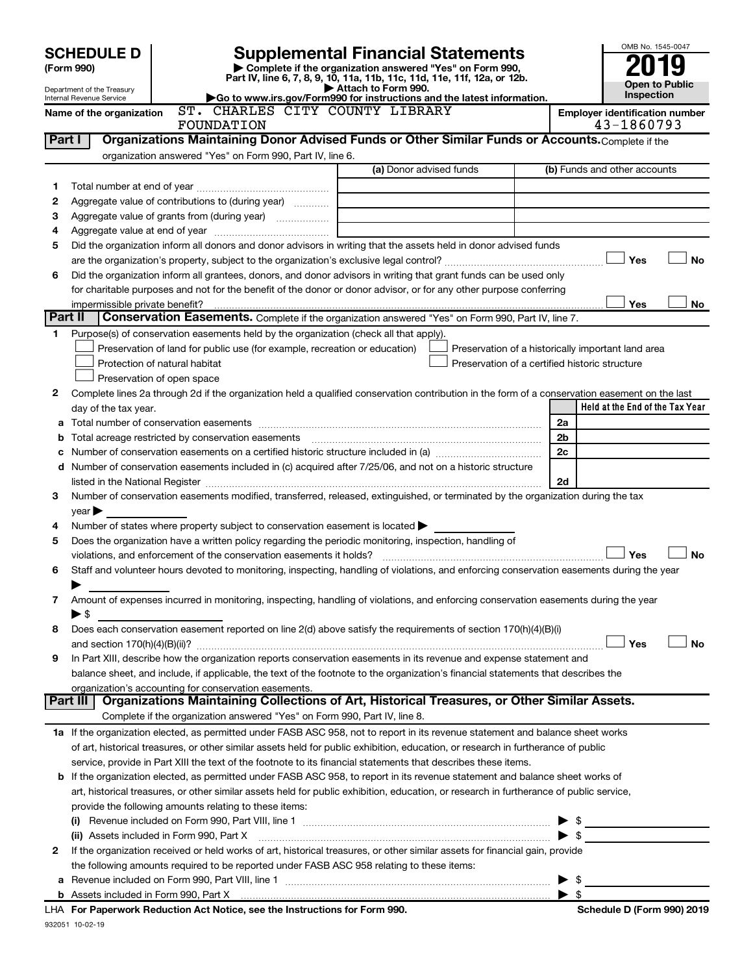|         | <b>SCHEDULE D</b>                                      |                                                                                                             |                                                                                                                                                |                          | OMB No. 1545-0047                                   |
|---------|--------------------------------------------------------|-------------------------------------------------------------------------------------------------------------|------------------------------------------------------------------------------------------------------------------------------------------------|--------------------------|-----------------------------------------------------|
|         | (Form 990)                                             |                                                                                                             | Supplemental Financial Statements<br>Complete if the organization answered "Yes" on Form 990,                                                  |                          |                                                     |
|         |                                                        |                                                                                                             | Part IV, line 6, 7, 8, 9, 10, 11a, 11b, 11c, 11d, 11e, 11f, 12a, or 12b.                                                                       |                          | <b>Open to Public</b>                               |
|         | Department of the Treasury<br>Internal Revenue Service |                                                                                                             | Attach to Form 990.<br>Go to www.irs.gov/Form990 for instructions and the latest information.                                                  | Inspection               |                                                     |
|         | Name of the organization                               | ST. CHARLES CITY COUNTY LIBRARY<br>FOUNDATION                                                               |                                                                                                                                                |                          | <b>Employer identification number</b><br>43-1860793 |
| Part I  |                                                        |                                                                                                             | Organizations Maintaining Donor Advised Funds or Other Similar Funds or Accounts. Complete if the                                              |                          |                                                     |
|         |                                                        | organization answered "Yes" on Form 990, Part IV, line 6.                                                   |                                                                                                                                                |                          |                                                     |
|         |                                                        |                                                                                                             | (a) Donor advised funds                                                                                                                        |                          | (b) Funds and other accounts                        |
| 1.      |                                                        |                                                                                                             |                                                                                                                                                |                          |                                                     |
| 2       |                                                        | Aggregate value of contributions to (during year)                                                           |                                                                                                                                                |                          |                                                     |
| з       |                                                        | Aggregate value of grants from (during year)                                                                |                                                                                                                                                |                          |                                                     |
| 4       |                                                        |                                                                                                             |                                                                                                                                                |                          |                                                     |
| 5       |                                                        |                                                                                                             | Did the organization inform all donors and donor advisors in writing that the assets held in donor advised funds                               |                          |                                                     |
|         |                                                        |                                                                                                             |                                                                                                                                                |                          | Yes<br>No                                           |
| 6       |                                                        |                                                                                                             | Did the organization inform all grantees, donors, and donor advisors in writing that grant funds can be used only                              |                          |                                                     |
|         |                                                        |                                                                                                             | for charitable purposes and not for the benefit of the donor or donor advisor, or for any other purpose conferring                             |                          |                                                     |
|         | impermissible private benefit?                         |                                                                                                             |                                                                                                                                                |                          | Yes<br>No                                           |
| Part II |                                                        |                                                                                                             | Conservation Easements. Complete if the organization answered "Yes" on Form 990, Part IV, line 7.                                              |                          |                                                     |
| 1.      |                                                        | Purpose(s) of conservation easements held by the organization (check all that apply).                       |                                                                                                                                                |                          |                                                     |
|         |                                                        | Preservation of land for public use (for example, recreation or education)<br>Protection of natural habitat | Preservation of a certified historic structure                                                                                                 |                          | Preservation of a historically important land area  |
|         |                                                        | Preservation of open space                                                                                  |                                                                                                                                                |                          |                                                     |
| 2       |                                                        |                                                                                                             | Complete lines 2a through 2d if the organization held a qualified conservation contribution in the form of a conservation easement on the last |                          |                                                     |
|         | day of the tax year.                                   |                                                                                                             |                                                                                                                                                |                          | Held at the End of the Tax Year                     |
|         |                                                        |                                                                                                             |                                                                                                                                                | 2a                       |                                                     |
| b       |                                                        | Total acreage restricted by conservation easements                                                          |                                                                                                                                                | 2b                       |                                                     |
| c       |                                                        |                                                                                                             |                                                                                                                                                | 2c                       |                                                     |
| d       |                                                        |                                                                                                             | Number of conservation easements included in (c) acquired after 7/25/06, and not on a historic structure                                       |                          |                                                     |
|         |                                                        |                                                                                                             |                                                                                                                                                | 2d                       |                                                     |
| 3       |                                                        |                                                                                                             | Number of conservation easements modified, transferred, released, extinguished, or terminated by the organization during the tax               |                          |                                                     |
|         | $year \triangleright$                                  |                                                                                                             |                                                                                                                                                |                          |                                                     |
| 4       |                                                        | Number of states where property subject to conservation easement is located >                               |                                                                                                                                                |                          |                                                     |
| 5       |                                                        | Does the organization have a written policy regarding the periodic monitoring, inspection, handling of      |                                                                                                                                                |                          |                                                     |
|         |                                                        | violations, and enforcement of the conservation easements it holds?                                         |                                                                                                                                                |                          | Yes<br>No                                           |
| 6       |                                                        |                                                                                                             | Staff and volunteer hours devoted to monitoring, inspecting, handling of violations, and enforcing conservation easements during the year      |                          |                                                     |
|         |                                                        |                                                                                                             |                                                                                                                                                |                          |                                                     |
| 7       |                                                        |                                                                                                             | Amount of expenses incurred in monitoring, inspecting, handling of violations, and enforcing conservation easements during the year            |                          |                                                     |
| 8       | $\blacktriangleright$ \$                               |                                                                                                             | Does each conservation easement reported on line 2(d) above satisfy the requirements of section 170(h)(4)(B)(i)                                |                          |                                                     |
|         |                                                        |                                                                                                             |                                                                                                                                                |                          | Yes<br><b>No</b>                                    |
| 9       |                                                        |                                                                                                             | In Part XIII, describe how the organization reports conservation easements in its revenue and expense statement and                            |                          |                                                     |
|         |                                                        |                                                                                                             | balance sheet, and include, if applicable, the text of the footnote to the organization's financial statements that describes the              |                          |                                                     |
|         |                                                        | organization's accounting for conservation easements.                                                       |                                                                                                                                                |                          |                                                     |
|         | Part III                                               |                                                                                                             | Organizations Maintaining Collections of Art, Historical Treasures, or Other Similar Assets.                                                   |                          |                                                     |
|         |                                                        | Complete if the organization answered "Yes" on Form 990, Part IV, line 8.                                   |                                                                                                                                                |                          |                                                     |
|         |                                                        |                                                                                                             | 1a If the organization elected, as permitted under FASB ASC 958, not to report in its revenue statement and balance sheet works                |                          |                                                     |
|         |                                                        |                                                                                                             | of art, historical treasures, or other similar assets held for public exhibition, education, or research in furtherance of public              |                          |                                                     |
|         |                                                        |                                                                                                             | service, provide in Part XIII the text of the footnote to its financial statements that describes these items.                                 |                          |                                                     |
|         |                                                        |                                                                                                             | <b>b</b> If the organization elected, as permitted under FASB ASC 958, to report in its revenue statement and balance sheet works of           |                          |                                                     |
|         |                                                        |                                                                                                             | art, historical treasures, or other similar assets held for public exhibition, education, or research in furtherance of public service,        |                          |                                                     |
|         |                                                        | provide the following amounts relating to these items:                                                      |                                                                                                                                                |                          |                                                     |
|         | (i)                                                    |                                                                                                             |                                                                                                                                                |                          |                                                     |
|         |                                                        |                                                                                                             | (ii) Assets included in Form 990, Part X <b>Process and Construction</b> Assets included in Form 990, Part X                                   |                          | $\blacktriangleright$ \$                            |
| 2       |                                                        |                                                                                                             | If the organization received or held works of art, historical treasures, or other similar assets for financial gain, provide                   |                          |                                                     |
|         |                                                        | the following amounts required to be reported under FASB ASC 958 relating to these items:                   |                                                                                                                                                | $\blacktriangleright$ \$ |                                                     |
|         |                                                        |                                                                                                             |                                                                                                                                                |                          |                                                     |

| \$

| <b>b</b> Assets included in Form 990, Part X |  |
|----------------------------------------------|--|

932051 10-02-19 **For Paperwork Reduction Act Notice, see the Instructions for Form 990. Schedule D (Form 990) 2019** LHA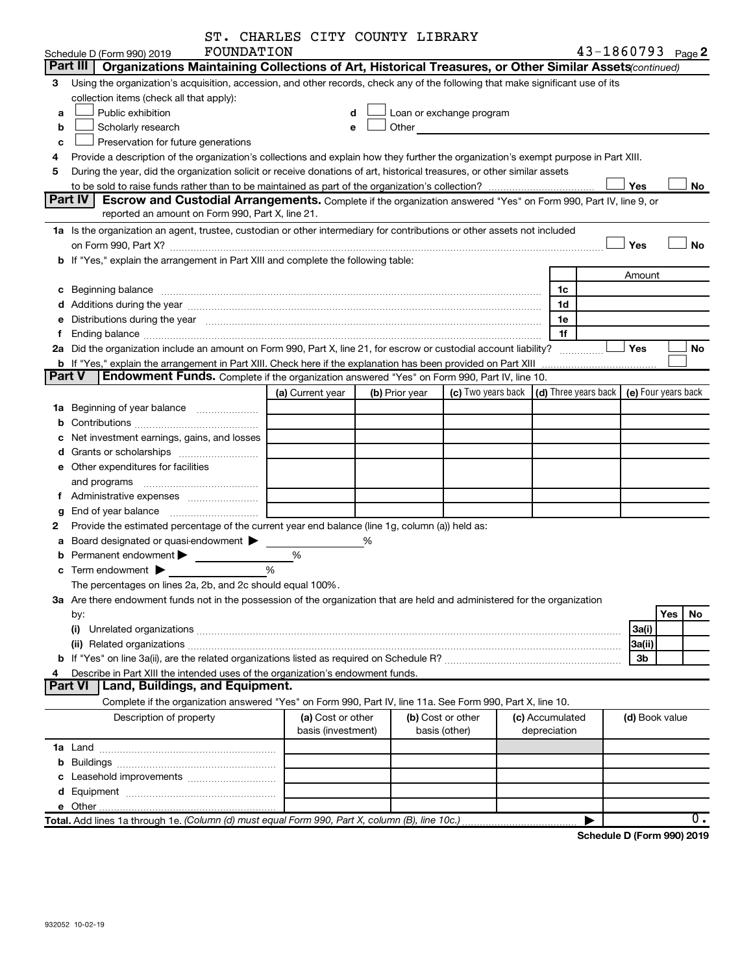|               |                                                                                                                                                                                                                                | ST. CHARLES CITY COUNTY LIBRARY         |   |                |                                                                                                                                                                                                                               |                                                                             |                                 |  |                       |     |           |
|---------------|--------------------------------------------------------------------------------------------------------------------------------------------------------------------------------------------------------------------------------|-----------------------------------------|---|----------------|-------------------------------------------------------------------------------------------------------------------------------------------------------------------------------------------------------------------------------|-----------------------------------------------------------------------------|---------------------------------|--|-----------------------|-----|-----------|
|               | FOUNDATION<br>Schedule D (Form 990) 2019                                                                                                                                                                                       |                                         |   |                |                                                                                                                                                                                                                               |                                                                             |                                 |  | $43 - 1860793$ Page 2 |     |           |
|               | Part III<br>Organizations Maintaining Collections of Art, Historical Treasures, or Other Similar Assets (continued)                                                                                                            |                                         |   |                |                                                                                                                                                                                                                               |                                                                             |                                 |  |                       |     |           |
| 3             | Using the organization's acquisition, accession, and other records, check any of the following that make significant use of its                                                                                                |                                         |   |                |                                                                                                                                                                                                                               |                                                                             |                                 |  |                       |     |           |
|               | collection items (check all that apply):                                                                                                                                                                                       |                                         |   |                |                                                                                                                                                                                                                               |                                                                             |                                 |  |                       |     |           |
| a             | Public exhibition                                                                                                                                                                                                              | d                                       |   |                | Loan or exchange program                                                                                                                                                                                                      |                                                                             |                                 |  |                       |     |           |
| b             | Scholarly research                                                                                                                                                                                                             | е                                       |   |                | Other and the contract of the contract of the contract of the contract of the contract of the contract of the contract of the contract of the contract of the contract of the contract of the contract of the contract of the |                                                                             |                                 |  |                       |     |           |
| c             | Preservation for future generations                                                                                                                                                                                            |                                         |   |                |                                                                                                                                                                                                                               |                                                                             |                                 |  |                       |     |           |
| 4             | Provide a description of the organization's collections and explain how they further the organization's exempt purpose in Part XIII.                                                                                           |                                         |   |                |                                                                                                                                                                                                                               |                                                                             |                                 |  |                       |     |           |
| 5             | During the year, did the organization solicit or receive donations of art, historical treasures, or other similar assets                                                                                                       |                                         |   |                |                                                                                                                                                                                                                               |                                                                             |                                 |  |                       |     |           |
|               | Yes<br>No                                                                                                                                                                                                                      |                                         |   |                |                                                                                                                                                                                                                               |                                                                             |                                 |  |                       |     |           |
|               | Part IV<br><b>Escrow and Custodial Arrangements.</b> Complete if the organization answered "Yes" on Form 990, Part IV, line 9, or                                                                                              |                                         |   |                |                                                                                                                                                                                                                               |                                                                             |                                 |  |                       |     |           |
|               | reported an amount on Form 990, Part X, line 21.                                                                                                                                                                               |                                         |   |                |                                                                                                                                                                                                                               |                                                                             |                                 |  |                       |     |           |
|               | 1a Is the organization an agent, trustee, custodian or other intermediary for contributions or other assets not included                                                                                                       |                                         |   |                |                                                                                                                                                                                                                               |                                                                             |                                 |  |                       |     |           |
|               | on Form 990, Part X? [11] matter contracts and contracts and contracts are contracted and contracts are contracted and contract and contract of the contract of the contract of the contract of the contract of the contract o |                                         |   |                |                                                                                                                                                                                                                               |                                                                             |                                 |  | Yes                   |     | <b>No</b> |
|               | b If "Yes," explain the arrangement in Part XIII and complete the following table:                                                                                                                                             |                                         |   |                |                                                                                                                                                                                                                               |                                                                             |                                 |  |                       |     |           |
|               |                                                                                                                                                                                                                                |                                         |   |                |                                                                                                                                                                                                                               |                                                                             |                                 |  | Amount                |     |           |
|               |                                                                                                                                                                                                                                |                                         |   |                |                                                                                                                                                                                                                               |                                                                             | 1c                              |  |                       |     |           |
|               |                                                                                                                                                                                                                                |                                         |   |                |                                                                                                                                                                                                                               |                                                                             | 1d                              |  |                       |     |           |
|               | e Distributions during the year measurement contained and all the contract of the contract of the set of the s                                                                                                                 |                                         |   |                |                                                                                                                                                                                                                               |                                                                             | 1e                              |  |                       |     |           |
| f             |                                                                                                                                                                                                                                |                                         |   |                |                                                                                                                                                                                                                               |                                                                             | 1f                              |  |                       |     |           |
|               | 2a Did the organization include an amount on Form 990, Part X, line 21, for escrow or custodial account liability?                                                                                                             |                                         |   |                |                                                                                                                                                                                                                               |                                                                             |                                 |  | Yes                   |     | No        |
| <b>Part V</b> | <b>b</b> If "Yes," explain the arrangement in Part XIII. Check here if the explanation has been provided on Part XIII<br>Endowment Funds. Complete if the organization answered "Yes" on Form 990, Part IV, line 10.           |                                         |   |                |                                                                                                                                                                                                                               |                                                                             |                                 |  |                       |     |           |
|               |                                                                                                                                                                                                                                | (a) Current year                        |   | (b) Prior year |                                                                                                                                                                                                                               | (c) Two years back $\vert$ (d) Three years back $\vert$ (e) Four years back |                                 |  |                       |     |           |
|               |                                                                                                                                                                                                                                |                                         |   |                |                                                                                                                                                                                                                               |                                                                             |                                 |  |                       |     |           |
|               | 1a Beginning of year balance                                                                                                                                                                                                   |                                         |   |                |                                                                                                                                                                                                                               |                                                                             |                                 |  |                       |     |           |
| b             | Net investment earnings, gains, and losses                                                                                                                                                                                     |                                         |   |                |                                                                                                                                                                                                                               |                                                                             |                                 |  |                       |     |           |
| с             |                                                                                                                                                                                                                                |                                         |   |                |                                                                                                                                                                                                                               |                                                                             |                                 |  |                       |     |           |
|               | e Other expenditures for facilities                                                                                                                                                                                            |                                         |   |                |                                                                                                                                                                                                                               |                                                                             |                                 |  |                       |     |           |
|               |                                                                                                                                                                                                                                |                                         |   |                |                                                                                                                                                                                                                               |                                                                             |                                 |  |                       |     |           |
|               |                                                                                                                                                                                                                                |                                         |   |                |                                                                                                                                                                                                                               |                                                                             |                                 |  |                       |     |           |
| g             |                                                                                                                                                                                                                                |                                         |   |                |                                                                                                                                                                                                                               |                                                                             |                                 |  |                       |     |           |
| 2             | Provide the estimated percentage of the current year end balance (line 1g, column (a)) held as:                                                                                                                                |                                         |   |                |                                                                                                                                                                                                                               |                                                                             |                                 |  |                       |     |           |
| а             | Board designated or quasi-endowment >                                                                                                                                                                                          |                                         | % |                |                                                                                                                                                                                                                               |                                                                             |                                 |  |                       |     |           |
|               | Permanent endowment $\blacktriangleright$                                                                                                                                                                                      | %                                       |   |                |                                                                                                                                                                                                                               |                                                                             |                                 |  |                       |     |           |
|               | $\frac{0}{0}$<br>$\mathbf c$ Term endowment $\blacktriangleright$                                                                                                                                                              |                                         |   |                |                                                                                                                                                                                                                               |                                                                             |                                 |  |                       |     |           |
|               | The percentages on lines 2a, 2b, and 2c should equal 100%.                                                                                                                                                                     |                                         |   |                |                                                                                                                                                                                                                               |                                                                             |                                 |  |                       |     |           |
|               | 3a Are there endowment funds not in the possession of the organization that are held and administered for the organization                                                                                                     |                                         |   |                |                                                                                                                                                                                                                               |                                                                             |                                 |  |                       |     |           |
|               | by:                                                                                                                                                                                                                            |                                         |   |                |                                                                                                                                                                                                                               |                                                                             |                                 |  |                       | Yes | No        |
|               | (i)                                                                                                                                                                                                                            |                                         |   |                |                                                                                                                                                                                                                               |                                                                             |                                 |  | 3a(i)                 |     |           |
|               |                                                                                                                                                                                                                                |                                         |   |                |                                                                                                                                                                                                                               |                                                                             |                                 |  | 3a(ii)                |     |           |
|               |                                                                                                                                                                                                                                |                                         |   |                |                                                                                                                                                                                                                               |                                                                             |                                 |  | 3b                    |     |           |
| 4             | Describe in Part XIII the intended uses of the organization's endowment funds.                                                                                                                                                 |                                         |   |                |                                                                                                                                                                                                                               |                                                                             |                                 |  |                       |     |           |
|               | <b>Land, Buildings, and Equipment.</b><br>Part VI                                                                                                                                                                              |                                         |   |                |                                                                                                                                                                                                                               |                                                                             |                                 |  |                       |     |           |
|               | Complete if the organization answered "Yes" on Form 990, Part IV, line 11a. See Form 990, Part X, line 10.                                                                                                                     |                                         |   |                |                                                                                                                                                                                                                               |                                                                             |                                 |  |                       |     |           |
|               | Description of property                                                                                                                                                                                                        | (a) Cost or other<br>basis (investment) |   |                | (b) Cost or other<br>basis (other)                                                                                                                                                                                            |                                                                             | (c) Accumulated<br>depreciation |  | (d) Book value        |     |           |
|               |                                                                                                                                                                                                                                |                                         |   |                |                                                                                                                                                                                                                               |                                                                             |                                 |  |                       |     |           |
| b             |                                                                                                                                                                                                                                |                                         |   |                |                                                                                                                                                                                                                               |                                                                             |                                 |  |                       |     |           |
| с             | Leasehold improvements                                                                                                                                                                                                         |                                         |   |                |                                                                                                                                                                                                                               |                                                                             |                                 |  |                       |     |           |
| d             |                                                                                                                                                                                                                                |                                         |   |                |                                                                                                                                                                                                                               |                                                                             |                                 |  |                       |     |           |
|               |                                                                                                                                                                                                                                |                                         |   |                |                                                                                                                                                                                                                               |                                                                             |                                 |  |                       |     |           |
|               | Total. Add lines 1a through 1e. (Column (d) must equal Form 990, Part X, column (B), line 10c.)                                                                                                                                |                                         |   |                |                                                                                                                                                                                                                               |                                                                             |                                 |  |                       |     | 0.        |
|               |                                                                                                                                                                                                                                |                                         |   |                |                                                                                                                                                                                                                               |                                                                             |                                 |  |                       |     |           |

**Schedule D (Form 990) 2019**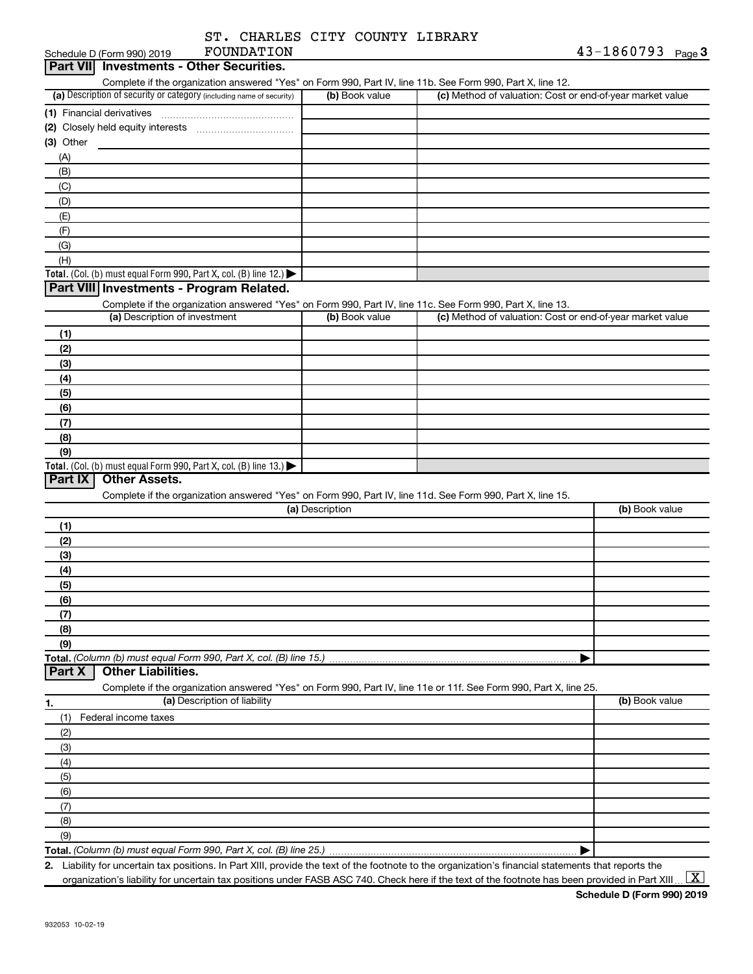| ST. CHARLES CITY COUNTY LIBRARY |  |  |
|---------------------------------|--|--|
|                                 |  |  |

|             | FOUNDATION<br>Schedule D (Form 990) 2019                                                                          |                 |                                                           | $43 - 1860793$ Page 3 |
|-------------|-------------------------------------------------------------------------------------------------------------------|-----------------|-----------------------------------------------------------|-----------------------|
| Part VIII   | <b>Investments - Other Securities.</b>                                                                            |                 |                                                           |                       |
|             | Complete if the organization answered "Yes" on Form 990, Part IV, line 11b. See Form 990, Part X, line 12.        |                 |                                                           |                       |
|             | (a) Description of security or category (including name of security)                                              | (b) Book value  | (c) Method of valuation: Cost or end-of-year market value |                       |
|             |                                                                                                                   |                 |                                                           |                       |
|             |                                                                                                                   |                 |                                                           |                       |
| $(3)$ Other |                                                                                                                   |                 |                                                           |                       |
| (A)         |                                                                                                                   |                 |                                                           |                       |
| (B)         |                                                                                                                   |                 |                                                           |                       |
|             |                                                                                                                   |                 |                                                           |                       |
| (C)         |                                                                                                                   |                 |                                                           |                       |
| (D)         |                                                                                                                   |                 |                                                           |                       |
| (E)         |                                                                                                                   |                 |                                                           |                       |
| (F)         |                                                                                                                   |                 |                                                           |                       |
| (G)         |                                                                                                                   |                 |                                                           |                       |
| (H)         |                                                                                                                   |                 |                                                           |                       |
|             | Total. (Col. (b) must equal Form 990, Part X, col. (B) line 12.)                                                  |                 |                                                           |                       |
|             | Part VIII Investments - Program Related.                                                                          |                 |                                                           |                       |
|             | Complete if the organization answered "Yes" on Form 990, Part IV, line 11c. See Form 990, Part X, line 13.        |                 |                                                           |                       |
|             | (a) Description of investment                                                                                     | (b) Book value  | (c) Method of valuation: Cost or end-of-year market value |                       |
| (1)         |                                                                                                                   |                 |                                                           |                       |
| (2)         |                                                                                                                   |                 |                                                           |                       |
| (3)         |                                                                                                                   |                 |                                                           |                       |
| (4)         |                                                                                                                   |                 |                                                           |                       |
| (5)         |                                                                                                                   |                 |                                                           |                       |
| (6)         |                                                                                                                   |                 |                                                           |                       |
| (7)         |                                                                                                                   |                 |                                                           |                       |
|             |                                                                                                                   |                 |                                                           |                       |
| (8)         |                                                                                                                   |                 |                                                           |                       |
| (9)         | Total. (Col. (b) must equal Form 990, Part X, col. (B) line 13.)                                                  |                 |                                                           |                       |
| Part IX     | <b>Other Assets.</b>                                                                                              |                 |                                                           |                       |
|             |                                                                                                                   |                 |                                                           |                       |
|             | Complete if the organization answered "Yes" on Form 990, Part IV, line 11d. See Form 990, Part X, line 15.        | (a) Description |                                                           | (b) Book value        |
|             |                                                                                                                   |                 |                                                           |                       |
| (1)         |                                                                                                                   |                 |                                                           |                       |
| (2)         |                                                                                                                   |                 |                                                           |                       |
| (3)         |                                                                                                                   |                 |                                                           |                       |
| (4)         |                                                                                                                   |                 |                                                           |                       |
| (5)         |                                                                                                                   |                 |                                                           |                       |
| (6)         |                                                                                                                   |                 |                                                           |                       |
| (7)         |                                                                                                                   |                 |                                                           |                       |
| (8)         |                                                                                                                   |                 |                                                           |                       |
| (9)         |                                                                                                                   |                 |                                                           |                       |
|             | Total. (Column (b) must equal Form 990, Part X, col. (B) line 15.)                                                |                 |                                                           |                       |
| Part X      | <b>Other Liabilities.</b>                                                                                         |                 |                                                           |                       |
|             | Complete if the organization answered "Yes" on Form 990, Part IV, line 11e or 11f. See Form 990, Part X, line 25. |                 |                                                           |                       |
| 1.          | (a) Description of liability                                                                                      |                 |                                                           | (b) Book value        |
| (1)         | Federal income taxes                                                                                              |                 |                                                           |                       |
| (2)         |                                                                                                                   |                 |                                                           |                       |
| (3)         |                                                                                                                   |                 |                                                           |                       |
|             |                                                                                                                   |                 |                                                           |                       |
| (4)         |                                                                                                                   |                 |                                                           |                       |
| (5)         |                                                                                                                   |                 |                                                           |                       |
| (6)         |                                                                                                                   |                 |                                                           |                       |
| (7)         |                                                                                                                   |                 |                                                           |                       |
| (8)         |                                                                                                                   |                 |                                                           |                       |
| (9)         |                                                                                                                   |                 |                                                           |                       |
|             |                                                                                                                   |                 |                                                           |                       |

**2.** Liability for uncertain tax positions. In Part XIII, provide the text of the footnote to the organization's financial statements that reports the organization's liability for uncertain tax positions under FASB ASC 740. Check here if the text of the footnote has been provided in Part XIII ...  $\fbox{\bf X}$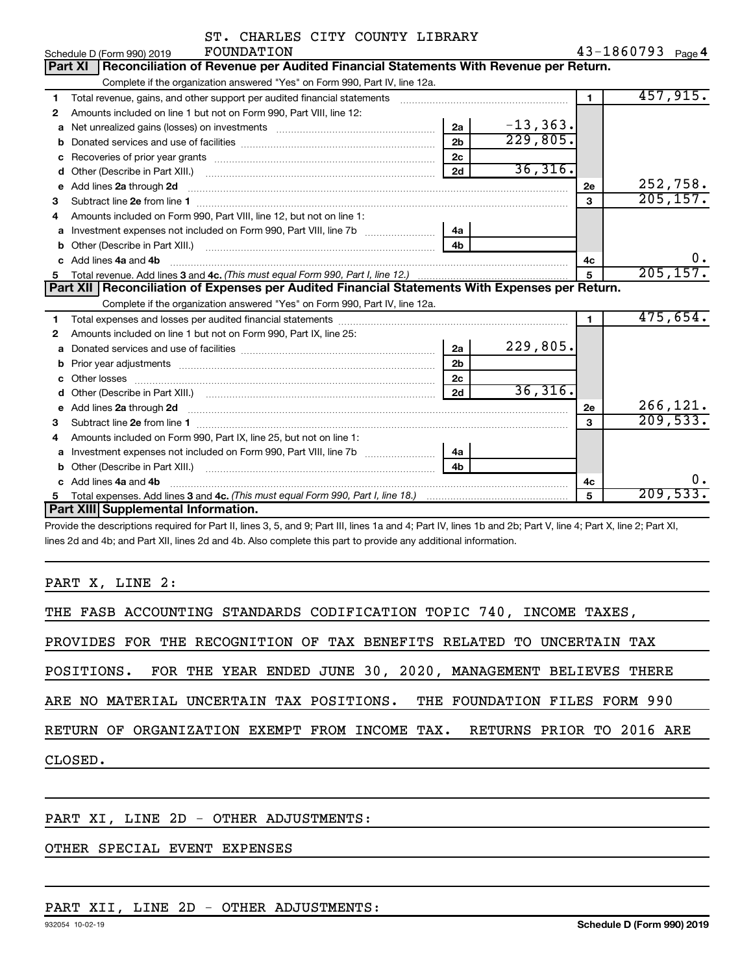|    | ST. CHARLES CITY COUNTY LIBRARY                                                                                                                                                                                                     |                |             |                |                   |
|----|-------------------------------------------------------------------------------------------------------------------------------------------------------------------------------------------------------------------------------------|----------------|-------------|----------------|-------------------|
|    | FOUNDATION<br>Schedule D (Form 990) 2019                                                                                                                                                                                            |                |             |                | 43-1860793 Page 4 |
|    | Reconciliation of Revenue per Audited Financial Statements With Revenue per Return.<br><b>Part XI</b>                                                                                                                               |                |             |                |                   |
|    | Complete if the organization answered "Yes" on Form 990, Part IV, line 12a.                                                                                                                                                         |                |             |                |                   |
| 1  | Total revenue, gains, and other support per audited financial statements                                                                                                                                                            |                |             | $\blacksquare$ | 457,915.          |
| 2  | Amounts included on line 1 but not on Form 990, Part VIII, line 12:                                                                                                                                                                 |                |             |                |                   |
| a  |                                                                                                                                                                                                                                     | 2a             | $-13, 363.$ |                |                   |
| b  |                                                                                                                                                                                                                                     | 2 <sub>b</sub> | 229,805.    |                |                   |
|    |                                                                                                                                                                                                                                     | 2c             |             |                |                   |
| d  |                                                                                                                                                                                                                                     | 2d             | 36,316.     |                |                   |
| e  | Add lines 2a through 2d                                                                                                                                                                                                             |                |             | 2e             | 252,758.          |
| 3  |                                                                                                                                                                                                                                     |                |             | 3              | 205, 157.         |
| 4  | Amounts included on Form 990, Part VIII, line 12, but not on line 1:                                                                                                                                                                |                |             |                |                   |
| а  | Investment expenses not included on Form 990, Part VIII, line 7b [100] [100] [100] [100] [100] [100] [100] [10                                                                                                                      | 4a             |             |                |                   |
| b  |                                                                                                                                                                                                                                     | 4 <sub>h</sub> |             |                |                   |
| c  | Add lines 4a and 4b                                                                                                                                                                                                                 |                |             | 4с             | $0 \cdot$         |
| 5. |                                                                                                                                                                                                                                     |                | 5           | 205, 157.      |                   |
|    | Part XII   Reconciliation of Expenses per Audited Financial Statements With Expenses per Return.                                                                                                                                    |                |             |                |                   |
|    | Complete if the organization answered "Yes" on Form 990, Part IV, line 12a.                                                                                                                                                         |                |             |                |                   |
| 1  |                                                                                                                                                                                                                                     |                |             | $\blacksquare$ | 475,654.          |
| 2  | Amounts included on line 1 but not on Form 990, Part IX, line 25:                                                                                                                                                                   |                |             |                |                   |
| a  |                                                                                                                                                                                                                                     | 2a             | 229,805.    |                |                   |
| b  |                                                                                                                                                                                                                                     | 2 <sub>b</sub> |             |                |                   |
|    |                                                                                                                                                                                                                                     | 2c             |             |                |                   |
|    |                                                                                                                                                                                                                                     | 2d             | 36,316.     |                |                   |
| е  | Add lines 2a through 2d <b>contained a contained a contained a contained a</b> contained a contained a contained a contained a contained a contained a contained a contained a contained a contained a contained a contained a cont |                |             | 2е             | 266, 121.         |
| 3  |                                                                                                                                                                                                                                     |                |             | $\mathbf{a}$   | 209,533.          |
| 4  | Amounts included on Form 990, Part IX, line 25, but not on line 1:                                                                                                                                                                  |                |             |                |                   |
| a  |                                                                                                                                                                                                                                     | 4a             |             |                |                   |
| b  |                                                                                                                                                                                                                                     | 4b             |             |                |                   |
| c  | Add lines 4a and 4b                                                                                                                                                                                                                 |                |             | 4с             |                   |
|    |                                                                                                                                                                                                                                     |                |             | 5              | 209,533.          |
|    | Part XIII Supplemental Information.                                                                                                                                                                                                 |                |             |                |                   |

Provide the descriptions required for Part II, lines 3, 5, and 9; Part III, lines 1a and 4; Part IV, lines 1b and 2b; Part V, line 4; Part X, line 2; Part XI, lines 2d and 4b; and Part XII, lines 2d and 4b. Also complete this part to provide any additional information.

PART X, LINE 2:

| THE FASB ACCOUNTING STANDARDS CODIFICATION TOPIC 740, INCOME TAXES,       |
|---------------------------------------------------------------------------|
| PROVIDES FOR THE RECOGNITION OF TAX BENEFITS RELATED TO UNCERTAIN TAX     |
| POSITIONS. FOR THE YEAR ENDED JUNE 30, 2020, MANAGEMENT BELIEVES THERE    |
| ARE NO MATERIAL UNCERTAIN TAX POSITIONS. THE FOUNDATION FILES FORM 990    |
| RETURN OF ORGANIZATION EXEMPT FROM INCOME TAX.  RETURNS PRIOR TO 2016 ARE |
| CLOSED.                                                                   |
|                                                                           |

#### PART XI, LINE 2D - OTHER ADJUSTMENTS:

# OTHER SPECIAL EVENT EXPENSES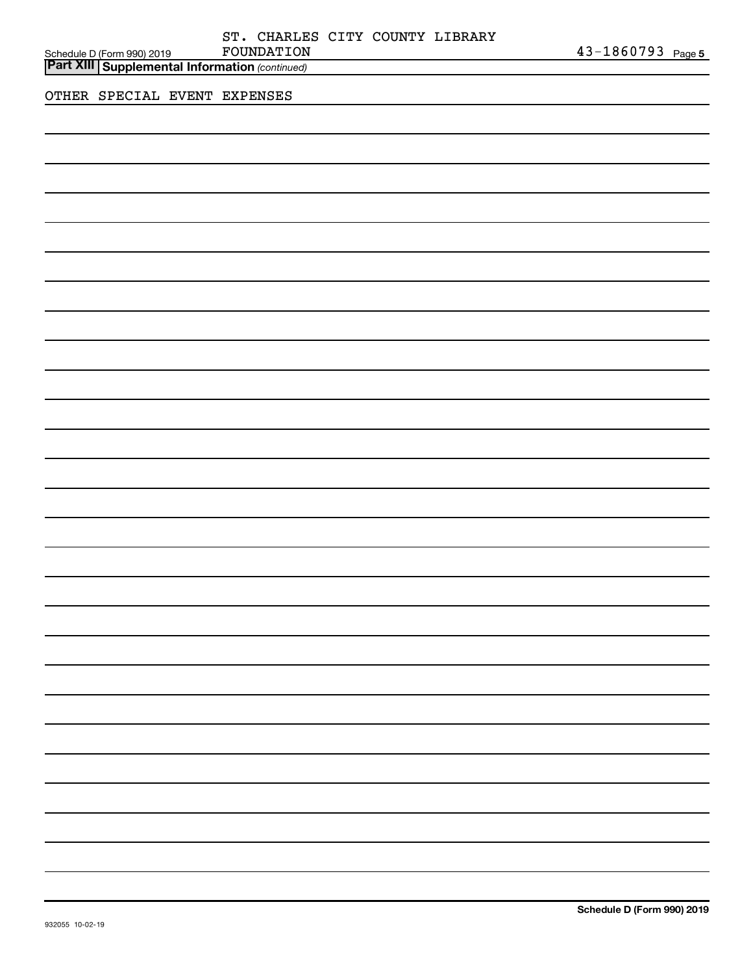| Schedule D (Form 990) 2019<br>Part XIII Supplemental Information (continued) | ST. CHARLES CITY COUNTY LIBRARY<br>FOUNDATION |  | $43 - 1860793$ Page 5 |
|------------------------------------------------------------------------------|-----------------------------------------------|--|-----------------------|
| OTHER SPECIAL EVENT EXPENSES                                                 |                                               |  |                       |
|                                                                              |                                               |  |                       |
|                                                                              |                                               |  |                       |
|                                                                              |                                               |  |                       |
|                                                                              |                                               |  |                       |
|                                                                              |                                               |  |                       |
|                                                                              |                                               |  |                       |
|                                                                              |                                               |  |                       |
|                                                                              |                                               |  |                       |
|                                                                              |                                               |  |                       |
|                                                                              |                                               |  |                       |
|                                                                              |                                               |  |                       |
|                                                                              |                                               |  |                       |
|                                                                              |                                               |  |                       |
|                                                                              |                                               |  |                       |

 $\overline{\phantom{0}}$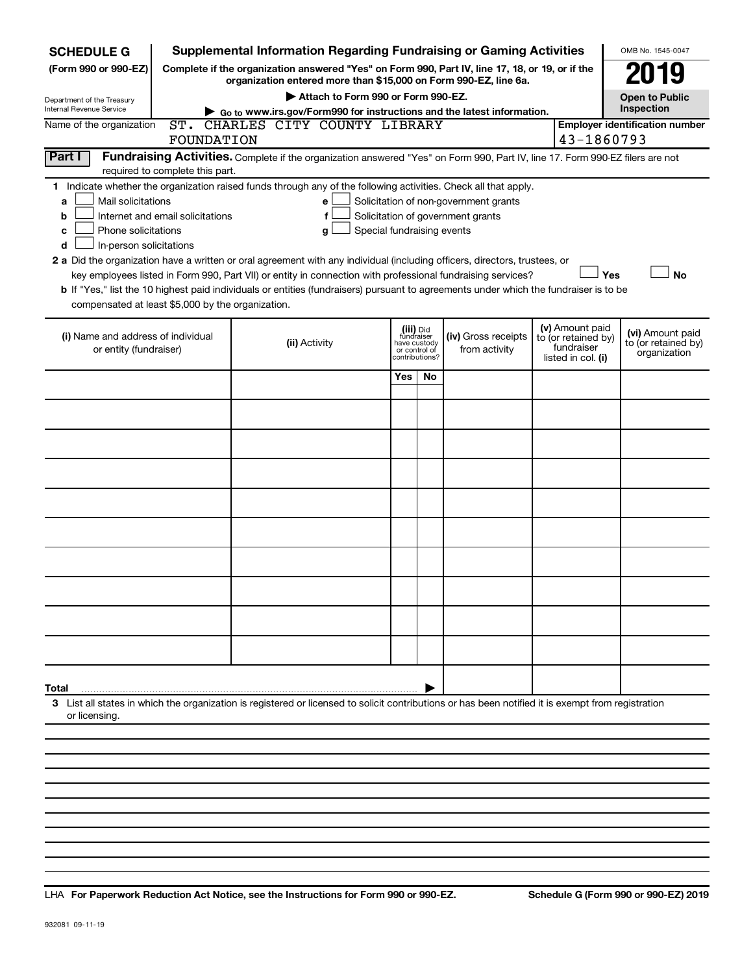| <b>SCHEDULE G</b>                                                                                                                                                                                                                                                                                                                                                                                                                                                                                                                                                                                                                                                                                                                                                                                                                         | <b>Supplemental Information Regarding Fundraising or Gaming Activities</b>                                                                                          |     |     |                                                                            |                                                         | OMB No. 1545-0047                     |  |  |  |  |
|-------------------------------------------------------------------------------------------------------------------------------------------------------------------------------------------------------------------------------------------------------------------------------------------------------------------------------------------------------------------------------------------------------------------------------------------------------------------------------------------------------------------------------------------------------------------------------------------------------------------------------------------------------------------------------------------------------------------------------------------------------------------------------------------------------------------------------------------|---------------------------------------------------------------------------------------------------------------------------------------------------------------------|-----|-----|----------------------------------------------------------------------------|---------------------------------------------------------|---------------------------------------|--|--|--|--|
| (Form 990 or 990-EZ)                                                                                                                                                                                                                                                                                                                                                                                                                                                                                                                                                                                                                                                                                                                                                                                                                      | Complete if the organization answered "Yes" on Form 990, Part IV, line 17, 18, or 19, or if the<br>organization entered more than \$15,000 on Form 990-EZ, line 6a. |     |     |                                                                            |                                                         |                                       |  |  |  |  |
| Department of the Treasury                                                                                                                                                                                                                                                                                                                                                                                                                                                                                                                                                                                                                                                                                                                                                                                                                | Attach to Form 990 or Form 990-EZ.                                                                                                                                  |     |     |                                                                            |                                                         | <b>Open to Public</b>                 |  |  |  |  |
| Internal Revenue Service                                                                                                                                                                                                                                                                                                                                                                                                                                                                                                                                                                                                                                                                                                                                                                                                                  | $\triangleright$ Go to www.irs.gov/Form990 for instructions and the latest information.                                                                             |     |     |                                                                            |                                                         | Inspection                            |  |  |  |  |
| Name of the organization                                                                                                                                                                                                                                                                                                                                                                                                                                                                                                                                                                                                                                                                                                                                                                                                                  | ST. CHARLES CITY COUNTY LIBRARY                                                                                                                                     |     |     |                                                                            |                                                         | <b>Employer identification number</b> |  |  |  |  |
| 43-1860793<br>FOUNDATION                                                                                                                                                                                                                                                                                                                                                                                                                                                                                                                                                                                                                                                                                                                                                                                                                  |                                                                                                                                                                     |     |     |                                                                            |                                                         |                                       |  |  |  |  |
| Part I<br>Fundraising Activities. Complete if the organization answered "Yes" on Form 990, Part IV, line 17. Form 990-EZ filers are not<br>required to complete this part.                                                                                                                                                                                                                                                                                                                                                                                                                                                                                                                                                                                                                                                                |                                                                                                                                                                     |     |     |                                                                            |                                                         |                                       |  |  |  |  |
| 1 Indicate whether the organization raised funds through any of the following activities. Check all that apply.<br>Mail solicitations<br>Solicitation of non-government grants<br>e<br>a<br>Internet and email solicitations<br>Solicitation of government grants<br>f<br>b<br>Phone solicitations<br>Special fundraising events<br>g<br>с<br>In-person solicitations<br>d<br>2 a Did the organization have a written or oral agreement with any individual (including officers, directors, trustees, or<br>Yes<br><b>No</b><br>key employees listed in Form 990, Part VII) or entity in connection with professional fundraising services?<br>b If "Yes," list the 10 highest paid individuals or entities (fundraisers) pursuant to agreements under which the fundraiser is to be<br>compensated at least \$5,000 by the organization. |                                                                                                                                                                     |     |     |                                                                            |                                                         |                                       |  |  |  |  |
| (i) Name and address of individual<br>or entity (fundraiser)                                                                                                                                                                                                                                                                                                                                                                                                                                                                                                                                                                                                                                                                                                                                                                              | (iii) Did<br>(iv) Gross receipts<br>fundraiser<br>have custody<br>(ii) Activity<br>from activity<br>or control of<br>contributions?                                 |     |     | (v) Amount paid<br>to (or retained by)<br>fundraiser<br>listed in col. (i) | (vi) Amount paid<br>to (or retained by)<br>organization |                                       |  |  |  |  |
|                                                                                                                                                                                                                                                                                                                                                                                                                                                                                                                                                                                                                                                                                                                                                                                                                                           |                                                                                                                                                                     | Yes | No. |                                                                            |                                                         |                                       |  |  |  |  |
|                                                                                                                                                                                                                                                                                                                                                                                                                                                                                                                                                                                                                                                                                                                                                                                                                                           |                                                                                                                                                                     |     |     |                                                                            |                                                         |                                       |  |  |  |  |
|                                                                                                                                                                                                                                                                                                                                                                                                                                                                                                                                                                                                                                                                                                                                                                                                                                           |                                                                                                                                                                     |     |     |                                                                            |                                                         |                                       |  |  |  |  |
|                                                                                                                                                                                                                                                                                                                                                                                                                                                                                                                                                                                                                                                                                                                                                                                                                                           |                                                                                                                                                                     |     |     |                                                                            |                                                         |                                       |  |  |  |  |
|                                                                                                                                                                                                                                                                                                                                                                                                                                                                                                                                                                                                                                                                                                                                                                                                                                           |                                                                                                                                                                     |     |     |                                                                            |                                                         |                                       |  |  |  |  |
|                                                                                                                                                                                                                                                                                                                                                                                                                                                                                                                                                                                                                                                                                                                                                                                                                                           |                                                                                                                                                                     |     |     |                                                                            |                                                         |                                       |  |  |  |  |
|                                                                                                                                                                                                                                                                                                                                                                                                                                                                                                                                                                                                                                                                                                                                                                                                                                           |                                                                                                                                                                     |     |     |                                                                            |                                                         |                                       |  |  |  |  |
|                                                                                                                                                                                                                                                                                                                                                                                                                                                                                                                                                                                                                                                                                                                                                                                                                                           |                                                                                                                                                                     |     |     |                                                                            |                                                         |                                       |  |  |  |  |
|                                                                                                                                                                                                                                                                                                                                                                                                                                                                                                                                                                                                                                                                                                                                                                                                                                           |                                                                                                                                                                     |     |     |                                                                            |                                                         |                                       |  |  |  |  |
|                                                                                                                                                                                                                                                                                                                                                                                                                                                                                                                                                                                                                                                                                                                                                                                                                                           |                                                                                                                                                                     |     |     |                                                                            |                                                         |                                       |  |  |  |  |
| Total                                                                                                                                                                                                                                                                                                                                                                                                                                                                                                                                                                                                                                                                                                                                                                                                                                     |                                                                                                                                                                     |     |     |                                                                            |                                                         |                                       |  |  |  |  |
| 3 List all states in which the organization is registered or licensed to solicit contributions or has been notified it is exempt from registration<br>or licensing.                                                                                                                                                                                                                                                                                                                                                                                                                                                                                                                                                                                                                                                                       |                                                                                                                                                                     |     |     |                                                                            |                                                         |                                       |  |  |  |  |
|                                                                                                                                                                                                                                                                                                                                                                                                                                                                                                                                                                                                                                                                                                                                                                                                                                           |                                                                                                                                                                     |     |     |                                                                            |                                                         |                                       |  |  |  |  |

**For Paperwork Reduction Act Notice, see the Instructions for Form 990 or 990-EZ. Schedule G (Form 990 or 990-EZ) 2019** LHA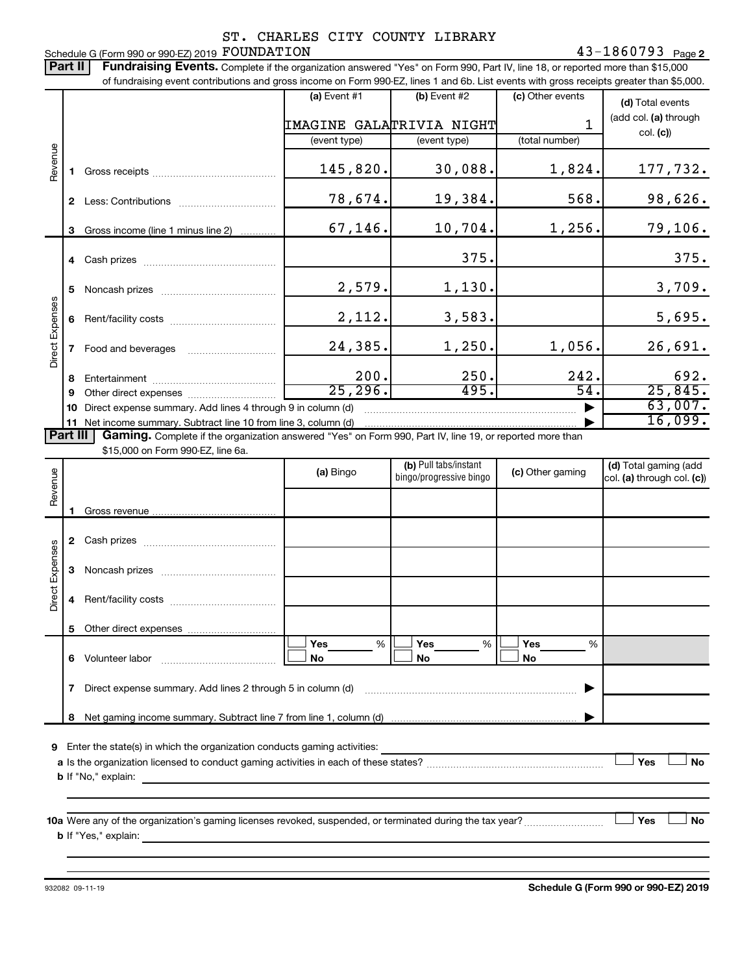#### **2** FOUNDATION **2 2** Schedule G (Form 990 or 990-EZ) 2019 FOUNDATION ST. CHARLES CITY COUNTY LIBRARY

Part II | Fundraising Events. Complete if the organization answered "Yes" on Form 990, Part IV, line 18, or reported more than \$15,000 of fundraising event contributions and gross income on Form 990-EZ, lines 1 and 6b. List events with gross receipts greater than \$5,000.

|                        |              |                                                                                                                                               | $(a)$ Event #1 |                          |      | (b) Event #2            | (c) Other events |        | (d) Total events           |
|------------------------|--------------|-----------------------------------------------------------------------------------------------------------------------------------------------|----------------|--------------------------|------|-------------------------|------------------|--------|----------------------------|
|                        |              |                                                                                                                                               |                | IMAGINE GALATRIVIA NIGHT |      |                         |                  | 1      | (add col. (a) through      |
|                        |              |                                                                                                                                               | (event type)   |                          |      | (event type)            | (total number)   |        | col. (c)                   |
|                        |              |                                                                                                                                               |                |                          |      |                         |                  |        |                            |
| Revenue                |              |                                                                                                                                               |                | 145,820.                 |      | 30,088.                 |                  | 1,824. | 177,732.                   |
|                        |              |                                                                                                                                               |                | 78,674.                  |      | 19,384.                 |                  | 568.   | 98,626.                    |
|                        |              |                                                                                                                                               |                |                          |      |                         |                  |        |                            |
|                        |              | 3 Gross income (line 1 minus line 2)                                                                                                          |                | 67,146.                  |      | 10,704.                 |                  | 1,256. | 79,106.                    |
|                        |              |                                                                                                                                               |                |                          |      | 375.                    |                  |        | 375.                       |
|                        |              |                                                                                                                                               |                |                          |      |                         |                  |        |                            |
| <b>Direct Expenses</b> | 5            |                                                                                                                                               |                | 2,579.                   |      | 1,130.                  |                  |        | 3,709.                     |
|                        |              |                                                                                                                                               |                |                          |      |                         |                  |        |                            |
|                        | 6            |                                                                                                                                               |                | 2,112.                   |      | 3,583.                  |                  |        | 5,695.                     |
|                        | $\mathbf{7}$ | Food and beverages                                                                                                                            | 24,385.        |                          |      | 1,250.                  | 1,056.           |        | 26,691.                    |
|                        |              |                                                                                                                                               |                |                          |      |                         |                  |        |                            |
|                        | 8            |                                                                                                                                               |                | 200.                     | 250. |                         | 242.             |        | 692.                       |
|                        | 9            |                                                                                                                                               |                | 25, 296.                 |      | 495.                    |                  | 54.    | 25,845.                    |
|                        | 10           | Direct expense summary. Add lines 4 through 9 in column (d)                                                                                   |                |                          |      |                         |                  |        | 63,007.                    |
|                        |              | 11 Net income summary. Subtract line 10 from line 3, column (d)                                                                               |                |                          |      |                         |                  |        | 16,099.                    |
| <b>Part III</b>        |              | Gaming. Complete if the organization answered "Yes" on Form 990, Part IV, line 19, or reported more than<br>\$15,000 on Form 990-EZ, line 6a. |                |                          |      |                         |                  |        |                            |
|                        |              |                                                                                                                                               |                |                          |      | (b) Pull tabs/instant   |                  |        | (d) Total gaming (add      |
| Revenue                |              |                                                                                                                                               | (a) Bingo      |                          |      | bingo/progressive bingo | (c) Other gaming |        | col. (a) through col. (c)) |
|                        |              |                                                                                                                                               |                |                          |      |                         |                  |        |                            |
|                        | 1.           |                                                                                                                                               |                |                          |      |                         |                  |        |                            |
|                        |              |                                                                                                                                               |                |                          |      |                         |                  |        |                            |
|                        |              |                                                                                                                                               |                |                          |      |                         |                  |        |                            |
|                        | 3            |                                                                                                                                               |                |                          |      |                         |                  |        |                            |
|                        |              |                                                                                                                                               |                |                          |      |                         |                  |        |                            |
| <b>Direct Expenses</b> |              |                                                                                                                                               |                |                          |      |                         |                  |        |                            |
|                        | 5            |                                                                                                                                               |                |                          |      |                         |                  |        |                            |
|                        |              |                                                                                                                                               | <b>Yes</b>     | %                        |      | Yes<br>%                | Yes              | %      |                            |
|                        |              | 6 Volunteer labor                                                                                                                             | No             |                          |      | No                      | No               |        |                            |
|                        |              |                                                                                                                                               |                |                          |      |                         |                  |        |                            |

|   | Direct expense summary. Add lines 2 through 5 in column (d)        |  |
|---|--------------------------------------------------------------------|--|
| 8 | Net gaming income summary. Subtract line 7 from line 1, column (d) |  |
|   | .<br>.<br>.<br>.                                                   |  |

**9** Enter the state(s) in which the organization conducts gaming activities:

| a Is the organization licensed to conduct gaming activities in each of these states? |  |  | No |
|--------------------------------------------------------------------------------------|--|--|----|
| <b>b</b> If "No," explain:                                                           |  |  |    |

**10 a Yes No** Were any of the organization's gaming licenses revoked, suspended, or terminated during the tax year? ~~~~~~~~~ † † **b** If "Yes," explain: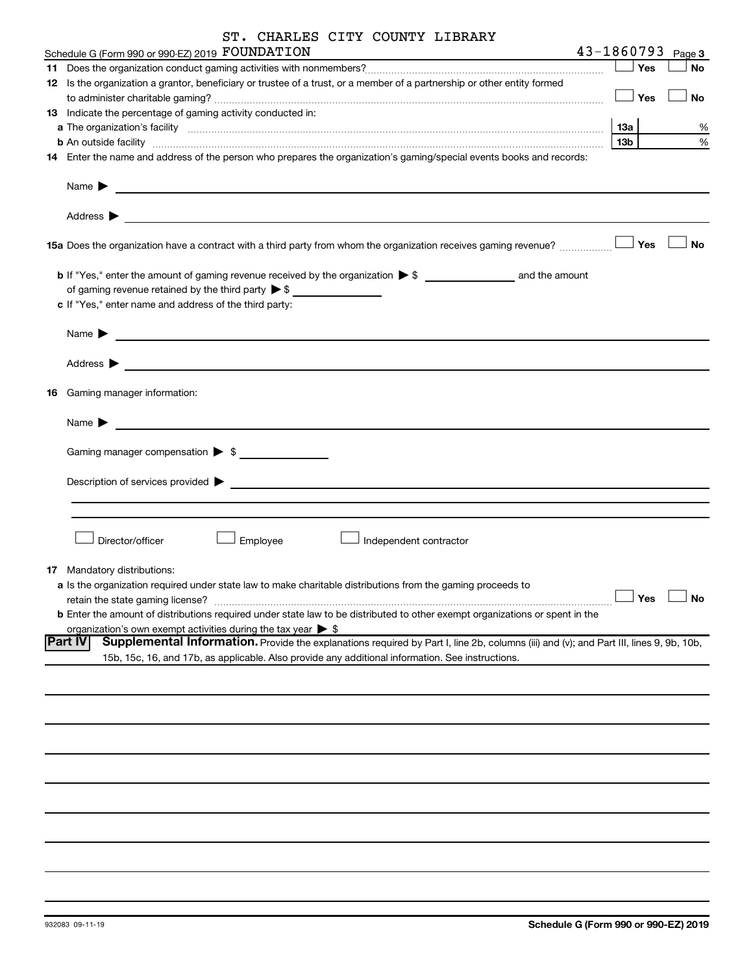|     | ST. CHARLES CITY COUNTY LIBRARY                                                                                                                                                                                                                                |     |     |                       |
|-----|----------------------------------------------------------------------------------------------------------------------------------------------------------------------------------------------------------------------------------------------------------------|-----|-----|-----------------------|
|     | Schedule G (Form 990 or 990-EZ) 2019 FOUNDATION                                                                                                                                                                                                                |     |     | $43 - 1860793$ Page 3 |
|     |                                                                                                                                                                                                                                                                |     | Yes | No                    |
|     | 12 Is the organization a grantor, beneficiary or trustee of a trust, or a member of a partnership or other entity formed                                                                                                                                       |     |     |                       |
|     |                                                                                                                                                                                                                                                                |     | Yes | No                    |
|     | 13 Indicate the percentage of gaming activity conducted in:                                                                                                                                                                                                    |     |     |                       |
|     |                                                                                                                                                                                                                                                                | 13a |     | ℅                     |
|     |                                                                                                                                                                                                                                                                | 13b |     | %                     |
|     | 14 Enter the name and address of the person who prepares the organization's gaming/special events books and records:                                                                                                                                           |     |     |                       |
|     | Name $\blacktriangleright$<br><u> 1989 - Johann Barn, amerikansk politiker (d. 1989)</u>                                                                                                                                                                       |     |     |                       |
|     | Address $\blacktriangleright$<br>the control of the control of the control of the control of the control of the control of the control of the control of the control of the control of the control of the control of the control of the control of the control |     |     |                       |
|     | 15a Does the organization have a contract with a third party from whom the organization receives gaming revenue?                                                                                                                                               |     | Yes | <b>No</b>             |
|     |                                                                                                                                                                                                                                                                |     |     |                       |
|     | of gaming revenue retained by the third party $\triangleright$ \$                                                                                                                                                                                              |     |     |                       |
|     | c If "Yes," enter name and address of the third party:                                                                                                                                                                                                         |     |     |                       |
|     |                                                                                                                                                                                                                                                                |     |     |                       |
|     | Name $\blacktriangleright$<br><u> 1989 - Andrea Stadt British, fransk politik (d. 1989)</u>                                                                                                                                                                    |     |     |                       |
|     |                                                                                                                                                                                                                                                                |     |     |                       |
|     | Address $\blacktriangleright$                                                                                                                                                                                                                                  |     |     |                       |
| 16. | Gaming manager information:                                                                                                                                                                                                                                    |     |     |                       |
|     | Name $\blacktriangleright$                                                                                                                                                                                                                                     |     |     |                       |
|     |                                                                                                                                                                                                                                                                |     |     |                       |
|     |                                                                                                                                                                                                                                                                |     |     |                       |
|     | Description of services provided ><br><u> 1989 - Johann John Stein, markin film yn y brening yn y brening yn y brening yn y brening yn y brening yn y</u>                                                                                                      |     |     |                       |
|     |                                                                                                                                                                                                                                                                |     |     |                       |
|     |                                                                                                                                                                                                                                                                |     |     |                       |
|     | Director/officer<br>Employee<br>Independent contractor                                                                                                                                                                                                         |     |     |                       |
|     | 17 Mandatory distributions:                                                                                                                                                                                                                                    |     |     |                       |
|     | a Is the organization required under state law to make charitable distributions from the gaming proceeds to                                                                                                                                                    |     |     |                       |
|     | retain the state gaming license?                                                                                                                                                                                                                               |     | Yes | <b>No</b>             |
|     | <b>b</b> Enter the amount of distributions required under state law to be distributed to other exempt organizations or spent in the                                                                                                                            |     |     |                       |
|     | organization's own exempt activities during the tax year $\triangleright$ \$                                                                                                                                                                                   |     |     |                       |
|     | <b>Part IV</b><br>Supplemental Information. Provide the explanations required by Part I, line 2b, columns (iii) and (v); and Part III, lines 9, 9b, 10b,                                                                                                       |     |     |                       |
|     | 15b, 15c, 16, and 17b, as applicable. Also provide any additional information. See instructions.                                                                                                                                                               |     |     |                       |
|     |                                                                                                                                                                                                                                                                |     |     |                       |
|     |                                                                                                                                                                                                                                                                |     |     |                       |
|     |                                                                                                                                                                                                                                                                |     |     |                       |
|     |                                                                                                                                                                                                                                                                |     |     |                       |
|     |                                                                                                                                                                                                                                                                |     |     |                       |
|     |                                                                                                                                                                                                                                                                |     |     |                       |
|     |                                                                                                                                                                                                                                                                |     |     |                       |
|     |                                                                                                                                                                                                                                                                |     |     |                       |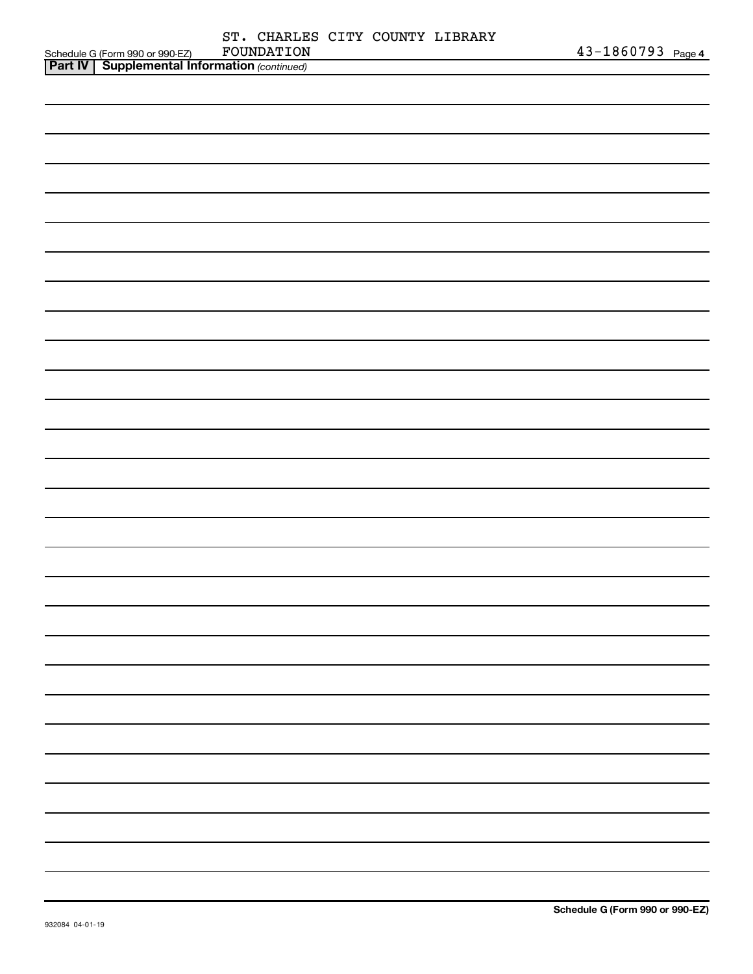|                                                                                                     | ST. CHARLES CITY COUNTY LIBRARY |  |                   |
|-----------------------------------------------------------------------------------------------------|---------------------------------|--|-------------------|
| Schedule G (Form 990 or 990-EZ) FOUNDATION<br><b>Part IV   Supplemental Information</b> (continued) | FOUNDATION                      |  | 43-1860793 Page 4 |
|                                                                                                     |                                 |  |                   |
|                                                                                                     |                                 |  |                   |
|                                                                                                     |                                 |  |                   |
|                                                                                                     |                                 |  |                   |
|                                                                                                     |                                 |  |                   |
|                                                                                                     |                                 |  |                   |
|                                                                                                     |                                 |  |                   |
|                                                                                                     |                                 |  |                   |
|                                                                                                     |                                 |  |                   |
|                                                                                                     |                                 |  |                   |
|                                                                                                     |                                 |  |                   |
|                                                                                                     |                                 |  |                   |
|                                                                                                     |                                 |  |                   |
|                                                                                                     |                                 |  |                   |
|                                                                                                     |                                 |  |                   |
|                                                                                                     |                                 |  |                   |
|                                                                                                     |                                 |  |                   |
|                                                                                                     |                                 |  |                   |
|                                                                                                     |                                 |  |                   |
|                                                                                                     |                                 |  |                   |
|                                                                                                     |                                 |  |                   |
|                                                                                                     |                                 |  |                   |
|                                                                                                     |                                 |  |                   |
|                                                                                                     |                                 |  |                   |
|                                                                                                     |                                 |  |                   |
|                                                                                                     |                                 |  |                   |
|                                                                                                     |                                 |  |                   |
|                                                                                                     |                                 |  |                   |
|                                                                                                     |                                 |  |                   |
|                                                                                                     |                                 |  |                   |
|                                                                                                     |                                 |  |                   |
|                                                                                                     |                                 |  |                   |
|                                                                                                     |                                 |  |                   |
|                                                                                                     |                                 |  |                   |
|                                                                                                     |                                 |  |                   |
|                                                                                                     |                                 |  |                   |
|                                                                                                     |                                 |  |                   |
|                                                                                                     |                                 |  |                   |
|                                                                                                     |                                 |  |                   |
|                                                                                                     |                                 |  |                   |
|                                                                                                     |                                 |  |                   |
|                                                                                                     |                                 |  |                   |
|                                                                                                     |                                 |  |                   |
|                                                                                                     |                                 |  |                   |
|                                                                                                     |                                 |  |                   |
|                                                                                                     |                                 |  |                   |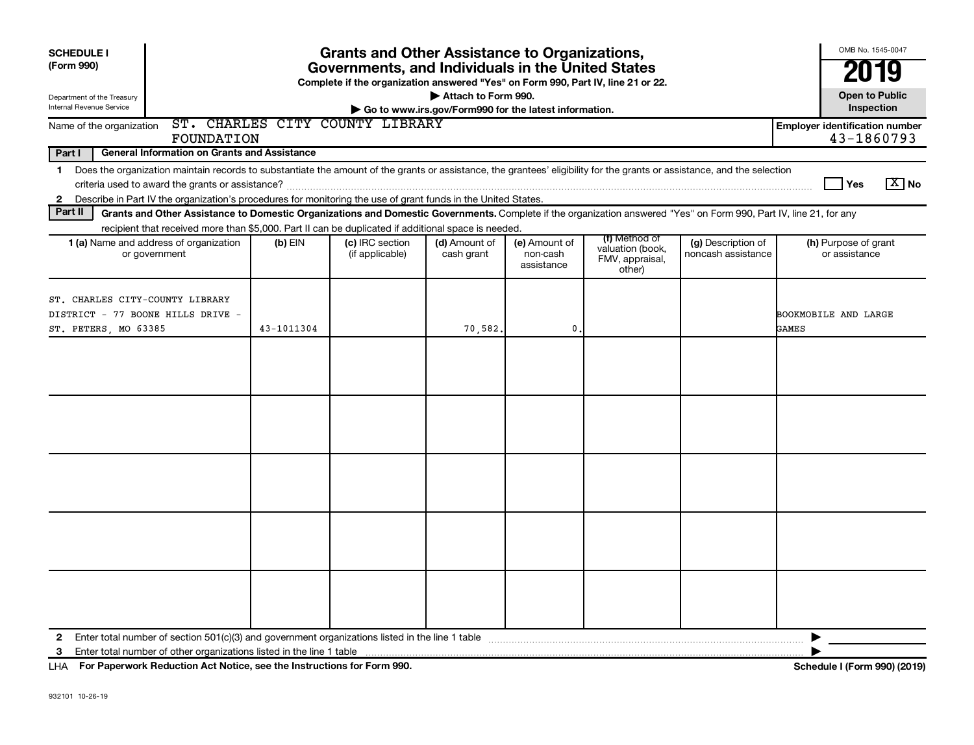| <b>SCHEDULE I</b><br>(Form 990)<br>Department of the Treasury<br>Internal Revenue Service    | <b>Grants and Other Assistance to Organizations,</b><br>Governments, and Individuals in the United States<br>Complete if the organization answered "Yes" on Form 990, Part IV, line 21 or 22.<br>Attach to Form 990.<br>Go to www.irs.gov/Form990 for the latest information.                                                                      |            |                                    |                             |                                         |                                                                |                                          |                                                     |  |  |  |  |  |
|----------------------------------------------------------------------------------------------|----------------------------------------------------------------------------------------------------------------------------------------------------------------------------------------------------------------------------------------------------------------------------------------------------------------------------------------------------|------------|------------------------------------|-----------------------------|-----------------------------------------|----------------------------------------------------------------|------------------------------------------|-----------------------------------------------------|--|--|--|--|--|
| Name of the organization                                                                     | FOUNDATION                                                                                                                                                                                                                                                                                                                                         |            | ST. CHARLES CITY COUNTY LIBRARY    |                             |                                         |                                                                |                                          | <b>Employer identification number</b><br>43-1860793 |  |  |  |  |  |
| Part I<br>$\mathbf{2}$                                                                       | <b>General Information on Grants and Assistance</b><br>1 Does the organization maintain records to substantiate the amount of the grants or assistance, the grantees' eligibility for the grants or assistance, and the selection<br>Describe in Part IV the organization's procedures for monitoring the use of grant funds in the United States. |            |                                    |                             |                                         |                                                                |                                          | $\boxed{\text{X}}$ No<br>Yes                        |  |  |  |  |  |
| Part II                                                                                      | Grants and Other Assistance to Domestic Organizations and Domestic Governments. Complete if the organization answered "Yes" on Form 990, Part IV, line 21, for any                                                                                                                                                                                 |            |                                    |                             |                                         |                                                                |                                          |                                                     |  |  |  |  |  |
|                                                                                              | recipient that received more than \$5,000. Part II can be duplicated if additional space is needed.<br>1 (a) Name and address of organization<br>or government                                                                                                                                                                                     | $(b)$ EIN  | (c) IRC section<br>(if applicable) | (d) Amount of<br>cash grant | (e) Amount of<br>non-cash<br>assistance | (f) Method of<br>valuation (book,<br>FMV, appraisal,<br>other) | (g) Description of<br>noncash assistance | (h) Purpose of grant<br>or assistance               |  |  |  |  |  |
| ST. CHARLES CITY-COUNTY LIBRARY<br>DISTRICT - 77 BOONE HILLS DRIVE -<br>ST. PETERS, MO 63385 |                                                                                                                                                                                                                                                                                                                                                    | 43-1011304 |                                    | 70,582.                     | $\mathbf 0$                             |                                                                |                                          | <b>BOOKMOBILE AND LARGE</b><br><b>GAMES</b>         |  |  |  |  |  |
|                                                                                              |                                                                                                                                                                                                                                                                                                                                                    |            |                                    |                             |                                         |                                                                |                                          |                                                     |  |  |  |  |  |
|                                                                                              |                                                                                                                                                                                                                                                                                                                                                    |            |                                    |                             |                                         |                                                                |                                          |                                                     |  |  |  |  |  |
|                                                                                              |                                                                                                                                                                                                                                                                                                                                                    |            |                                    |                             |                                         |                                                                |                                          |                                                     |  |  |  |  |  |
|                                                                                              |                                                                                                                                                                                                                                                                                                                                                    |            |                                    |                             |                                         |                                                                |                                          |                                                     |  |  |  |  |  |
|                                                                                              |                                                                                                                                                                                                                                                                                                                                                    |            |                                    |                             |                                         |                                                                |                                          |                                                     |  |  |  |  |  |
| 2<br>3                                                                                       |                                                                                                                                                                                                                                                                                                                                                    |            |                                    |                             |                                         |                                                                |                                          | ▶                                                   |  |  |  |  |  |

**For Paperwork Reduction Act Notice, see the Instructions for Form 990. Schedule I (Form 990) (2019)** LHA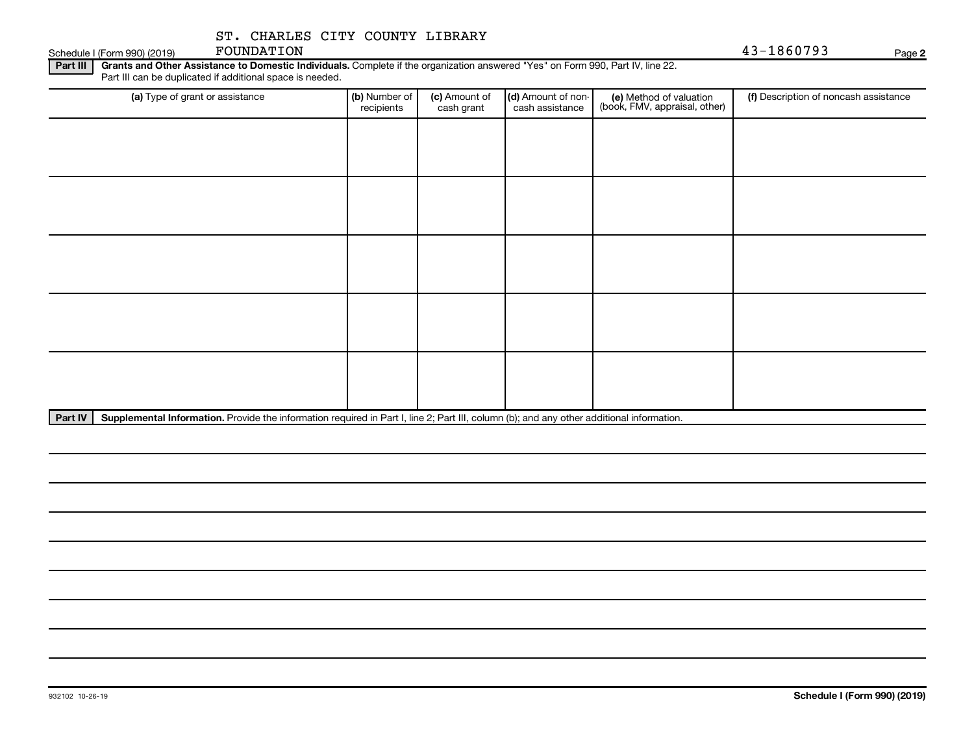FOUNDATION 43-1860793

**2**

Part III | Grants and Other Assistance to Domestic Individuals. Complete if the organization answered "Yes" on Form 990, Part IV, line 22. Schedule I (Form 990) (2019) FOUNDATION<br>Part III | Grants and Other Assistance to Domestic Inc Part III can be duplicated if additional space is needed.

| (a) Type of grant or assistance | (b) Number of<br>recipients | (c) Amount of<br>cash grant | (d) Amount of non-<br>cash assistance | (e) Method of valuation<br>(book, FMV, appraisal, other) | (f) Description of noncash assistance |
|---------------------------------|-----------------------------|-----------------------------|---------------------------------------|----------------------------------------------------------|---------------------------------------|
|                                 |                             |                             |                                       |                                                          |                                       |
|                                 |                             |                             |                                       |                                                          |                                       |
|                                 |                             |                             |                                       |                                                          |                                       |
|                                 |                             |                             |                                       |                                                          |                                       |
|                                 |                             |                             |                                       |                                                          |                                       |
|                                 |                             |                             |                                       |                                                          |                                       |
|                                 |                             |                             |                                       |                                                          |                                       |
|                                 |                             |                             |                                       |                                                          |                                       |
|                                 |                             |                             |                                       |                                                          |                                       |
|                                 |                             |                             |                                       |                                                          |                                       |

Part IV | Supplemental Information. Provide the information required in Part I, line 2; Part III, column (b); and any other additional information.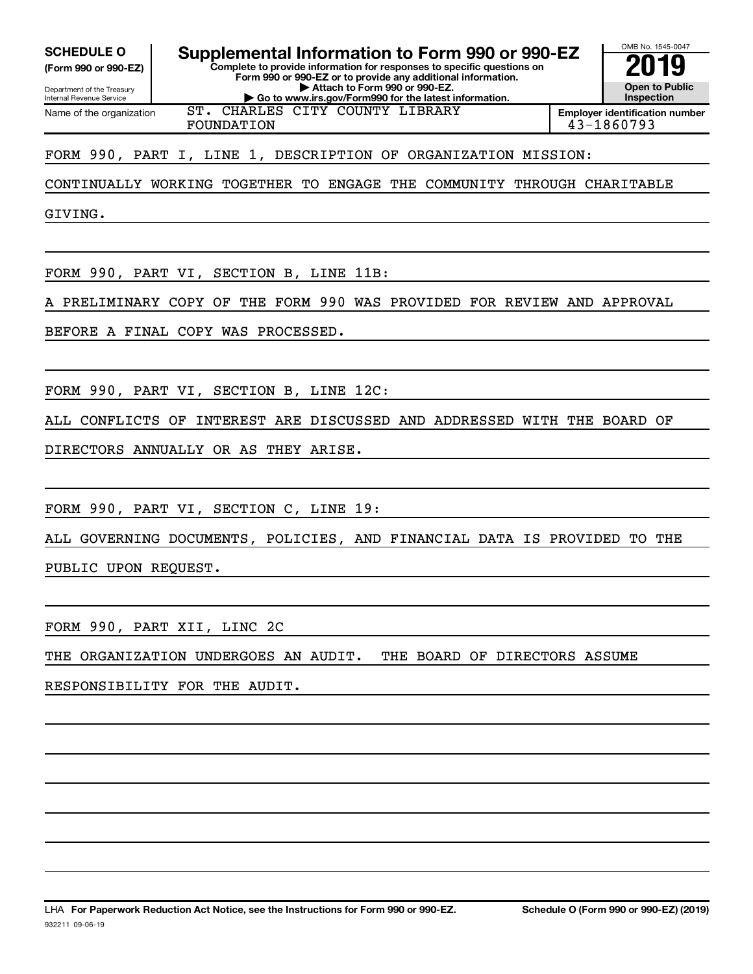**(Form 990 or 990-EZ)**

Department of the Treasury Internal Revenue Service Name of the organization

**Complete to provide information for responses to specific questions on Form 990 or 990-EZ or to provide any additional information. SCHEDULE O Supplemental Information to Form 990 or 990-EZ 2019** 

**| Attach to Form 990 or 990-EZ.**

**| Go to www.irs.gov/Form990 for the latest information.** ST. CHARLES CITY COUNTY LIBRARY

FOUNDATION 43-1860793

**Employer identification number**

OMB No. 1545-0047

**Open to Public Inspection**

FORM 990, PART I, LINE 1, DESCRIPTION OF ORGANIZATION MISSION:

CONTINUALLY WORKING TOGETHER TO ENGAGE THE COMMUNITY THROUGH CHARITABLE

GIVING.

FORM 990, PART VI, SECTION B, LINE 11B:

A PRELIMINARY COPY OF THE FORM 990 WAS PROVIDED FOR REVIEW AND APPROVAL

BEFORE A FINAL COPY WAS PROCESSED.

FORM 990, PART VI, SECTION B, LINE 12C:

ALL CONFLICTS OF INTEREST ARE DISCUSSED AND ADDRESSED WITH THE BOARD OF

DIRECTORS ANNUALLY OR AS THEY ARISE.

FORM 990, PART VI, SECTION C, LINE 19:

ALL GOVERNING DOCUMENTS, POLICIES, AND FINANCIAL DATA IS PROVIDED TO THE

PUBLIC UPON REQUEST.

FORM 990, PART XII, LINC 2C

THE ORGANIZATION UNDERGOES AN AUDIT. THE BOARD OF DIRECTORS ASSUME

RESPONSIBILITY FOR THE AUDIT.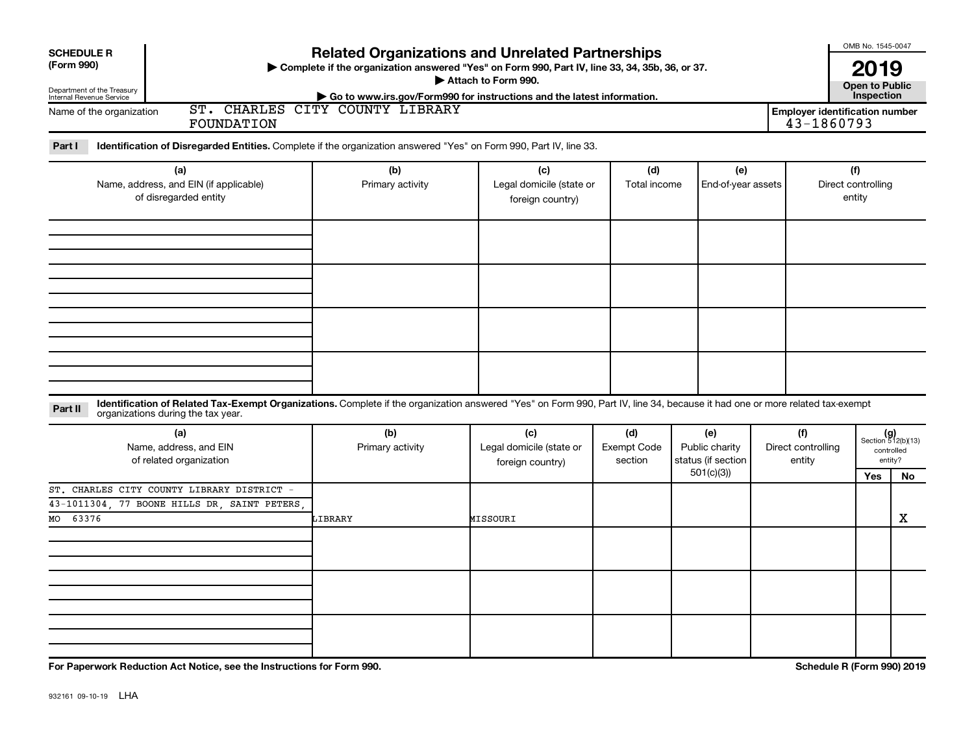| <b>Related Organizations and Unrelated Partnerships</b><br><b>SCHEDULE R</b><br>(Form 990)<br>> Complete if the organization answered "Yes" on Form 990, Part IV, line 33, 34, 35b, 36, or 37.<br>Attach to Form 990.<br>Department of the Treasury<br>Internal Revenue Service<br>Go to www.irs.gov/Form990 for instructions and the latest information.<br>ST. CHARLES CITY COUNTY LIBRARY<br><b>Employer identification number</b> |                         |                                                     |                                      |                                                          |                                     |                                     |                                                      |  |  |  |  |
|---------------------------------------------------------------------------------------------------------------------------------------------------------------------------------------------------------------------------------------------------------------------------------------------------------------------------------------------------------------------------------------------------------------------------------------|-------------------------|-----------------------------------------------------|--------------------------------------|----------------------------------------------------------|-------------------------------------|-------------------------------------|------------------------------------------------------|--|--|--|--|
| Name of the organization<br>FOUNDATION                                                                                                                                                                                                                                                                                                                                                                                                |                         |                                                     |                                      |                                                          |                                     | 43-1860793                          |                                                      |  |  |  |  |
| Part I<br>Identification of Disregarded Entities. Complete if the organization answered "Yes" on Form 990, Part IV, line 33.                                                                                                                                                                                                                                                                                                          |                         |                                                     |                                      |                                                          |                                     |                                     |                                                      |  |  |  |  |
| (a)<br>Name, address, and EIN (if applicable)<br>of disregarded entity                                                                                                                                                                                                                                                                                                                                                                | (b)<br>Primary activity | (c)<br>Legal domicile (state or<br>foreign country) | (d)<br>Total income                  | (e)<br>End-of-year assets                                |                                     | (f)<br>Direct controlling<br>entity |                                                      |  |  |  |  |
|                                                                                                                                                                                                                                                                                                                                                                                                                                       |                         |                                                     |                                      |                                                          |                                     |                                     |                                                      |  |  |  |  |
|                                                                                                                                                                                                                                                                                                                                                                                                                                       |                         |                                                     |                                      |                                                          |                                     |                                     |                                                      |  |  |  |  |
| Identification of Related Tax-Exempt Organizations. Complete if the organization answered "Yes" on Form 990, Part IV, line 34, because it had one or more related tax-exempt<br>Part II<br>organizations during the tax year.                                                                                                                                                                                                         |                         |                                                     |                                      |                                                          |                                     |                                     |                                                      |  |  |  |  |
| (a)<br>Name, address, and EIN<br>of related organization                                                                                                                                                                                                                                                                                                                                                                              | (b)<br>Primary activity | (c)<br>Legal domicile (state or<br>foreign country) | (d)<br><b>Exempt Code</b><br>section | (e)<br>Public charity<br>status (if section<br>501(c)(3) | (f)<br>Direct controlling<br>entity |                                     | $(g)$<br>Section 512(b)(13)<br>controlled<br>entity? |  |  |  |  |
| ST. CHARLES CITY COUNTY LIBRARY DISTRICT -<br>43-1011304, 77 BOONE HILLS DR, SAINT PETERS<br>63376<br>MO                                                                                                                                                                                                                                                                                                                              | LIBRARY                 | MISSOURI                                            |                                      |                                                          |                                     | Yes                                 | No<br>х                                              |  |  |  |  |
|                                                                                                                                                                                                                                                                                                                                                                                                                                       |                         |                                                     |                                      |                                                          |                                     |                                     |                                                      |  |  |  |  |
|                                                                                                                                                                                                                                                                                                                                                                                                                                       |                         |                                                     |                                      |                                                          |                                     |                                     |                                                      |  |  |  |  |
| For Paperwork Reduction Act Notice, see the Instructions for Form 990.                                                                                                                                                                                                                                                                                                                                                                |                         |                                                     |                                      |                                                          |                                     | Schedule R (Form 990) 2019          |                                                      |  |  |  |  |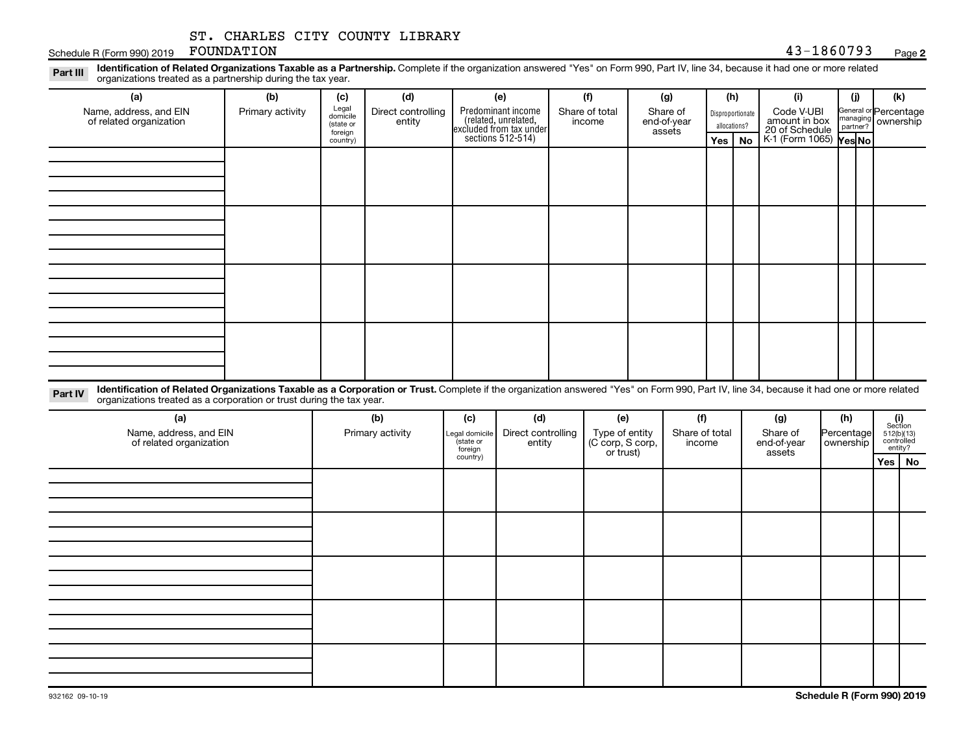# **2**

| Schedule R (Form 990) 2019                                                                                                                                                                                                                                                  | ST. CHARLES CITY COUNTY LIBRARY<br>FOUNDATION |                                                                              |                  |                                                                                           |                              |                          |                                                 |                                                                              |                          |           |                                                                         | 43-1860793                        |                                               |                         | Page 2                              |
|-----------------------------------------------------------------------------------------------------------------------------------------------------------------------------------------------------------------------------------------------------------------------------|-----------------------------------------------|------------------------------------------------------------------------------|------------------|-------------------------------------------------------------------------------------------|------------------------------|--------------------------|-------------------------------------------------|------------------------------------------------------------------------------|--------------------------|-----------|-------------------------------------------------------------------------|-----------------------------------|-----------------------------------------------|-------------------------|-------------------------------------|
| Identification of Related Organizations Taxable as a Partnership. Complete if the organization answered "Yes" on Form 990, Part IV, line 34, because it had one or more related<br>Part III<br>organizations treated as a partnership during the tax year.                  |                                               |                                                                              |                  |                                                                                           |                              |                          |                                                 |                                                                              |                          |           |                                                                         |                                   |                                               |                         |                                     |
| (a)                                                                                                                                                                                                                                                                         | (b)                                           | (c)<br>Legal                                                                 | (d)              |                                                                                           | (e)                          |                          | (f)                                             |                                                                              | (g)                      |           | (h)                                                                     | (i)                               |                                               | (i)                     | (k)                                 |
| Name, address, and EIN<br>of related organization                                                                                                                                                                                                                           | Primary activity                              | Direct controlling<br>domicile<br>entity<br>(state or<br>foreign<br>country) |                  | Predominant income<br>related, unrelated,<br>excluded from tax under<br>sections 512-514) |                              | Share of total<br>income |                                                 | Share of<br>Disproportionate<br>end-of-year<br>allocations?<br>assets<br>Yes |                          | <b>No</b> | Code V-UBI<br>amount in box<br>20 of Schedule<br>K-1 (Form 1065) Yes No |                                   | General or Percentage<br>managing<br>partner? | ownership               |                                     |
|                                                                                                                                                                                                                                                                             |                                               |                                                                              |                  |                                                                                           |                              |                          |                                                 |                                                                              |                          |           |                                                                         |                                   |                                               |                         |                                     |
|                                                                                                                                                                                                                                                                             |                                               |                                                                              |                  |                                                                                           |                              |                          |                                                 |                                                                              |                          |           |                                                                         |                                   |                                               |                         |                                     |
|                                                                                                                                                                                                                                                                             |                                               |                                                                              |                  |                                                                                           |                              |                          |                                                 |                                                                              |                          |           |                                                                         |                                   |                                               |                         |                                     |
|                                                                                                                                                                                                                                                                             |                                               |                                                                              |                  |                                                                                           |                              |                          |                                                 |                                                                              |                          |           |                                                                         |                                   |                                               |                         |                                     |
|                                                                                                                                                                                                                                                                             |                                               |                                                                              |                  |                                                                                           |                              |                          |                                                 |                                                                              |                          |           |                                                                         |                                   |                                               |                         |                                     |
|                                                                                                                                                                                                                                                                             |                                               |                                                                              |                  |                                                                                           |                              |                          |                                                 |                                                                              |                          |           |                                                                         |                                   |                                               |                         |                                     |
|                                                                                                                                                                                                                                                                             |                                               |                                                                              |                  |                                                                                           |                              |                          |                                                 |                                                                              |                          |           |                                                                         |                                   |                                               |                         |                                     |
| Identification of Related Organizations Taxable as a Corporation or Trust. Complete if the organization answered "Yes" on Form 990, Part IV, line 34, because it had one or more related<br>Part IV<br>organizations treated as a corporation or trust during the tax year. |                                               |                                                                              |                  |                                                                                           |                              |                          |                                                 |                                                                              |                          |           |                                                                         |                                   |                                               |                         |                                     |
| (a)                                                                                                                                                                                                                                                                         |                                               |                                                                              | (b)              | (c)                                                                                       | (d)                          |                          | (e)                                             |                                                                              | (f)                      |           |                                                                         | (g)                               |                                               | (h)                     | (i)<br>Section                      |
| Name, address, and EIN<br>of related organization                                                                                                                                                                                                                           |                                               |                                                                              | Primary activity | egal domicile<br>(state or<br>foreign                                                     | Direct controlling<br>entity |                          | Type of entity<br>(C corp, S corp,<br>or trust) |                                                                              | Share of total<br>income |           |                                                                         | Share of<br>end-of-year<br>assets |                                               | Percentage<br>ownership | 512(b)(13)<br>controlled<br>entity? |
|                                                                                                                                                                                                                                                                             |                                               |                                                                              |                  | country)                                                                                  |                              |                          |                                                 |                                                                              |                          |           |                                                                         |                                   |                                               |                         | Yes   No                            |
|                                                                                                                                                                                                                                                                             |                                               |                                                                              |                  |                                                                                           |                              |                          |                                                 |                                                                              |                          |           |                                                                         |                                   |                                               |                         |                                     |
|                                                                                                                                                                                                                                                                             |                                               |                                                                              |                  |                                                                                           |                              |                          |                                                 |                                                                              |                          |           |                                                                         |                                   |                                               |                         |                                     |
|                                                                                                                                                                                                                                                                             |                                               |                                                                              |                  |                                                                                           |                              |                          |                                                 |                                                                              |                          |           |                                                                         |                                   |                                               |                         |                                     |
|                                                                                                                                                                                                                                                                             |                                               |                                                                              |                  |                                                                                           |                              |                          |                                                 |                                                                              |                          |           |                                                                         |                                   |                                               |                         |                                     |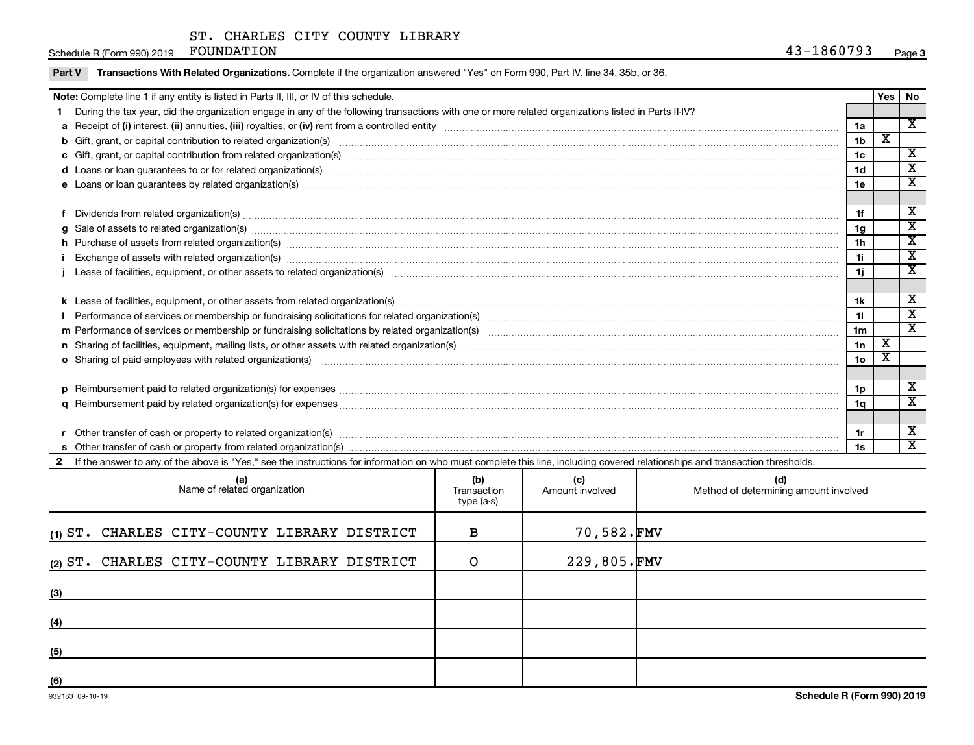Schedule R (Form 990) 2019 FOUNDATION

| Part V | Transactions With Related Organizations. Complete if the organization answered "Yes" on Form 990, Part IV, line 34, 35b, or 36.                                                                                                |                 |                         |                             |
|--------|--------------------------------------------------------------------------------------------------------------------------------------------------------------------------------------------------------------------------------|-----------------|-------------------------|-----------------------------|
|        | Note: Complete line 1 if any entity is listed in Parts II, III, or IV of this schedule.                                                                                                                                        |                 | Yes                     | No.                         |
|        | During the tax year, did the organization engage in any of the following transactions with one or more related organizations listed in Parts II-IV?                                                                            |                 |                         |                             |
|        |                                                                                                                                                                                                                                | 1a              |                         | $\mathbf{x}$                |
|        |                                                                                                                                                                                                                                | 1 <sub>b</sub>  | $\overline{\textbf{x}}$ |                             |
|        |                                                                                                                                                                                                                                | 1 <sub>c</sub>  |                         | $\overline{\mathbf{x}}$     |
|        | d Loans or loan guarantees to or for related organization(s) www.communities.com/www.communities.com/www.communities.com/www.communities.com/www.communities.com/www.communities.com/www.communities.com/www.communities.com/w | 1 <sub>d</sub>  |                         | $\overline{\mathbf{x}}$     |
|        |                                                                                                                                                                                                                                | 1e              |                         | $\overline{\mathbf{x}}$     |
|        |                                                                                                                                                                                                                                |                 |                         |                             |
|        | f Dividends from related organization(s) manufactured and contract and contract or produced and contract and contract and contract and contract and contract and contract and contract and contract and contract and contract  | 1f              |                         | X                           |
|        | g Sale of assets to related organization(s) www.assettion.com/www.assettion.com/www.assettion.com/www.assettion.com/www.assettion.com/www.assettion.com/www.assettion.com/www.assettion.com/www.assettion.com/www.assettion.co | 1g              |                         | $\overline{\textnormal{x}}$ |
|        |                                                                                                                                                                                                                                | 1 <sub>h</sub>  |                         | $\overline{\mathbf{x}}$     |
|        | Exchange of assets with related organization(s) www.wallen.com/www.wallen.com/www.wallen.com/www.wallen.com/www.wallen.com/www.wallen.com/www.wallen.com/www.wallen.com/www.wallen.com/www.wallen.com/www.wallen.com/www.walle | 11              |                         | $\overline{\mathbf{x}}$     |
|        |                                                                                                                                                                                                                                | 1j              |                         | $\mathbf{x}$                |
|        |                                                                                                                                                                                                                                |                 |                         |                             |
|        |                                                                                                                                                                                                                                | 1k              |                         | X                           |
|        |                                                                                                                                                                                                                                | 11              |                         | $\overline{\mathbf{x}}$     |
|        |                                                                                                                                                                                                                                | 1 <sub>m</sub>  |                         | $\overline{\mathbf{x}}$     |
|        |                                                                                                                                                                                                                                | 1n              | $\overline{\mathbf{x}}$ |                             |
|        | o Sharing of paid employees with related organization(s) material content to the content of the state of paid employees with related organization(s) material content of the state of the state of the state of the state of t | 10 <sub>o</sub> | X                       |                             |
|        |                                                                                                                                                                                                                                |                 |                         |                             |
|        |                                                                                                                                                                                                                                | 1p              |                         | X                           |
|        |                                                                                                                                                                                                                                | 1a              |                         | $\mathbf{x}$                |
|        |                                                                                                                                                                                                                                |                 |                         |                             |
|        |                                                                                                                                                                                                                                | 1r              |                         | X                           |
|        |                                                                                                                                                                                                                                | 1s              |                         | $\overline{\mathbf{x}}$     |
|        | 2 If the answer to any of the above is "Yes," see the instructions for information on who must complete this line, including covered relationships and transaction thresholds.                                                 |                 |                         |                             |

| (a)<br>Name of related organization          | (b)<br>Transaction<br>type (a-s) | (c)<br>Amount involved | (d)<br>Method of determining amount involved |
|----------------------------------------------|----------------------------------|------------------------|----------------------------------------------|
| (1) ST. CHARLES CITY-COUNTY LIBRARY DISTRICT | в                                | 70,582.FMV             |                                              |
| (2) ST. CHARLES CITY-COUNTY LIBRARY DISTRICT | O                                | 229,805.FMV            |                                              |
| (3)                                          |                                  |                        |                                              |
| (4)                                          |                                  |                        |                                              |
| (5)                                          |                                  |                        |                                              |
| (6)                                          |                                  |                        |                                              |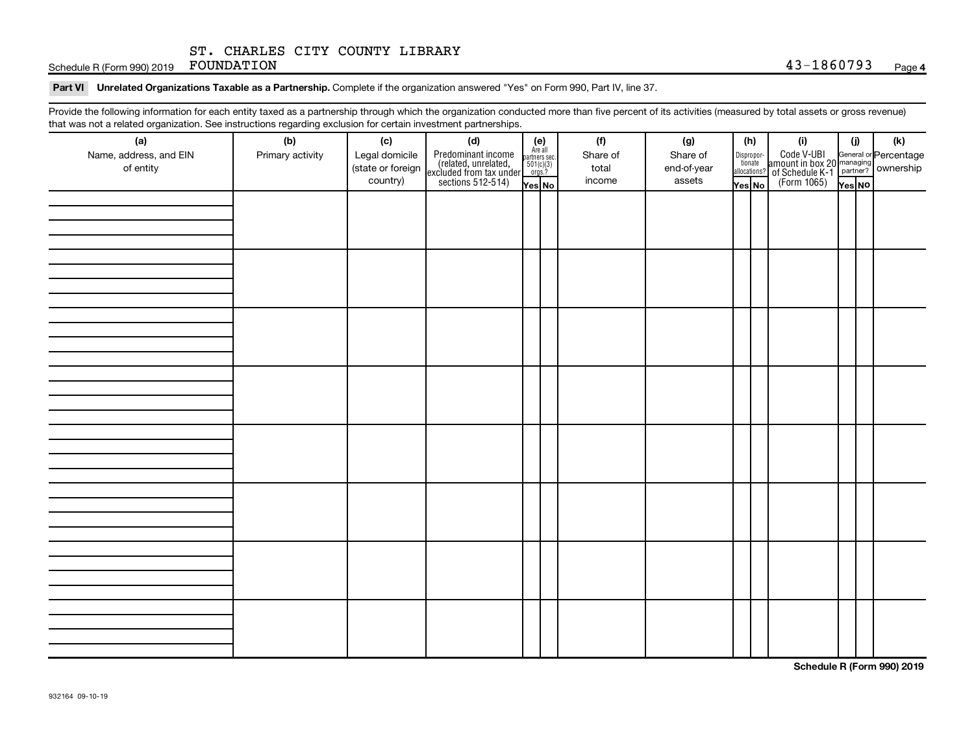Schedule R (Form 990) 2019 FOUNDATION  $43-1860793$  Page

#### Part VI Unrelated Organizations Taxable as a Partnership. Complete if the organization answered "Yes" on Form 990, Part IV, line 37.

Provide the following information for each entity taxed as a partnership through which the organization conducted more than five percent of its activities (measured by total assets or gross revenue) that was not a related organization. See instructions regarding exclusion for certain investment partnerships.

| that was not a related organization. Occ instructions regarding excitation for certain investment partnerships.<br>(a) | (b)              | (c)               |                                                                                                                                                                                                                           |  |  | (f)      | (g)         |        | (h)                                                                                                   | (i)                                                                   | (i)    | (k)                                                     |  |  |  |
|------------------------------------------------------------------------------------------------------------------------|------------------|-------------------|---------------------------------------------------------------------------------------------------------------------------------------------------------------------------------------------------------------------------|--|--|----------|-------------|--------|-------------------------------------------------------------------------------------------------------|-----------------------------------------------------------------------|--------|---------------------------------------------------------|--|--|--|
| Name, address, and EIN                                                                                                 | Primary activity | Legal domicile    | (d)<br>Predominant income<br>(related, unrelated,<br>excluded from tax under<br>sections 512-514)<br>$\begin{array}{r} \n\text{Re all} \\ \text{are also} \\ \text{excillated} \\ \text{sections: } 512-514\n\end{array}$ |  |  | Share of | Share of    |        |                                                                                                       |                                                                       |        |                                                         |  |  |  |
| of entity                                                                                                              |                  | (state or foreign |                                                                                                                                                                                                                           |  |  | total    | end-of-year |        | $\begin{tabular}{c} Dispropor- \quad \quad \text{tionate} \\ \quad \text{allocations?} \end{tabular}$ | Code V-UBI<br>amount in box 20<br>?<br>of Schedule K-1<br>(Form 1065) |        | General or Percentage<br>managing<br>partner? Ownership |  |  |  |
|                                                                                                                        |                  | country)          |                                                                                                                                                                                                                           |  |  | income   | assets      | Yes No |                                                                                                       |                                                                       | Yes NO |                                                         |  |  |  |
|                                                                                                                        |                  |                   |                                                                                                                                                                                                                           |  |  |          |             |        |                                                                                                       |                                                                       |        |                                                         |  |  |  |
|                                                                                                                        |                  |                   |                                                                                                                                                                                                                           |  |  |          |             |        |                                                                                                       |                                                                       |        |                                                         |  |  |  |
|                                                                                                                        |                  |                   |                                                                                                                                                                                                                           |  |  |          |             |        |                                                                                                       |                                                                       |        |                                                         |  |  |  |
|                                                                                                                        |                  |                   |                                                                                                                                                                                                                           |  |  |          |             |        |                                                                                                       |                                                                       |        |                                                         |  |  |  |
|                                                                                                                        |                  |                   |                                                                                                                                                                                                                           |  |  |          |             |        |                                                                                                       |                                                                       |        |                                                         |  |  |  |
|                                                                                                                        |                  |                   |                                                                                                                                                                                                                           |  |  |          |             |        |                                                                                                       |                                                                       |        |                                                         |  |  |  |
|                                                                                                                        |                  |                   |                                                                                                                                                                                                                           |  |  |          |             |        |                                                                                                       |                                                                       |        |                                                         |  |  |  |
|                                                                                                                        |                  |                   |                                                                                                                                                                                                                           |  |  |          |             |        |                                                                                                       |                                                                       |        |                                                         |  |  |  |
|                                                                                                                        |                  |                   |                                                                                                                                                                                                                           |  |  |          |             |        |                                                                                                       |                                                                       |        |                                                         |  |  |  |
|                                                                                                                        |                  |                   |                                                                                                                                                                                                                           |  |  |          |             |        |                                                                                                       |                                                                       |        |                                                         |  |  |  |
|                                                                                                                        |                  |                   |                                                                                                                                                                                                                           |  |  |          |             |        |                                                                                                       |                                                                       |        |                                                         |  |  |  |
|                                                                                                                        |                  |                   |                                                                                                                                                                                                                           |  |  |          |             |        |                                                                                                       |                                                                       |        |                                                         |  |  |  |
|                                                                                                                        |                  |                   |                                                                                                                                                                                                                           |  |  |          |             |        |                                                                                                       |                                                                       |        |                                                         |  |  |  |
|                                                                                                                        |                  |                   |                                                                                                                                                                                                                           |  |  |          |             |        |                                                                                                       |                                                                       |        |                                                         |  |  |  |
|                                                                                                                        |                  |                   |                                                                                                                                                                                                                           |  |  |          |             |        |                                                                                                       |                                                                       |        |                                                         |  |  |  |
|                                                                                                                        |                  |                   |                                                                                                                                                                                                                           |  |  |          |             |        |                                                                                                       |                                                                       |        |                                                         |  |  |  |
|                                                                                                                        |                  |                   |                                                                                                                                                                                                                           |  |  |          |             |        |                                                                                                       |                                                                       |        |                                                         |  |  |  |
|                                                                                                                        |                  |                   |                                                                                                                                                                                                                           |  |  |          |             |        |                                                                                                       |                                                                       |        |                                                         |  |  |  |
|                                                                                                                        |                  |                   |                                                                                                                                                                                                                           |  |  |          |             |        |                                                                                                       |                                                                       |        |                                                         |  |  |  |
|                                                                                                                        |                  |                   |                                                                                                                                                                                                                           |  |  |          |             |        |                                                                                                       |                                                                       |        |                                                         |  |  |  |
|                                                                                                                        |                  |                   |                                                                                                                                                                                                                           |  |  |          |             |        |                                                                                                       |                                                                       |        |                                                         |  |  |  |
|                                                                                                                        |                  |                   |                                                                                                                                                                                                                           |  |  |          |             |        |                                                                                                       |                                                                       |        |                                                         |  |  |  |
|                                                                                                                        |                  |                   |                                                                                                                                                                                                                           |  |  |          |             |        |                                                                                                       |                                                                       |        |                                                         |  |  |  |
|                                                                                                                        |                  |                   |                                                                                                                                                                                                                           |  |  |          |             |        |                                                                                                       |                                                                       |        |                                                         |  |  |  |
|                                                                                                                        |                  |                   |                                                                                                                                                                                                                           |  |  |          |             |        |                                                                                                       |                                                                       |        |                                                         |  |  |  |
|                                                                                                                        |                  |                   |                                                                                                                                                                                                                           |  |  |          |             |        |                                                                                                       |                                                                       |        |                                                         |  |  |  |
|                                                                                                                        |                  |                   |                                                                                                                                                                                                                           |  |  |          |             |        |                                                                                                       |                                                                       |        |                                                         |  |  |  |
|                                                                                                                        |                  |                   |                                                                                                                                                                                                                           |  |  |          |             |        |                                                                                                       |                                                                       |        |                                                         |  |  |  |
|                                                                                                                        |                  |                   |                                                                                                                                                                                                                           |  |  |          |             |        |                                                                                                       |                                                                       |        |                                                         |  |  |  |
|                                                                                                                        |                  |                   |                                                                                                                                                                                                                           |  |  |          |             |        |                                                                                                       |                                                                       |        |                                                         |  |  |  |
|                                                                                                                        |                  |                   |                                                                                                                                                                                                                           |  |  |          |             |        |                                                                                                       |                                                                       |        |                                                         |  |  |  |
|                                                                                                                        |                  |                   |                                                                                                                                                                                                                           |  |  |          |             |        |                                                                                                       |                                                                       |        |                                                         |  |  |  |

**Schedule R (Form 990) 2019**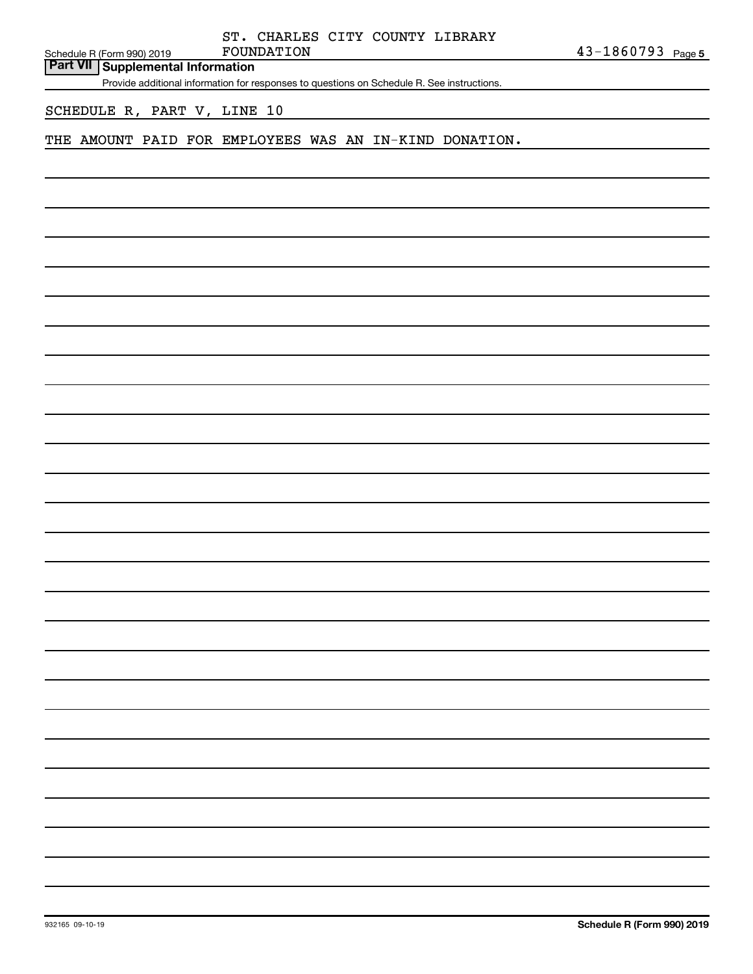Schedule R (Form 990) 2019 FOUNDATION **Part VII Supplemental Information**

Provide additional information for responses to questions on Schedule R. See instructions.

# SCHEDULE R, PART V, LINE 10

#### THE AMOUNT PAID FOR EMPLOYEES WAS AN IN-KIND DONATION.